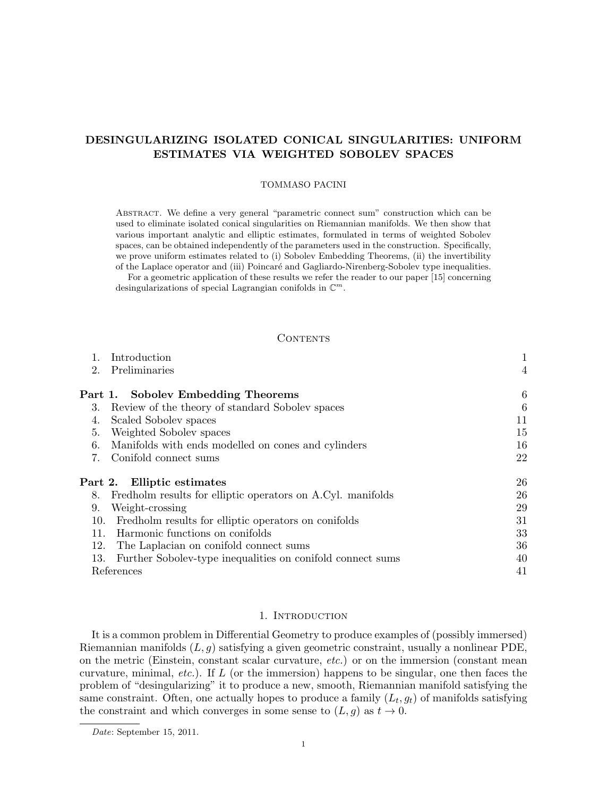# DESINGULARIZING ISOLATED CONICAL SINGULARITIES: UNIFORM ESTIMATES VIA WEIGHTED SOBOLEV SPACES

## TOMMASO PACINI

Abstract. We define a very general "parametric connect sum" construction which can be used to eliminate isolated conical singularities on Riemannian manifolds. We then show that various important analytic and elliptic estimates, formulated in terms of weighted Sobolev spaces, can be obtained independently of the parameters used in the construction. Specifically, we prove uniform estimates related to (i) Sobolev Embedding Theorems, (ii) the invertibility of the Laplace operator and (iii) Poincaré and Gagliardo-Nirenberg-Sobolev type inequalities.

For a geometric application of these results we refer the reader to our paper [15] concerning desingularizations of special Lagrangian conifolds in  $\mathbb{C}^m$ .

# **CONTENTS**

|     | Introduction                                                | 1               |
|-----|-------------------------------------------------------------|-----------------|
| 2.  | Preliminaries                                               | $\overline{4}$  |
|     | Part 1. Sobolev Embedding Theorems                          | $6\phantom{.}6$ |
| 3.  | Review of the theory of standard Sobolev spaces             | 6               |
| 4.  | Scaled Sobolev spaces                                       | 11              |
| 5.  | Weighted Sobolev spaces                                     | 15              |
| 6.  | Manifolds with ends modelled on cones and cylinders         | 16              |
| 7.  | Conifold connect sums                                       | 22              |
|     | Part 2. Elliptic estimates                                  | 26              |
| 8.  | Fredholm results for elliptic operators on A.Cyl. manifolds | 26              |
| 9.  | Weight-crossing                                             | 29              |
| 10. | Fredholm results for elliptic operators on conifolds        | 31              |
| 11. | Harmonic functions on conifolds                             | 33              |
| 12. | The Laplacian on conifold connect sums                      | 36              |
| 13. | Further Sobolev-type inequalities on conifold connect sums  | 40              |
|     | References                                                  | 41              |
|     |                                                             |                 |

# 1. INTRODUCTION

It is a common problem in Differential Geometry to produce examples of (possibly immersed) Riemannian manifolds  $(L, g)$  satisfying a given geometric constraint, usually a nonlinear PDE, on the metric (Einstein, constant scalar curvature, etc.) or on the immersion (constant mean curvature, minimal, *etc.*). If  $L$  (or the immersion) happens to be singular, one then faces the problem of "desingularizing" it to produce a new, smooth, Riemannian manifold satisfying the same constraint. Often, one actually hopes to produce a family  $(L_t, g_t)$  of manifolds satisfying the constraint and which converges in some sense to  $(L, g)$  as  $t \to 0$ .

Date: September 15, 2011.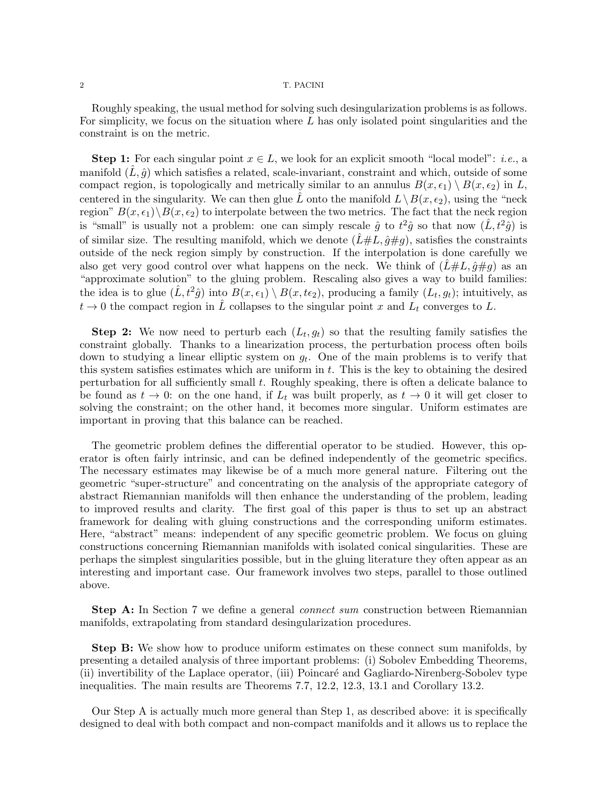Roughly speaking, the usual method for solving such desingularization problems is as follows. For simplicity, we focus on the situation where  $L$  has only isolated point singularities and the constraint is on the metric.

**Step 1:** For each singular point  $x \in L$ , we look for an explicit smooth "local model": *i.e.*, a manifold  $(\hat{L}, \hat{q})$  which satisfies a related, scale-invariant, constraint and which, outside of some compact region, is topologically and metrically similar to an annulus  $B(x, \epsilon_1) \setminus B(x, \epsilon_2)$  in L, centered in the singularity. We can then glue  $\hat{L}$  onto the manifold  $L\setminus B(x, \epsilon_2)$ , using the "neck region"  $B(x, \epsilon_1) \setminus B(x, \epsilon_2)$  to interpolate between the two metrics. The fact that the neck region is "small" is usually not a problem: one can simply rescale  $\hat{g}$  to  $t^2\hat{g}$  so that now  $(\hat{L}, t^2\hat{g})$  is of similar size. The resulting manifold, which we denote  $(\hat{L} \# L, \hat{g} \# g)$ , satisfies the constraints outside of the neck region simply by construction. If the interpolation is done carefully we also get very good control over what happens on the neck. We think of  $(\hat{L} \# L, \hat{g} \# q)$  as an "approximate solution" to the gluing problem. Rescaling also gives a way to build families: the idea is to glue  $(\hat{L}, t^2 \hat{g})$  into  $B(x, \epsilon_1) \setminus B(x, t_{\epsilon_2})$ , producing a family  $(L_t, g_t)$ ; intuitively, as  $t \to 0$  the compact region in  $\hat{L}$  collapses to the singular point x and  $L_t$  converges to L.

**Step 2:** We now need to perturb each  $(L_t, g_t)$  so that the resulting family satisfies the constraint globally. Thanks to a linearization process, the perturbation process often boils down to studying a linear elliptic system on  $g_t$ . One of the main problems is to verify that this system satisfies estimates which are uniform in  $t$ . This is the key to obtaining the desired perturbation for all sufficiently small  $t$ . Roughly speaking, there is often a delicate balance to be found as  $t \to 0$ : on the one hand, if  $L_t$  was built properly, as  $t \to 0$  it will get closer to solving the constraint; on the other hand, it becomes more singular. Uniform estimates are important in proving that this balance can be reached.

The geometric problem defines the differential operator to be studied. However, this operator is often fairly intrinsic, and can be defined independently of the geometric specifics. The necessary estimates may likewise be of a much more general nature. Filtering out the geometric "super-structure" and concentrating on the analysis of the appropriate category of abstract Riemannian manifolds will then enhance the understanding of the problem, leading to improved results and clarity. The first goal of this paper is thus to set up an abstract framework for dealing with gluing constructions and the corresponding uniform estimates. Here, "abstract" means: independent of any specific geometric problem. We focus on gluing constructions concerning Riemannian manifolds with isolated conical singularities. These are perhaps the simplest singularities possible, but in the gluing literature they often appear as an interesting and important case. Our framework involves two steps, parallel to those outlined above.

**Step A:** In Section 7 we define a general *connect sum* construction between Riemannian manifolds, extrapolating from standard desingularization procedures.

Step B: We show how to produce uniform estimates on these connect sum manifolds, by presenting a detailed analysis of three important problems: (i) Sobolev Embedding Theorems, (ii) invertibility of the Laplace operator, (iii) Poincaré and Gagliardo-Nirenberg-Sobolev type inequalities. The main results are Theorems 7.7, 12.2, 12.3, 13.1 and Corollary 13.2.

Our Step A is actually much more general than Step 1, as described above: it is specifically designed to deal with both compact and non-compact manifolds and it allows us to replace the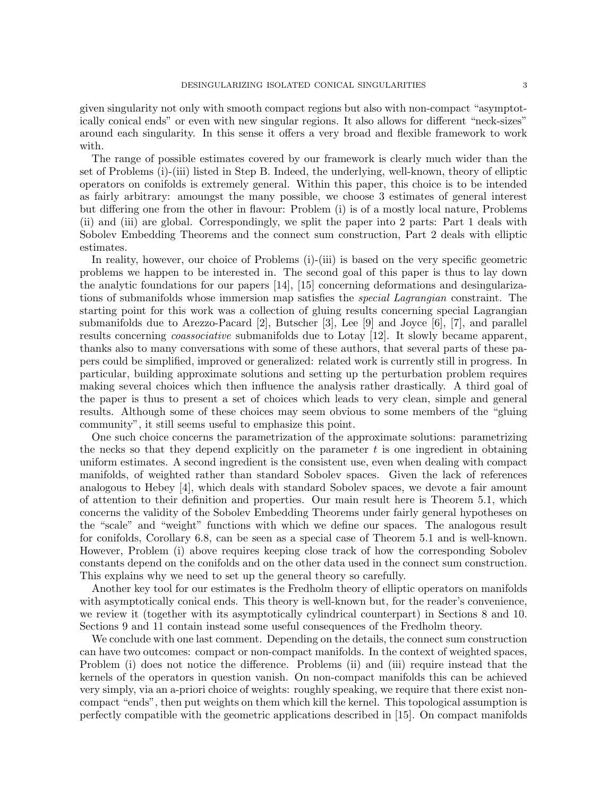given singularity not only with smooth compact regions but also with non-compact "asymptotically conical ends" or even with new singular regions. It also allows for different "neck-sizes" around each singularity. In this sense it offers a very broad and flexible framework to work with.

The range of possible estimates covered by our framework is clearly much wider than the set of Problems (i)-(iii) listed in Step B. Indeed, the underlying, well-known, theory of elliptic operators on conifolds is extremely general. Within this paper, this choice is to be intended as fairly arbitrary: amoungst the many possible, we choose 3 estimates of general interest but differing one from the other in flavour: Problem (i) is of a mostly local nature, Problems (ii) and (iii) are global. Correspondingly, we split the paper into 2 parts: Part 1 deals with Sobolev Embedding Theorems and the connect sum construction, Part 2 deals with elliptic estimates.

In reality, however, our choice of Problems (i)-(iii) is based on the very specific geometric problems we happen to be interested in. The second goal of this paper is thus to lay down the analytic foundations for our papers [14], [15] concerning deformations and desingularizations of submanifolds whose immersion map satisfies the special Lagrangian constraint. The starting point for this work was a collection of gluing results concerning special Lagrangian submanifolds due to Arezzo-Pacard [2], Butscher [3], Lee [9] and Joyce [6], [7], and parallel results concerning coassociative submanifolds due to Lotay [12]. It slowly became apparent, thanks also to many conversations with some of these authors, that several parts of these papers could be simplified, improved or generalized: related work is currently still in progress. In particular, building approximate solutions and setting up the perturbation problem requires making several choices which then influence the analysis rather drastically. A third goal of the paper is thus to present a set of choices which leads to very clean, simple and general results. Although some of these choices may seem obvious to some members of the "gluing community", it still seems useful to emphasize this point.

One such choice concerns the parametrization of the approximate solutions: parametrizing the necks so that they depend explicitly on the parameter  $t$  is one ingredient in obtaining uniform estimates. A second ingredient is the consistent use, even when dealing with compact manifolds, of weighted rather than standard Sobolev spaces. Given the lack of references analogous to Hebey [4], which deals with standard Sobolev spaces, we devote a fair amount of attention to their definition and properties. Our main result here is Theorem 5.1, which concerns the validity of the Sobolev Embedding Theorems under fairly general hypotheses on the "scale" and "weight" functions with which we define our spaces. The analogous result for conifolds, Corollary 6.8, can be seen as a special case of Theorem 5.1 and is well-known. However, Problem (i) above requires keeping close track of how the corresponding Sobolev constants depend on the conifolds and on the other data used in the connect sum construction. This explains why we need to set up the general theory so carefully.

Another key tool for our estimates is the Fredholm theory of elliptic operators on manifolds with asymptotically conical ends. This theory is well-known but, for the reader's convenience, we review it (together with its asymptotically cylindrical counterpart) in Sections 8 and 10. Sections 9 and 11 contain instead some useful consequences of the Fredholm theory.

We conclude with one last comment. Depending on the details, the connect sum construction can have two outcomes: compact or non-compact manifolds. In the context of weighted spaces, Problem (i) does not notice the difference. Problems (ii) and (iii) require instead that the kernels of the operators in question vanish. On non-compact manifolds this can be achieved very simply, via an a-priori choice of weights: roughly speaking, we require that there exist noncompact "ends", then put weights on them which kill the kernel. This topological assumption is perfectly compatible with the geometric applications described in [15]. On compact manifolds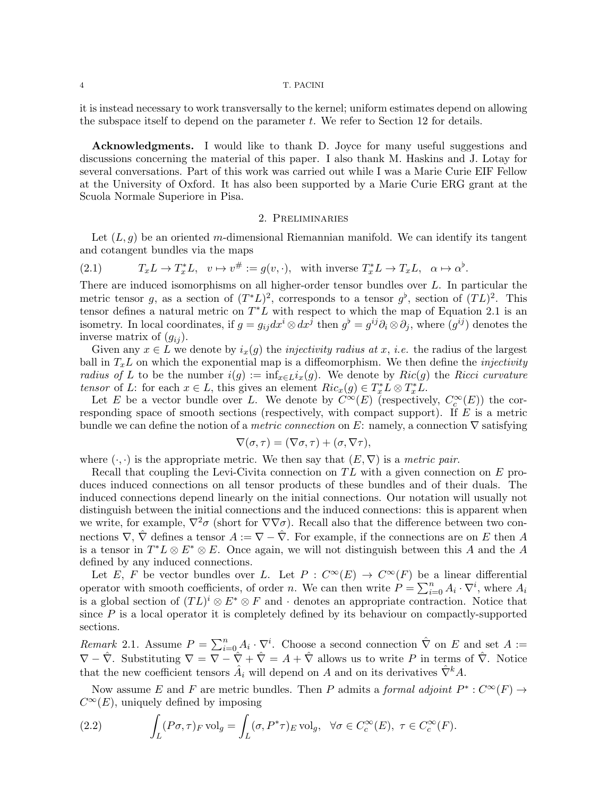it is instead necessary to work transversally to the kernel; uniform estimates depend on allowing the subspace itself to depend on the parameter  $t$ . We refer to Section 12 for details.

Acknowledgments. I would like to thank D. Joyce for many useful suggestions and discussions concerning the material of this paper. I also thank M. Haskins and J. Lotay for several conversations. Part of this work was carried out while I was a Marie Curie EIF Fellow at the University of Oxford. It has also been supported by a Marie Curie ERG grant at the Scuola Normale Superiore in Pisa.

# 2. Preliminaries

Let  $(L, g)$  be an oriented m-dimensional Riemannian manifold. We can identify its tangent and cotangent bundles via the maps

(2.1) 
$$
T_x L \to T_x^* L, \quad v \mapsto v^{\#} := g(v, \cdot), \quad \text{with inverse } T_x^* L \to T_x L, \quad \alpha \mapsto \alpha^{\flat}.
$$

There are induced isomorphisms on all higher-order tensor bundles over L. In particular the metric tensor g, as a section of  $(T^*L)^2$ , corresponds to a tensor  $g^{\flat}$ , section of  $(TL)^2$ . This tensor defines a natural metric on  $T^*L$  with respect to which the map of Equation 2.1 is an isometry. In local coordinates, if  $g = g_{ij} dx^i \otimes dx^j$  then  $g^{\flat} = g^{ij} \partial_i \otimes \partial_j$ , where  $(g^{ij})$  denotes the inverse matrix of  $(g_{ij})$ .

Given any  $x \in L$  we denote by  $i_x(g)$  the *injectivity radius at x, i.e.* the radius of the largest ball in  $T_xL$  on which the exponential map is a diffeomorphism. We then define the *injectivity* radius of L to be the number  $i(g) := \inf_{x \in L} i_x(g)$ . We denote by  $Ric(g)$  the Ricci curvature tensor of L: for each  $x \in L$ , this gives an element  $Ric_x(g) \in T_x^*L \otimes T_x^*L$ .

Let E be a vector bundle over L. We denote by  $\overline{C}^{\infty}(E)$  (respectively,  $C_c^{\infty}(E)$ ) the corresponding space of smooth sections (respectively, with compact support). If  $E$  is a metric bundle we can define the notion of a *metric connection* on E: namely, a connection  $\nabla$  satisfying

$$
\nabla(\sigma,\tau)=(\nabla\sigma,\tau)+(\sigma,\nabla\tau),
$$

where  $(\cdot, \cdot)$  is the appropriate metric. We then say that  $(E, \nabla)$  is a metric pair.

Recall that coupling the Levi-Civita connection on  $TL$  with a given connection on  $E$  produces induced connections on all tensor products of these bundles and of their duals. The induced connections depend linearly on the initial connections. Our notation will usually not distinguish between the initial connections and the induced connections: this is apparent when we write, for example,  $\nabla^2 \sigma$  (short for  $\nabla \nabla \sigma$ ). Recall also that the difference between two connections  $\nabla$ ,  $\hat{\nabla}$  defines a tensor  $A := \nabla - \hat{\nabla}$ . For example, if the connections are on E then A is a tensor in  $T^*L \otimes E^* \otimes E$ . Once again, we will not distinguish between this A and the A defined by any induced connections.

Let E, F be vector bundles over L. Let  $P: C^{\infty}(E) \to C^{\infty}(F)$  be a linear differential operator with smooth coefficients, of order n. We can then write  $P = \sum_{i=0}^{n} A_i \cdot \nabla^i$ , where  $A_i$ is a global section of  $(TL)^i \otimes E^* \otimes F$  and  $\cdot$  denotes an appropriate contraction. Notice that since  $P$  is a local operator it is completely defined by its behaviour on compactly-supported sections.

Remark 2.1. Assume  $P = \sum_{i=0}^{n} A_i \cdot \nabla^i$ . Choose a second connection  $\hat{\nabla}$  on E and set  $A :=$  $\nabla - \hat{\nabla}$ . Substituting  $\nabla = \nabla - \hat{\nabla} + \hat{\nabla} = A + \hat{\nabla}$  allows us to write P in terms of  $\hat{\nabla}$ . Notice that the new coefficient tensors  $\hat{A}_i$  will depend on A and on its derivatives  $\hat{\nabla}^k A$ .

Now assume E and F are metric bundles. Then P admits a formal adjoint  $P^* : C^{\infty}(F) \to$  $C^{\infty}(E)$ , uniquely defined by imposing

(2.2) 
$$
\int_L (P\sigma,\tau)_F \operatorname{vol}_g = \int_L (\sigma,P^*\tau)_E \operatorname{vol}_g, \quad \forall \sigma \in C_c^{\infty}(E), \ \tau \in C_c^{\infty}(F).
$$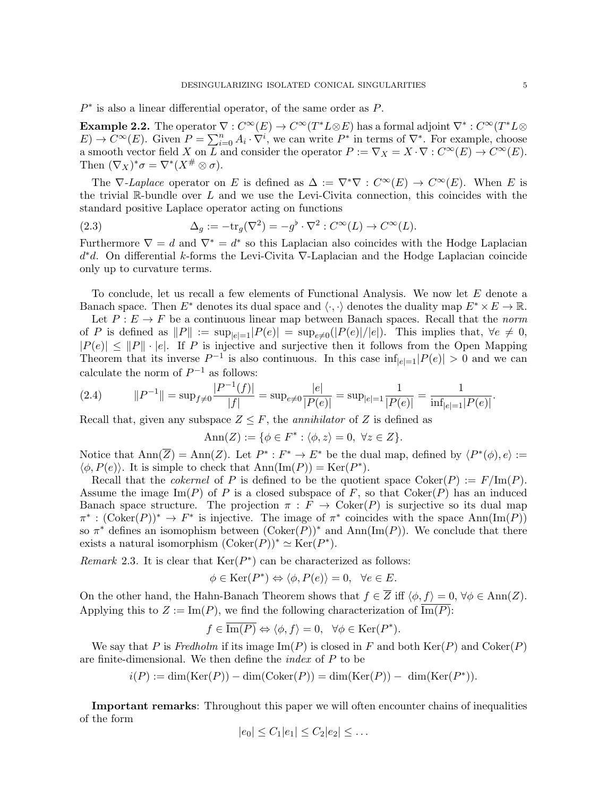$P^*$  is also a linear differential operator, of the same order as  $P$ .

**Example 2.2.** The operator  $\nabla : C^{\infty}(E) \to C^{\infty}(T^*L \otimes E)$  has a formal adjoint  $\nabla^* : C^{\infty}(T^*L \otimes E)$  $E) \to C^{\infty}(E)$ . Given  $P = \sum_{i=0}^{n} A_i \cdot \nabla^i$ , we can write  $P^*$  in terms of  $\nabla^*$ . For example, choose a smooth vector field X on  $\overline{L}$  and consider the operator  $P := \nabla_X = X \cdot \nabla : C^{\infty}(E) \to C^{\infty}(E)$ . Then  $(\nabla_X)^*\sigma = \nabla^*(X^{\#}\otimes \sigma).$ 

The  $\nabla$ -Laplace operator on E is defined as  $\Delta := \nabla^* \nabla : C^{\infty}(E) \to C^{\infty}(E)$ . When E is the trivial  $\mathbb R$ -bundle over L and we use the Levi-Civita connection, this coincides with the standard positive Laplace operator acting on functions

(2.3) 
$$
\Delta_g := -\text{tr}_g(\nabla^2) = -g^\flat \cdot \nabla^2 : C^\infty(L) \to C^\infty(L).
$$

Furthermore  $\nabla = d$  and  $\nabla^* = d^*$  so this Laplacian also coincides with the Hodge Laplacian d <sup>∗</sup>d. On differential k-forms the Levi-Civita ∇-Laplacian and the Hodge Laplacian coincide only up to curvature terms.

To conclude, let us recall a few elements of Functional Analysis. We now let E denote a Banach space. Then  $E^*$  denotes its dual space and  $\langle \cdot, \cdot \rangle$  denotes the duality map  $E^* \times E \to \mathbb{R}$ .

Let  $P: E \to F$  be a continuous linear map between Banach spaces. Recall that the norm of P is defined as  $||P|| := \sup_{|e|=1} |P(e)| = \sup_{e\neq 0} (|P(e)|/|e|)$ . This implies that,  $\forall e \neq 0$ ,  $|P(e)| \leq ||P|| \cdot |e|$ . If P is injective and surjective then it follows from the Open Mapping Theorem that its inverse  $P^{-1}$  is also continuous. In this case  $\inf_{|e|=1} |P(e)| > 0$  and we can calculate the norm of  $P^{-1}$  as follows:

(2.4) 
$$
||P^{-1}|| = \sup_{f \neq 0} \frac{|P^{-1}(f)|}{|f|} = \sup_{e \neq 0} \frac{|e|}{|P(e)|} = \sup_{|e|=1} \frac{1}{|P(e)|} = \frac{1}{\inf_{|e|=1} |P(e)|}.
$$

Recall that, given any subspace  $Z \leq F$ , the *annihilator* of Z is defined as

$$
Ann(Z) := \{ \phi \in F^* : \langle \phi, z \rangle = 0, \ \forall z \in Z \}.
$$

Notice that  $\text{Ann}(\overline{Z}) = \text{Ann}(Z)$ . Let  $P^* : F^* \to E^*$  be the dual map, defined by  $\langle P^*(\phi), e \rangle :=$  $\langle \phi, P(e) \rangle$ . It is simple to check that  $\text{Ann}(\text{Im}(P)) = \text{Ker}(P^*)$ .

Recall that the *cokernel* of P is defined to be the quotient space  $Coker(P) := F/Im(P)$ . Assume the image Im(P) of P is a closed subspace of F, so that  $Coker(P)$  has an induced Banach space structure. The projection  $\pi : F \to \text{Coker}(P)$  is surjective so its dual map  $\pi^*: (\mathrm{Coker}(P))^* \to F^*$  is injective. The image of  $\pi^*$  coincides with the space  $\mathrm{Ann}(\mathrm{Im}(P))$ so  $\pi^*$  defines an isomophism between  $(\mathrm{Coker}(P))^*$  and  $\mathrm{Ann}(\mathrm{Im}(P))$ . We conclude that there exists a natural isomorphism  $(\mathrm{Coker}(P))^* \simeq \mathrm{Ker}(P^*).$ 

Remark 2.3. It is clear that  $\text{Ker}(P^*)$  can be characterized as follows:

$$
\phi \in \text{Ker}(P^*) \Leftrightarrow \langle \phi, P(e) \rangle = 0, \ \ \forall e \in E.
$$

On the other hand, the Hahn-Banach Theorem shows that  $f \in \overline{Z}$  iff  $\langle \phi, f \rangle = 0$ ,  $\forall \phi \in Ann(Z)$ . Applying this to  $Z := \text{Im}(P)$ , we find the following characterization of  $\overline{\text{Im}(P)}$ :

$$
f \in \overline{\text{Im}(P)} \Leftrightarrow \langle \phi, f \rangle = 0, \quad \forall \phi \in \text{Ker}(P^*).
$$

We say that P is Fredholm if its image  $\text{Im}(P)$  is closed in F and both  $\text{Ker}(P)$  and  $\text{Coker}(P)$ are finite-dimensional. We then define the  $index$  of  $P$  to be

$$
i(P) := \dim(\text{Ker}(P)) - \dim(\text{Coker}(P)) = \dim(\text{Ker}(P)) - \dim(\text{Ker}(P^*)).
$$

Important remarks: Throughout this paper we will often encounter chains of inequalities of the form

$$
|e_0| \leq C_1|e_1| \leq C_2|e_2| \leq \dots
$$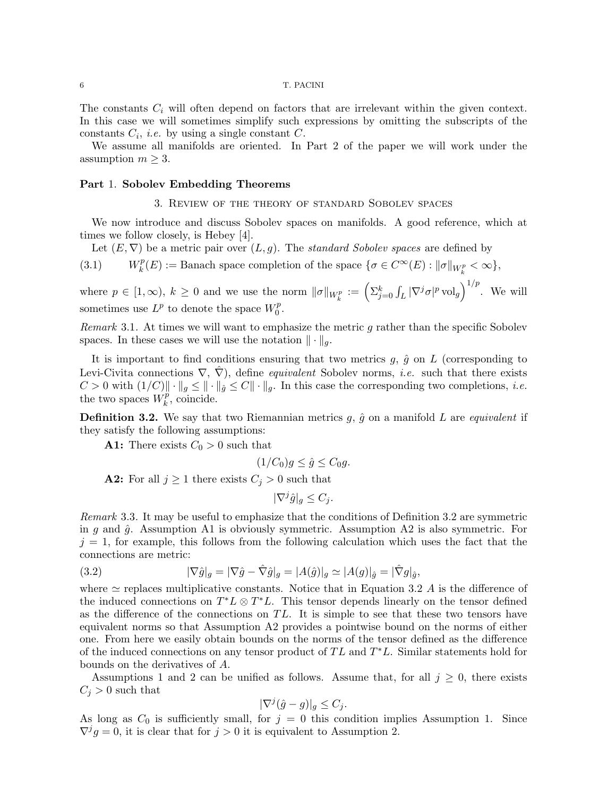The constants  $C_i$  will often depend on factors that are irrelevant within the given context. In this case we will sometimes simplify such expressions by omitting the subscripts of the constants  $C_i$ , *i.e.* by using a single constant  $C$ .

We assume all manifolds are oriented. In Part 2 of the paper we will work under the assumption  $m \geq 3$ .

### Part 1. Sobolev Embedding Theorems

# 3. Review of the theory of standard Sobolev spaces

We now introduce and discuss Sobolev spaces on manifolds. A good reference, which at times we follow closely, is Hebey [4].

Let  $(E, \nabla)$  be a metric pair over  $(L, g)$ . The *standard Sobolev spaces* are defined by

 $(3.1)$ p  $k(E) := \text{Banach space completion of the space } \{ \sigma \in C^{\infty}(E) : ||\sigma||_{W^p_k} < \infty \},$ 

where  $p \in [1,\infty)$ ,  $k \geq 0$  and we use the norm  $\|\sigma\|_{W^p_k} := \left(\sum_{j=0}^k \int_L |\nabla^j \sigma|^p \,\mathrm{vol}_g\right)^{1/p}$ . We will sometimes use  $L^p$  to denote the space  $W_0^p$  $\stackrel{p}{\scriptstyle 0}$ .

Remark 3.1. At times we will want to emphasize the metric g rather than the specific Sobolev spaces. In these cases we will use the notation  $\|\cdot\|_q$ .

It is important to find conditions ensuring that two metrics  $g, \hat{g}$  on L (corresponding to Levi-Civita connections  $\nabla, \nabla$ , define *equivalent* Sobolev norms, *i.e.* such that there exists  $C > 0$  with  $(1/C) \|\cdot\|_g \leq \|\cdot\|_{\hat{g}} \leq C \|\cdot\|_g$ . In this case the corresponding two completions, *i.e.* the two spaces  $\hat{W}_{k}^{p}$  $k^p$ , coincide.

**Definition 3.2.** We say that two Riemannian metrics  $g$ ,  $\hat{g}$  on a manifold L are *equivalent* if they satisfy the following assumptions:

**A1:** There exists  $C_0 > 0$  such that

$$
(1/C_0)g \le \hat{g} \le C_0g.
$$

**A2:** For all  $j \ge 1$  there exists  $C_j > 0$  such that

$$
|\nabla^j \hat{g}|_g \le C_j.
$$

Remark 3.3. It may be useful to emphasize that the conditions of Definition 3.2 are symmetric in g and  $\hat{g}$ . Assumption A1 is obviously symmetric. Assumption A2 is also symmetric. For  $j = 1$ , for example, this follows from the following calculation which uses the fact that the connections are metric:

(3.2) 
$$
|\nabla \hat{g}|_g = |\nabla \hat{g} - \hat{\nabla} \hat{g}|_g = |A(\hat{g})|_g \simeq |A(g)|_{\hat{g}} = |\hat{\nabla} g|_{\hat{g}},
$$

where  $\simeq$  replaces multiplicative constants. Notice that in Equation 3.2 A is the difference of the induced connections on  $T^*L \otimes T^*L$ . This tensor depends linearly on the tensor defined as the difference of the connections on  $TL$ . It is simple to see that these two tensors have equivalent norms so that Assumption A2 provides a pointwise bound on the norms of either one. From here we easily obtain bounds on the norms of the tensor defined as the difference of the induced connections on any tensor product of  $TL$  and  $T^*L$ . Similar statements hold for bounds on the derivatives of A.

Assumptions 1 and 2 can be unified as follows. Assume that, for all  $j \geq 0$ , there exists  $C_j > 0$  such that

$$
|\nabla^j(\hat{g}-g)|_g \le C_j.
$$

As long as  $C_0$  is sufficiently small, for  $j = 0$  this condition implies Assumption 1. Since  $\nabla^j g = 0$ , it is clear that for  $j > 0$  it is equivalent to Assumption 2.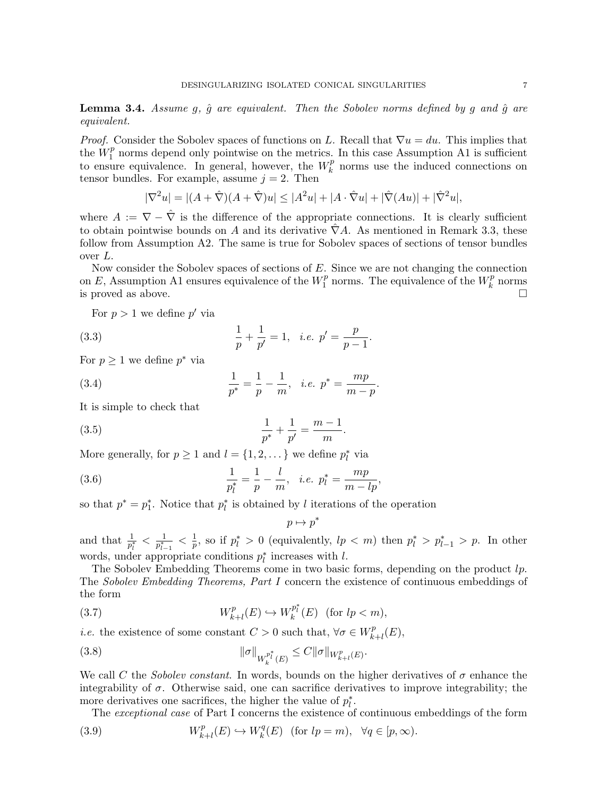**Lemma 3.4.** Assume g,  $\hat{g}$  are equivalent. Then the Sobolev norms defined by g and  $\hat{g}$  are equivalent.

*Proof.* Consider the Sobolev spaces of functions on L. Recall that  $\nabla u = du$ . This implies that the  $\overset{\circ}{W}{}_1^p$  $1<sup>p</sup>$  norms depend only pointwise on the metrics. In this case Assumption A1 is sufficient to ensure equivalence. In general, however, the  $W_k^p$  $\binom{p}{k}$  norms use the induced connections on tensor bundles. For example, assume  $j = 2$ . Then

$$
|\nabla^2 u| = |(A + \hat{\nabla})(A + \hat{\nabla})u| \le |A^2 u| + |A \cdot \hat{\nabla} u| + |\hat{\nabla}(Au)| + |\hat{\nabla}^2 u|,
$$

where  $A := \nabla - \hat{\nabla}$  is the difference of the appropriate connections. It is clearly sufficient to obtain pointwise bounds on A and its derivative  $\hat{\nabla}A$ . As mentioned in Remark 3.3, these follow from Assumption A2. The same is true for Sobolev spaces of sections of tensor bundles over L.

Now consider the Sobolev spaces of sections of E. Since we are not changing the connection on E, Assumption A1 ensures equivalence of the  $W_1^p$  $\frac{p}{1}$  norms. The equivalence of the  $W_k^p$  $\frac{p}{k}$  norms is proved as above.  $\Box$ 

.

For  $p > 1$  we define  $p'$  via

(3.3) 
$$
\frac{1}{p} + \frac{1}{p'} = 1, \quad i.e. \quad p' = \frac{p}{p-1}.
$$

For  $p \geq 1$  we define  $p^*$  via

(3.4) 
$$
\frac{1}{p^*} = \frac{1}{p} - \frac{1}{m}, \quad i.e. \quad p^* = \frac{mp}{m-p}
$$

It is simple to check that

(3.5) 
$$
\frac{1}{p^*} + \frac{1}{p'} = \frac{m-1}{m}.
$$

More generally, for  $p \ge 1$  and  $l = \{1, 2, \dots\}$  we define  $p_l^*$  via

(3.6) 
$$
\frac{1}{p_l^*} = \frac{1}{p} - \frac{l}{m}, \quad i.e. \quad p_l^* = \frac{mp}{m - lp},
$$

so that  $p^* = p_1^*$ . Notice that  $p_l^*$  is obtained by l iterations of the operation

$$
p\mapsto p^*
$$

and that  $\frac{1}{p_l^*} < \frac{1}{p_{l-}^*}$  $\frac{1}{p_{l-1}^*} < \frac{1}{p}$  $\frac{1}{p}$ , so if  $p_l^* > 0$  (equivalently,  $lp < m$ ) then  $p_l^* > p_{l-1}^* > p$ . In other words, under appropriate conditions  $p_l^*$  increases with l.

The Sobolev Embedding Theorems come in two basic forms, depending on the product lp. The Sobolev Embedding Theorems, Part I concern the existence of continuous embeddings of the form

(3.7) 
$$
W_{k+l}^p(E) \hookrightarrow W_k^{p_i^*}(E) \quad (\text{for } lp < m),
$$

*i.e.* the existence of some constant  $C > 0$  such that,  $\forall \sigma \in W_k^p$ .  ${}_{k+l}^{p}(E),$ 

(3.8) 
$$
\|\sigma\|_{W^{p^*}_{k}(E)} \leq C \|\sigma\|_{W^{p}_{k+l}(E)}.
$$

We call C the Sobolev constant. In words, bounds on the higher derivatives of  $\sigma$  enhance the integrability of  $\sigma$ . Otherwise said, one can sacrifice derivatives to improve integrability; the more derivatives one sacrifices, the higher the value of  $p_l^*$ .

The exceptional case of Part I concerns the existence of continuous embeddings of the form

(3.9) 
$$
W_{k+l}^p(E) \hookrightarrow W_k^q(E) \text{ (for } lp = m), \forall q \in [p, \infty).
$$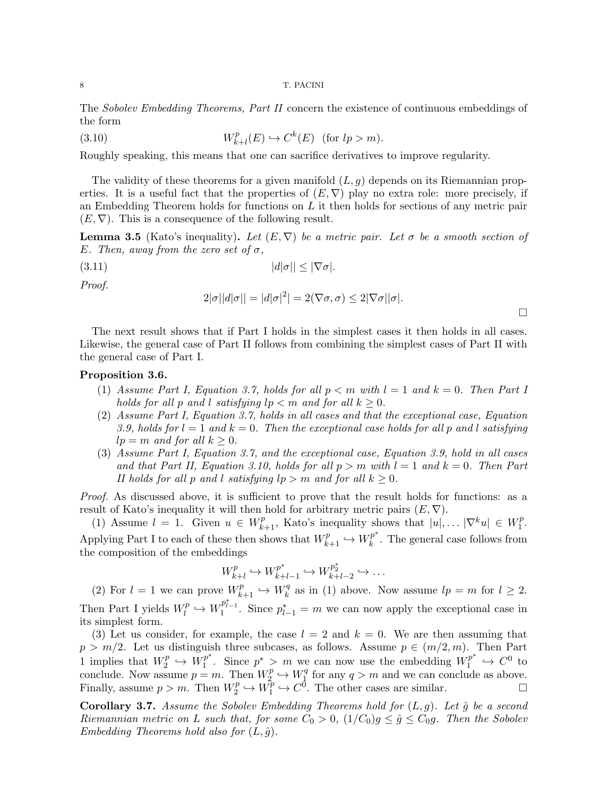The Sobolev Embedding Theorems, Part II concern the existence of continuous embeddings of the form

(3.10) 
$$
W_{k+l}^p(E) \hookrightarrow C^k(E) \quad \text{(for } lp > m\text{).}
$$

Roughly speaking, this means that one can sacrifice derivatives to improve regularity.

The validity of these theorems for a given manifold  $(L, g)$  depends on its Riemannian properties. It is a useful fact that the properties of  $(E, \nabla)$  play no extra role: more precisely, if an Embedding Theorem holds for functions on  $L$  it then holds for sections of any metric pair  $(E, \nabla)$ . This is a consequence of the following result.

**Lemma 3.5** (Kato's inequality). Let  $(E, \nabla)$  be a metric pair. Let  $\sigma$  be a smooth section of E. Then, away from the zero set of  $\sigma$ ,

$$
(3.11) \t\t |d|\sigma|| \le |\nabla \sigma|.
$$

Proof.

$$
2|\sigma||d|\sigma|| = |d|\sigma|^2 = 2(\nabla \sigma, \sigma) \le 2|\nabla \sigma||\sigma|.
$$

 $\Box$ 

The next result shows that if Part I holds in the simplest cases it then holds in all cases. Likewise, the general case of Part II follows from combining the simplest cases of Part II with the general case of Part I.

# Proposition 3.6.

- (1) Assume Part I, Equation 3.7, holds for all  $p < m$  with  $l = 1$  and  $k = 0$ . Then Part I holds for all p and l satisfying  $lp < m$  and for all  $k \geq 0$ .
- (2) Assume Part I, Equation 3.7, holds in all cases and that the exceptional case, Equation 3.9, holds for  $l = 1$  and  $k = 0$ . Then the exceptional case holds for all p and l satisfying  $lp = m$  and for all  $k \geq 0$ .
- (3) Assume Part I, Equation 3.7, and the exceptional case, Equation 3.9, hold in all cases and that Part II, Equation 3.10, holds for all  $p > m$  with  $l = 1$  and  $k = 0$ . Then Part II holds for all p and l satisfying  $lp > m$  and for all  $k \geq 0$ .

Proof. As discussed above, it is sufficient to prove that the result holds for functions: as a result of Kato's inequality it will then hold for arbitrary metric pairs  $(E, \nabla)$ .

(1) Assume  $l = 1$ . Given  $u \in W_{k+1}^p$ , Kato's inequality shows that  $|u|, \ldots |\nabla^k u| \in W_1^p$  $\frac{p}{1}$ . Applying Part I to each of these then shows that  $W_{k+1}^p \hookrightarrow W_k^{p^*}$  $\binom{p}{k}$ . The general case follows from the composition of the embeddings

$$
W_{k+l}^p \hookrightarrow W_{k+l-1}^{p^*} \hookrightarrow W_{k+l-2}^{p^*} \hookrightarrow \dots
$$

(2) For  $l = 1$  we can prove  $W_{k+1}^p \hookrightarrow W_k^q$  $k<sup>q</sup>$  as in (1) above. Now assume  $lp = m$  for  $l \geq 2$ . Then Part I yields  $W_l^p$  $\ell_l^p \hookrightarrow W_1^{p_{l-1}^*}$ . Since  $p_{l-1}^* = m$  we can now apply the exceptional case in its simplest form.

(3) Let us consider, for example, the case  $l = 2$  and  $k = 0$ . We are then assuming that  $p > m/2$ . Let us distinguish three subcases, as follows. Assume  $p \in (m/2, m)$ . Then Part 1 implies that  $W_2^p$  $x_2^p \hookrightarrow W_1^{p^*}$  $p^*$ . Since  $p^* > m$  we can now use the embedding  $W_1^{p^*}$  $I_1^{p^*} \hookrightarrow C^0$  to conclude. Now assume  $p = m$ . Then  $W_2^p$  $x_2^p \hookrightarrow W_1^q$  $\frac{q}{1}$  for any  $q > m$  and we can conclude as above. Finally, assume  $p > m$ . Then  $W_2^p$  $x_2^p \hookrightarrow W_1^p$  $L_1^p \hookrightarrow C^0$ . The other cases are similar.

**Corollary 3.7.** Assume the Sobolev Embedding Theorems hold for  $(L, q)$ . Let  $\hat{q}$  be a second Riemannian metric on L such that, for some  $C_0 > 0$ ,  $(1/C_0)g \le \hat{g} \le C_0g$ . Then the Sobolev Embedding Theorems hold also for  $(L, \hat{g})$ .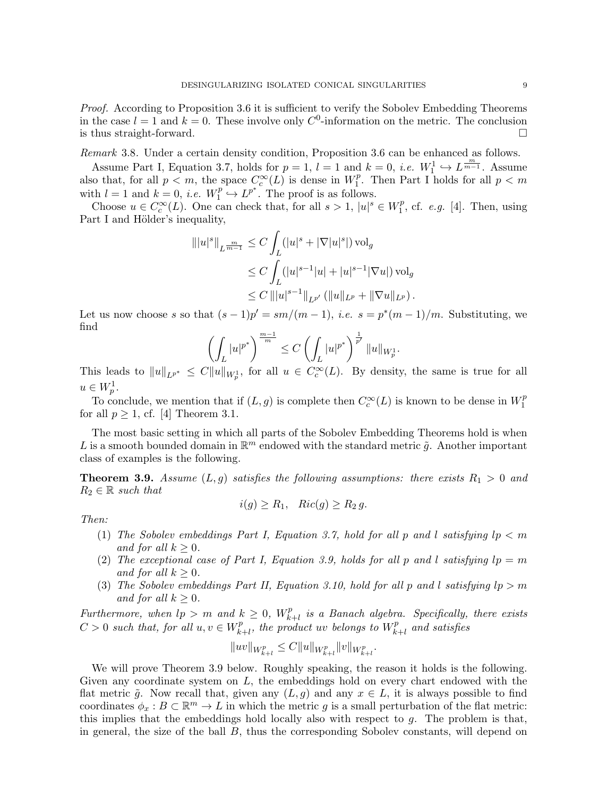Proof. According to Proposition 3.6 it is sufficient to verify the Sobolev Embedding Theorems in the case  $l = 1$  and  $k = 0$ . These involve only  $C^0$ -information on the metric. The conclusion is thus straight-forward.  $\square$ 

Remark 3.8. Under a certain density condition, Proposition 3.6 can be enhanced as follows.

Assume Part I, Equation 3.7, holds for  $p = 1$ ,  $l = 1$  and  $k = 0$ , *i.e.*  $W_1^1 \hookrightarrow L^{\frac{m}{m-1}}$ . Assume also that, for all  $p < m$ , the space  $C_c^{\infty}(L)$  is dense in  $W_1^p$  $1^p$ . Then Part I holds for all  $p < m$ with  $l = 1$  and  $k = 0$ , *i.e.*  $W_1^p$  $L^{p} \hookrightarrow L^{p^*}$ . The proof is as follows.

Choose  $u \in C_c^{\infty}(L)$ . One can check that, for all  $s > 1$ ,  $|u|^s \in W_1^p$  $i_1^p$ , cf. *e.g.* [4]. Then, using Part I and Hölder's inequality,

$$
\| |u|^s \|_{L^{\frac{m}{m-1}}} \leq C \int_L (|u|^s + |\nabla |u|^s|) \operatorname{vol}_g
$$
  
\n
$$
\leq C \int_L (|u|^{s-1} |u| + |u|^{s-1} |\nabla u|) \operatorname{vol}_g
$$
  
\n
$$
\leq C \, \| |u|^{s-1} \|_{L^{p'}} \left( \| u \|_{L^p} + \|\nabla u \|_{L^p} \right).
$$

Let us now choose s so that  $(s-1)p' = sm/(m-1)$ , *i.e.*  $s = p^*(m-1)/m$ . Substituting, we find

$$
\left(\int_L |u|^{p^*}\right)^{\frac{m-1}{m}} \le C \left(\int_L |u|^{p^*}\right)^{\frac{1}{p'}} \|u\|_{W_p^1}.
$$

This leads to  $||u||_{L^{p^*}} \leq C||u||_{W_p^1}$ , for all  $u \in C_c^{\infty}(L)$ . By density, the same is true for all  $u \in W_p^1$ .

To conclude, we mention that if  $(L, g)$  is complete then  $C_c^{\infty}(L)$  is known to be dense in  $W_1^p$ 1 for all  $p \geq 1$ , cf. [4] Theorem 3.1.

The most basic setting in which all parts of the Sobolev Embedding Theorems hold is when L is a smooth bounded domain in  $\mathbb{R}^m$  endowed with the standard metric  $\tilde{g}$ . Another important class of examples is the following.

**Theorem 3.9.** Assume  $(L, g)$  satisfies the following assumptions: there exists  $R_1 > 0$  and  $R_2 \in \mathbb{R}$  such that

$$
i(g) \ge R_1, \quad Ric(g) \ge R_2 g.
$$

Then:

- (1) The Sobolev embeddings Part I, Equation 3.7, hold for all p and l satisfying  $lp < m$ and for all  $k > 0$ .
- (2) The exceptional case of Part I, Equation 3.9, holds for all p and l satisfying  $lp = m$ and for all  $k \geq 0$ .
- (3) The Sobolev embeddings Part II, Equation 3.10, hold for all p and l satisfying  $lp > m$ and for all  $k \geq 0$ .

Furthermore, when  $lp > m$  and  $k \geq 0$ ,  $W_k^p$ .  $\sum_{k+l}^{p}$  is a Banach algebra. Specifically, there exists  $C > 0$  such that, for all  $u, v \in W_{\nu}^p$ .  $\sum_{k+l}^{p}$ , the product uv belongs to  $W_k^p$  $\mathcal{L}_{k+l}^{p}$  and satisfies

$$
||uv||_{W^p_{k+l}} \leq C||u||_{W^p_{k+l}} ||v||_{W^p_{k+l}}.
$$

We will prove Theorem 3.9 below. Roughly speaking, the reason it holds is the following. Given any coordinate system on L, the embeddings hold on every chart endowed with the flat metric  $\tilde{g}$ . Now recall that, given any  $(L, g)$  and any  $x \in L$ , it is always possible to find coordinates  $\phi_x : B \subset \mathbb{R}^m \to L$  in which the metric g is a small perturbation of the flat metric: this implies that the embeddings hold locally also with respect to  $g$ . The problem is that, in general, the size of the ball B, thus the corresponding Sobolev constants, will depend on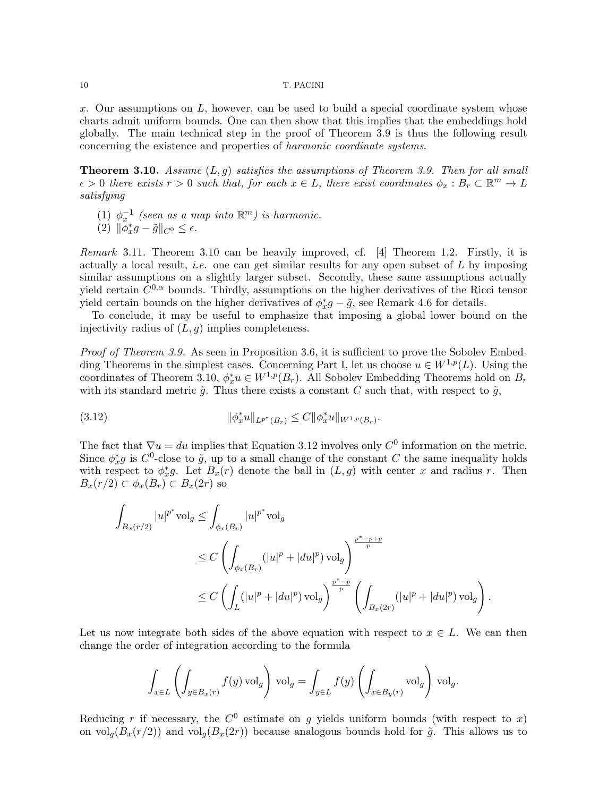$x$ . Our assumptions on  $L$ , however, can be used to build a special coordinate system whose charts admit uniform bounds. One can then show that this implies that the embeddings hold globally. The main technical step in the proof of Theorem 3.9 is thus the following result concerning the existence and properties of harmonic coordinate systems.

**Theorem 3.10.** Assume  $(L, q)$  satisfies the assumptions of Theorem 3.9. Then for all small  $\epsilon > 0$  there exists  $r > 0$  such that, for each  $x \in L$ , there exist coordinates  $\phi_x : B_r \subset \mathbb{R}^m \to L$ satisfying

(1)  $\phi_x^{-1}$  (seen as a map into  $\mathbb{R}^m$ ) is harmonic.

$$
(2) \|\tilde{\phi}_x^* g - \tilde{g}\|_{C^0} \le \epsilon.
$$

Remark 3.11. Theorem 3.10 can be heavily improved, cf. [4] Theorem 1.2. Firstly, it is actually a local result, *i.e.* one can get similar results for any open subset of  $L$  by imposing similar assumptions on a slightly larger subset. Secondly, these same assumptions actually yield certain  $C^{0,\alpha}$  bounds. Thirdly, assumptions on the higher derivatives of the Ricci tensor yield certain bounds on the higher derivatives of  $\phi_x^* g - \tilde{g}$ , see Remark 4.6 for details.

To conclude, it may be useful to emphasize that imposing a global lower bound on the injectivity radius of  $(L, q)$  implies completeness.

Proof of Theorem 3.9. As seen in Proposition 3.6, it is sufficient to prove the Sobolev Embedding Theorems in the simplest cases. Concerning Part I, let us choose  $u \in W^{1,p}(L)$ . Using the coordinates of Theorem 3.10,  $\phi_x^* u \in W^{1,p}(B_r)$ . All Sobolev Embedding Theorems hold on  $B_r$ with its standard metric  $\tilde{g}$ . Thus there exists a constant C such that, with respect to  $\tilde{g}$ ,

(3.12) 
$$
\|\phi_x^* u\|_{L^{p^*}(B_r)} \leq C \|\phi_x^* u\|_{W^{1,p}(B_r)}.
$$

The fact that  $\nabla u = du$  implies that Equation 3.12 involves only  $C^0$  information on the metric. Since  $\phi_x^*g$  is  $C^0$ -close to  $\tilde{g}$ , up to a small change of the constant C the same inequality holds with respect to  $\phi_x^*g$ . Let  $B_x(r)$  denote the ball in  $(L, g)$  with center x and radius r. Then  $B_x(r/2) \subset \phi_x(B_r) \subset B_x(2r)$  so

$$
\int_{B_x(r/2)} |u|^{p^*} \text{vol}_g \le \int_{\phi_x(B_r)} |u|^{p^*} \text{vol}_g
$$
\n
$$
\le C \left( \int_{\phi_x(B_r)} (|u|^p + |du|^p) \text{ vol}_g \right)^{\frac{p^* - p + p}{p}}
$$
\n
$$
\le C \left( \int_L (|u|^p + |du|^p) \text{ vol}_g \right)^{\frac{p^* - p}{p}} \left( \int_{B_x(2r)} (|u|^p + |du|^p) \text{ vol}_g \right).
$$

Let us now integrate both sides of the above equation with respect to  $x \in L$ . We can then change the order of integration according to the formula

$$
\int_{x \in L} \left( \int_{y \in B_x(r)} f(y) \operatorname{vol}_g \right) \operatorname{vol}_g = \int_{y \in L} f(y) \left( \int_{x \in B_y(r)} \operatorname{vol}_g \right) \operatorname{vol}_g.
$$

Reducing r if necessary, the  $C^0$  estimate on g yields uniform bounds (with respect to x) on  $\text{vol}_q(B_x(r/2))$  and  $\text{vol}_q(B_x(2r))$  because analogous bounds hold for  $\tilde{g}$ . This allows us to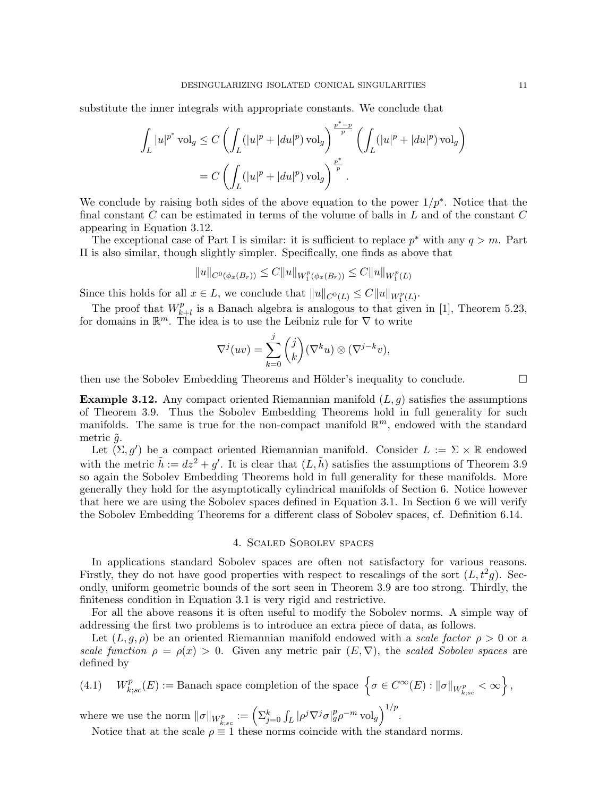substitute the inner integrals with appropriate constants. We conclude that

$$
\int_{L} |u|^{p^*} \operatorname{vol}_g \le C \left( \int_{L} (|u|^p + |du|^p) \operatorname{vol}_g \right)^{\frac{p^* - p}{p}} \left( \int_{L} (|u|^p + |du|^p) \operatorname{vol}_g \right)
$$
  
=  $C \left( \int_{L} (|u|^p + |du|^p) \operatorname{vol}_g \right)^{\frac{p^*}{p}}.$ 

We conclude by raising both sides of the above equation to the power  $1/p^*$ . Notice that the final constant  $C$  can be estimated in terms of the volume of balls in  $L$  and of the constant  $C$ appearing in Equation 3.12.

The exceptional case of Part I is similar: it is sufficient to replace  $p^*$  with any  $q > m$ . Part II is also similar, though slightly simpler. Specifically, one finds as above that

$$
||u||_{C^{0}(\phi_{x}(B_{r}))} \leq C||u||_{W_{1}^{p}(\phi_{x}(B_{r}))} \leq C||u||_{W_{1}^{p}(L)}
$$

Since this holds for all  $x \in L$ , we conclude that  $||u||_{C^0(L)} \leq C||u||_{W_1^p(L)}$ .

metric  $\tilde{q}$ .

The proof that  $W_k^p$  $_{k+l}^{p}$  is a Banach algebra is analogous to that given in [1], Theorem 5.23, for domains in  $\mathbb{R}^m$ . The idea is to use the Leibniz rule for  $\nabla$  to write

$$
\nabla^{j}(uv) = \sum_{k=0}^{j} {j \choose k} (\nabla^{k} u) \otimes (\nabla^{j-k} v),
$$

then use the Sobolev Embedding Theorems and Hölder's inequality to conclude.  $\Box$ 

**Example 3.12.** Any compact oriented Riemannian manifold  $(L, g)$  satisfies the assumptions of Theorem 3.9. Thus the Sobolev Embedding Theorems hold in full generality for such manifolds. The same is true for the non-compact manifold  $\mathbb{R}^m$ , endowed with the standard

Let  $(\Sigma, g')$  be a compact oriented Riemannian manifold. Consider  $L := \Sigma \times \mathbb{R}$  endowed with the metric  $\tilde{h} := dz^2 + g'$ . It is clear that  $(L, \tilde{h})$  satisfies the assumptions of Theorem 3.9 so again the Sobolev Embedding Theorems hold in full generality for these manifolds. More generally they hold for the asymptotically cylindrical manifolds of Section 6. Notice however that here we are using the Sobolev spaces defined in Equation 3.1. In Section 6 we will verify the Sobolev Embedding Theorems for a different class of Sobolev spaces, cf. Definition 6.14.

# 4. Scaled Sobolev spaces

In applications standard Sobolev spaces are often not satisfactory for various reasons. Firstly, they do not have good properties with respect to rescalings of the sort  $(L, t<sup>2</sup>g)$ . Secondly, uniform geometric bounds of the sort seen in Theorem 3.9 are too strong. Thirdly, the finiteness condition in Equation 3.1 is very rigid and restrictive.

For all the above reasons it is often useful to modify the Sobolev norms. A simple way of addressing the first two problems is to introduce an extra piece of data, as follows.

Let  $(L, g, \rho)$  be an oriented Riemannian manifold endowed with a scale factor  $\rho > 0$  or a scale function  $\rho = \rho(x) > 0$ . Given any metric pair  $(E, \nabla)$ , the scaled Sobolev spaces are defined by

 $(4.1)$ p  $\mathcal{E}_{k;sc}^p(E) := \text{Banach space completion of the space } \left\{ \sigma \in C^\infty(E) : \|\sigma\|_{W_{k;sc}^p} < \infty \right\},$ 

where we use the norm  $\|\sigma\|_{W^p_{k;sc}} := \left(\sum_{j=0}^k \int_L |\rho^j \nabla^j \sigma|_g^p \rho^{-m} \operatorname{vol}_g \right)^{1/p}$ .

Notice that at the scale  $\rho \equiv 1$  these norms coincide with the standard norms.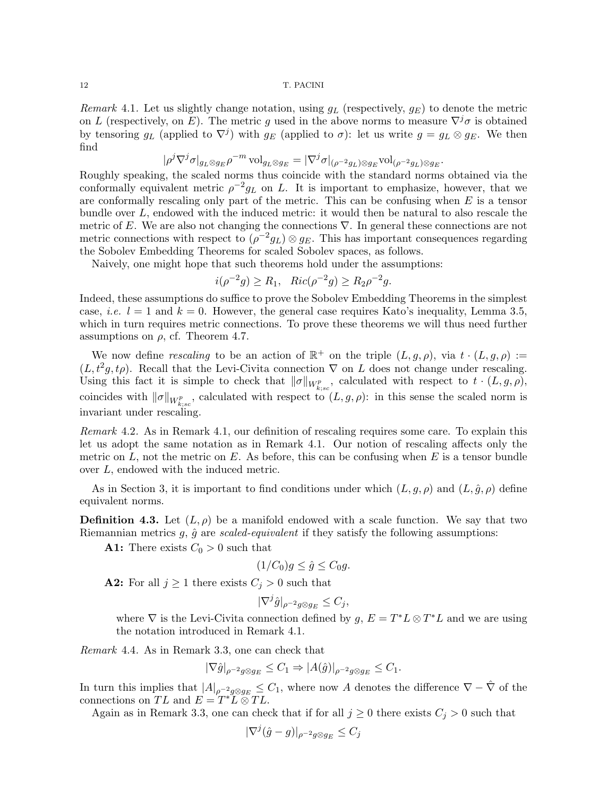Remark 4.1. Let us slightly change notation, using  $g_L$  (respectively,  $g_E$ ) to denote the metric on L (respectively, on E). The metric g used in the above norms to measure  $\nabla^j \sigma$  is obtained by tensoring  $g_L$  (applied to  $\nabla^j$ ) with  $g_E$  (applied to  $\sigma$ ): let us write  $g = g_L \otimes g_E$ . We then find

$$
|\rho^j\nabla^j\sigma|_{g_L\otimes g_E}\rho^{-m}\operatorname{vol}_{g_L\otimes g_E}=|\nabla^j\sigma|_{(\rho^{-2}g_L)\otimes g_E}\operatorname{vol}_{(\rho^{-2}g_L)\otimes g_E}.
$$

Roughly speaking, the scaled norms thus coincide with the standard norms obtained via the conformally equivalent metric  $\rho^{-2}g_L$  on L. It is important to emphasize, however, that we are conformally rescaling only part of the metric. This can be confusing when  $E$  is a tensor bundle over L, endowed with the induced metric: it would then be natural to also rescale the metric of E. We are also not changing the connections  $\nabla$ . In general these connections are not metric connections with respect to  $(\rho^{-2}g_L)\otimes g_E$ . This has important consequences regarding the Sobolev Embedding Theorems for scaled Sobolev spaces, as follows.

Naively, one might hope that such theorems hold under the assumptions:

$$
i(\rho^{-2}g) \ge R_1
$$
,  $Ric(\rho^{-2}g) \ge R_2\rho^{-2}g$ .

Indeed, these assumptions do suffice to prove the Sobolev Embedding Theorems in the simplest case, *i.e.*  $l = 1$  and  $k = 0$ . However, the general case requires Kato's inequality, Lemma 3.5, which in turn requires metric connections. To prove these theorems we will thus need further assumptions on  $\rho$ , cf. Theorem 4.7.

We now define rescaling to be an action of  $\mathbb{R}^+$  on the triple  $(L, g, \rho)$ , via  $t \cdot (L, g, \rho) :=$  $(L, t<sup>2</sup>g, t\rho)$ . Recall that the Levi-Civita connection  $\nabla$  on L does not change under rescaling. Using this fact it is simple to check that  $\|\sigma\|_{W^p_{k;sc}}$ , calculated with respect to  $t \cdot (L,g,\rho)$ , coincides with  $\|\sigma\|_{W^p_{k;sc}}$ , calculated with respect to  $(L, g, \rho)$ : in this sense the scaled norm is invariant under rescaling.

Remark 4.2. As in Remark 4.1, our definition of rescaling requires some care. To explain this let us adopt the same notation as in Remark 4.1. Our notion of rescaling affects only the metric on  $L$ , not the metric on  $E$ . As before, this can be confusing when  $E$  is a tensor bundle over L, endowed with the induced metric.

As in Section 3, it is important to find conditions under which  $(L, g, \rho)$  and  $(L, \hat{g}, \rho)$  define equivalent norms.

**Definition 4.3.** Let  $(L, \rho)$  be a manifold endowed with a scale function. We say that two Riemannian metrics  $g, \hat{g}$  are scaled-equivalent if they satisfy the following assumptions:

**A1:** There exists  $C_0 > 0$  such that

$$
(1/C_0)g \le \hat{g} \le C_0g.
$$

**A2:** For all  $j \ge 1$  there exists  $C_j > 0$  such that

$$
|\nabla^j \hat{g}|_{\rho^{-2}g \otimes g_E} \leq C_j,
$$

where  $\nabla$  is the Levi-Civita connection defined by  $g, E = T^*L \otimes T^*L$  and we are using the notation introduced in Remark 4.1.

Remark 4.4. As in Remark 3.3, one can check that

$$
|\nabla \hat{g}|_{\rho^{-2}g \otimes g_E} \le C_1 \Rightarrow |A(\hat{g})|_{\rho^{-2}g \otimes g_E} \le C_1.
$$

In turn this implies that  $|A|_{\rho^{-2}g\otimes g_E} \leq C_1$ , where now A denotes the difference  $\nabla - \hat{\nabla}$  of the connections on TL and  $E = T^* L \otimes T L$ .

Again as in Remark 3.3, one can check that if for all  $j \geq 0$  there exists  $C_j > 0$  such that

$$
|\nabla^j(\hat{g}-g)|_{\rho^{-2}g\otimes g_E}\leq C_j
$$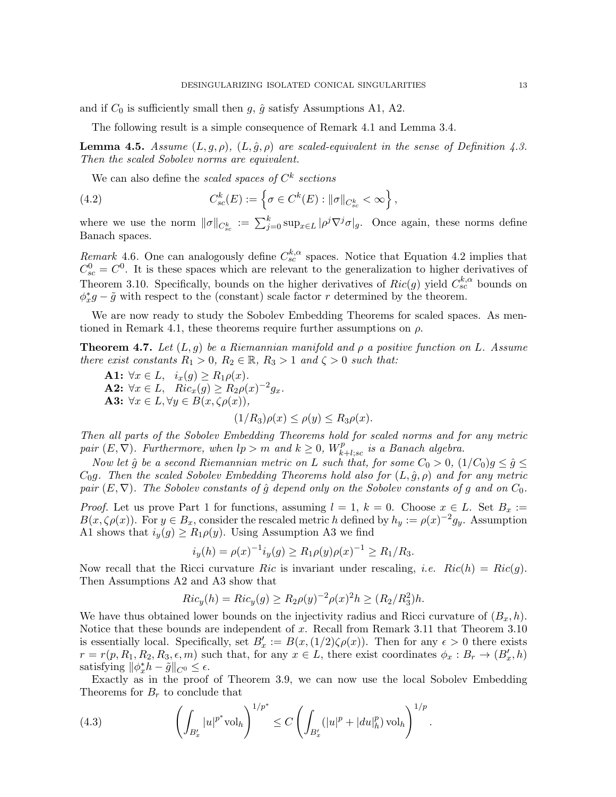and if  $C_0$  is sufficiently small then g,  $\hat{g}$  satisfy Assumptions A1, A2.

The following result is a simple consequence of Remark 4.1 and Lemma 3.4.

**Lemma 4.5.** Assume  $(L, g, \rho)$ ,  $(L, \hat{g}, \rho)$  are scaled-equivalent in the sense of Definition 4.3. Then the scaled Sobolev norms are equivalent.

We can also define the *scaled spaces of*  $C^k$  *sections* 

(4.2) 
$$
C_{sc}^{k}(E) := \left\{ \sigma \in C^{k}(E) : ||\sigma||_{C_{sc}^{k}} < \infty \right\},
$$

where we use the norm  $\|\sigma\|_{C_{sc}^k} := \sum_{j=0}^k \sup_{x \in L} |\rho^j \nabla^j \sigma|_g$ . Once again, these norms define Banach spaces.

Remark 4.6. One can analogously define  $C_{sc}^{k,\alpha}$  spaces. Notice that Equation 4.2 implies that  $C_{sc}^{0} = C^{0}$ . It is these spaces which are relevant to the generalization to higher derivatives of Theorem 3.10. Specifically, bounds on the higher derivatives of  $Ric(g)$  yield  $C_{sc}^{k,\alpha}$  bounds on  $\phi_x^*g - \tilde{g}$  with respect to the (constant) scale factor r determined by the theorem.

We are now ready to study the Sobolev Embedding Theorems for scaled spaces. As mentioned in Remark 4.1, these theorems require further assumptions on  $\rho$ .

**Theorem 4.7.** Let  $(L, g)$  be a Riemannian manifold and  $\rho$  a positive function on L. Assume there exist constants  $R_1 > 0$ ,  $R_2 \in \mathbb{R}$ ,  $R_3 > 1$  and  $\zeta > 0$  such that:

A1:  $\forall x \in L$ ,  $i_x(g) \ge R_1 \rho(x)$ . **A2:**  $\forall x \in L$ ,  $Ric_x(g) \geq R_2 \rho(x)^{-2} g_x$ . A3:  $\forall x \in L, \forall y \in B(x, \zeta \rho(x)),$ 

$$
(1/R_3)\rho(x) \le \rho(y) \le R_3\rho(x).
$$

Then all parts of the Sobolev Embedding Theorems hold for scaled norms and for any metric pair  $(E, \nabla)$ . Furthermore, when  $lp > m$  and  $k \geq 0$ ,  $W_{k}^{p}$ .  $\mathcal{F}_{k+l;sc}^{p}$  is a Banach algebra.

Now let  $\hat{g}$  be a second Riemannian metric on L such that, for some  $C_0 > 0$ ,  $(1/C_0)g \leq \hat{g} \leq$  $C_0g$ . Then the scaled Sobolev Embedding Theorems hold also for  $(L, \hat{g}, \rho)$  and for any metric pair  $(E, \nabla)$ . The Sobolev constants of  $\hat{q}$  depend only on the Sobolev constants of q and on  $C_0$ .

*Proof.* Let us prove Part 1 for functions, assuming  $l = 1, k = 0$ . Choose  $x \in L$ . Set  $B_x :=$  $B(x,\zeta\rho(x))$ . For  $y \in B_x$ , consider the rescaled metric h defined by  $h_y := \rho(x)^{-2}g_y$ . Assumption A1 shows that  $i_y(g) \ge R_1 \rho(y)$ . Using Assumption A3 we find

$$
i_y(h) = \rho(x)^{-1} i_y(g) \ge R_1 \rho(y) \rho(x)^{-1} \ge R_1/R_3.
$$

Now recall that the Ricci curvature Ric is invariant under rescaling, *i.e.*  $Ric(h) = Ric(g)$ . Then Assumptions A2 and A3 show that

$$
Ric_y(h) = Ric_y(g) \ge R_2 \rho(y)^{-2} \rho(x)^2 h \ge (R_2/R_3^2)h.
$$

We have thus obtained lower bounds on the injectivity radius and Ricci curvature of  $(B_x, h)$ . Notice that these bounds are independent of x. Recall from Remark 3.11 that Theorem 3.10 is essentially local. Specifically, set  $B'_x := B(x,(1/2)\zeta \rho(x))$ . Then for any  $\epsilon > 0$  there exists  $r = r(p, R_1, R_2, R_3, \epsilon, m)$  such that, for any  $x \in L$ , there exist coordinates  $\phi_x : B_r \to (B'_x, h)$ satisfying  $\|\phi_x^* h - \tilde{g}\|_{C^0} \leq \epsilon$ .

Exactly as in the proof of Theorem 3.9, we can now use the local Sobolev Embedding Theorems for  $B_r$  to conclude that

(4.3) 
$$
\left(\int_{B'_x} |u|^{p^*} \text{vol}_h\right)^{1/p^*} \leq C \left(\int_{B'_x} (|u|^p + |du|_h^p) \text{vol}_h\right)^{1/p}.
$$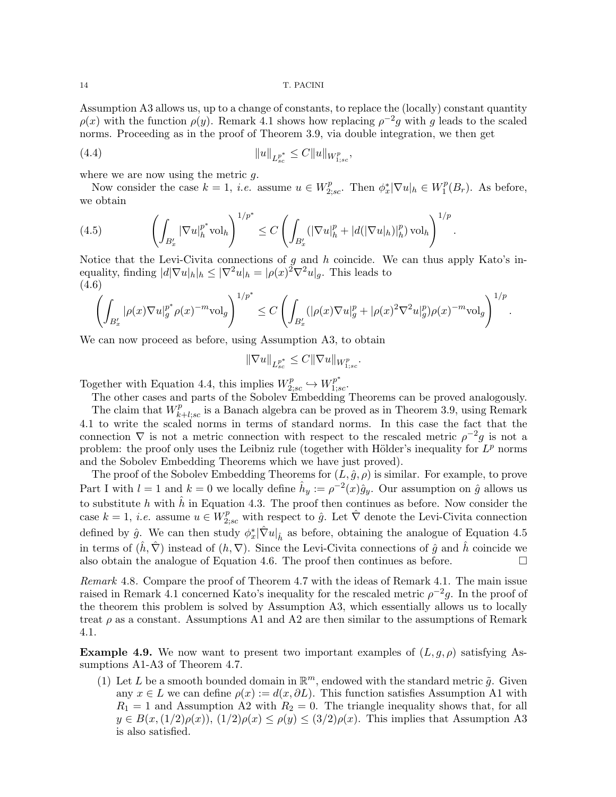Assumption A3 allows us, up to a change of constants, to replace the (locally) constant quantity  $\rho(x)$  with the function  $\rho(y)$ . Remark 4.1 shows how replacing  $\rho^{-2}g$  with g leads to the scaled norms. Proceeding as in the proof of Theorem 3.9, via double integration, we then get

(4.4) 
$$
||u||_{L_{sc}^{p^*}} \leq C||u||_{W_{1;sc}^p},
$$

where we are now using the metric  $q$ .

Now consider the case  $k = 1$ , *i.e.* assume  $u \in W_{2;sc}^p$ . Then  $\phi_x^* |\nabla u|_h \in W_1^p$  $_1^p(B_r)$ . As before, we obtain

.

(4.5) 
$$
\left(\int_{B'_x} |\nabla u|_h^{p^*} \text{vol}_h\right)^{1/p^*} \leq C \left(\int_{B'_x} (|\nabla u|_h^p + |d(|\nabla u|_h)|_h^p) \text{vol}_h\right)^{1/p}
$$

Notice that the Levi-Civita connections of  $g$  and  $h$  coincide. We can thus apply Kato's inequality, finding  $|d|\nabla u|_h|_h \leq |\nabla^2 u|_h = |\rho(x)|^2 \nabla^2 u|_g$ . This leads to (4.6)

$$
\left(\int_{B'_x}|\rho(x)\nabla u|_g^{p^*}\rho(x)^{-m}{\rm vol}_g\right)^{1/p^*}\leq C\left(\int_{B'_x}(|\rho(x)\nabla u|_g^p+|\rho(x)^2\nabla^2 u|_g^p)\rho(x)^{-m}{\rm vol}_g\right)^{1/p}.
$$

We can now proceed as before, using Assumption A3, to obtain

$$
\|\nabla u\|_{L^{p^*}_{sc}} \leq C\|\nabla u\|_{W^p_{1;sc}}.
$$

Together with Equation 4.4, this implies  $W_{2,sc}^{p} \hookrightarrow W_{1,sc}^{p^{*}}$ .

The other cases and parts of the Sobolev Embedding Theorems can be proved analogously.

The claim that  $W_k^p$  $k+l;sc$  is a Banach algebra can be proved as in Theorem 3.9, using Remark 4.1 to write the scaled norms in terms of standard norms. In this case the fact that the connection  $\nabla$  is not a metric connection with respect to the rescaled metric  $\rho^{-2}g$  is not a problem: the proof only uses the Leibniz rule (together with Hölder's inequality for  $L^p$  norms and the Sobolev Embedding Theorems which we have just proved).

The proof of the Sobolev Embedding Theorems for  $(L, \hat{g}, \rho)$  is similar. For example, to prove Part I with  $l = 1$  and  $k = 0$  we locally define  $\hat{h}_y := \rho^{-2}(x)\hat{g}_y$ . Our assumption on  $\hat{g}$  allows us to substitute h with  $\hat{h}$  in Equation 4.3. The proof then continues as before. Now consider the case  $k = 1$ , *i.e.* assume  $u \in W^p_{2;sc}$  with respect to  $\hat{g}$ . Let  $\hat{\nabla}$  denote the Levi-Civita connection defined by  $\hat{g}$ . We can then study  $\phi_x^*|\hat{\nabla}u|_{\hat{h}}$  as before, obtaining the analogue of Equation 4.5 in terms of  $(\hat{h}, \hat{\nabla})$  instead of  $(h, \nabla)$ . Since the Levi-Civita connections of  $\hat{g}$  and  $\hat{h}$  coincide we also obtain the analogue of Equation 4.6. The proof then continues as before.  $\Box$ 

Remark 4.8. Compare the proof of Theorem 4.7 with the ideas of Remark 4.1. The main issue raised in Remark 4.1 concerned Kato's inequality for the rescaled metric  $\rho^{-2}g$ . In the proof of the theorem this problem is solved by Assumption A3, which essentially allows us to locally treat  $\rho$  as a constant. Assumptions A1 and A2 are then similar to the assumptions of Remark 4.1.

**Example 4.9.** We now want to present two important examples of  $(L, g, \rho)$  satisfying Assumptions A1-A3 of Theorem 4.7.

(1) Let L be a smooth bounded domain in  $\mathbb{R}^m$ , endowed with the standard metric  $\tilde{g}$ . Given any  $x \in L$  we can define  $\rho(x) := d(x, \partial L)$ . This function satisfies Assumption A1 with  $R_1 = 1$  and Assumption A2 with  $R_2 = 0$ . The triangle inequality shows that, for all  $y \in B(x,(1/2)\rho(x)), (1/2)\rho(x) \leq \rho(y) \leq (3/2)\rho(x)$ . This implies that Assumption A3 is also satisfied.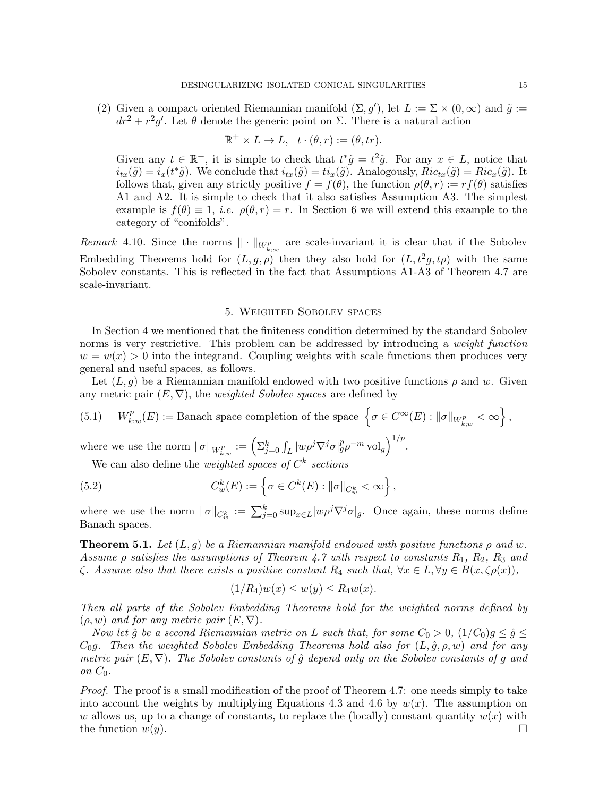(2) Given a compact oriented Riemannian manifold  $(\Sigma, g')$ , let  $L := \Sigma \times (0, \infty)$  and  $\tilde{g} :=$  $dr^2 + r^2g'$ . Let  $\theta$  denote the generic point on  $\Sigma$ . There is a natural action

$$
\mathbb{R}^+ \times L \to L, \quad t \cdot (\theta, r) := (\theta, tr).
$$

Given any  $t \in \mathbb{R}^+$ , it is simple to check that  $t^* \tilde{g} = t^2 \tilde{g}$ . For any  $x \in L$ , notice that  $i_{tx}(\tilde{g}) = i_x(t^*\tilde{g})$ . We conclude that  $i_{tx}(\tilde{g}) = ti_x(\tilde{g})$ . Analogously,  $Ric_{tx}(\tilde{g}) = Ric_x(\tilde{g})$ . It follows that, given any strictly positive  $f = f(\theta)$ , the function  $\rho(\theta, r) := rf(\theta)$  satisfies A1 and A2. It is simple to check that it also satisfies Assumption A3. The simplest example is  $f(\theta) \equiv 1$ , *i.e.*  $\rho(\theta, r) = r$ . In Section 6 we will extend this example to the category of "conifolds".

Remark 4.10. Since the norms  $\|\cdot\|_{W^p_{k;sc}}$  are scale-invariant it is clear that if the Sobolev Embedding Theorems hold for  $(L, g, \rho)$  then they also hold for  $(L, t^2g, t\rho)$  with the same Sobolev constants. This is reflected in the fact that Assumptions A1-A3 of Theorem 4.7 are scale-invariant.

## 5. Weighted Sobolev spaces

In Section 4 we mentioned that the finiteness condition determined by the standard Sobolev norms is very restrictive. This problem can be addressed by introducing a *weight function*  $w = w(x) > 0$  into the integrand. Coupling weights with scale functions then produces very general and useful spaces, as follows.

Let  $(L, g)$  be a Riemannian manifold endowed with two positive functions  $\rho$  and w. Given any metric pair  $(E, \nabla)$ , the *weighted Sobolev spaces* are defined by

(5.1) 
$$
W_{k;w}^p(E) :=
$$
 Banach space completion of the space  $\left\{ \sigma \in C^{\infty}(E) : ||\sigma||_{W_{k;w}^p} < \infty \right\}$ ,

where we use the norm  $\|\sigma\|_{W^p_{k;w}} := \left(\sum_{j=0}^k \int_L |w\rho^j \nabla^j \sigma|_g^p \rho^{-m} \text{vol}_g\right)^{1/p}$ .

We can also define the *weighted spaces of*  $C^k$  sections

(5.2) 
$$
C_w^k(E) := \left\{ \sigma \in C^k(E) : \|\sigma\|_{C_w^k} < \infty \right\},\,
$$

where we use the norm  $\|\sigma\|_{C_w^k} := \sum_{j=0}^k \sup_{x \in L} |w\rho^j \nabla^j \sigma|_g$ . Once again, these norms define Banach spaces.

**Theorem 5.1.** Let  $(L, g)$  be a Riemannian manifold endowed with positive functions  $\rho$  and w. Assume  $\rho$  satisfies the assumptions of Theorem 4.7 with respect to constants  $R_1$ ,  $R_2$ ,  $R_3$  and  $\zeta$ . Assume also that there exists a positive constant  $R_4$  such that,  $\forall x \in L, \forall y \in B(x, \zeta \rho(x)),$ 

$$
(1/R4)w(x) \le w(y) \le R4w(x).
$$

Then all parts of the Sobolev Embedding Theorems hold for the weighted norms defined by  $(\rho, w)$  and for any metric pair  $(E, \nabla)$ .

Now let  $\hat{g}$  be a second Riemannian metric on L such that, for some  $C_0 > 0$ ,  $(1/C_0)g \leq \hat{g} \leq$  $C_0g$ . Then the weighted Sobolev Embedding Theorems hold also for  $(L, \hat{g}, \rho, w)$  and for any metric pair  $(E, \nabla)$ . The Sobolev constants of  $\hat{g}$  depend only on the Sobolev constants of g and on  $C_0$ .

Proof. The proof is a small modification of the proof of Theorem 4.7: one needs simply to take into account the weights by multiplying Equations 4.3 and 4.6 by  $w(x)$ . The assumption on w allows us, up to a change of constants, to replace the (locally) constant quantity  $w(x)$  with the function  $w(y)$ .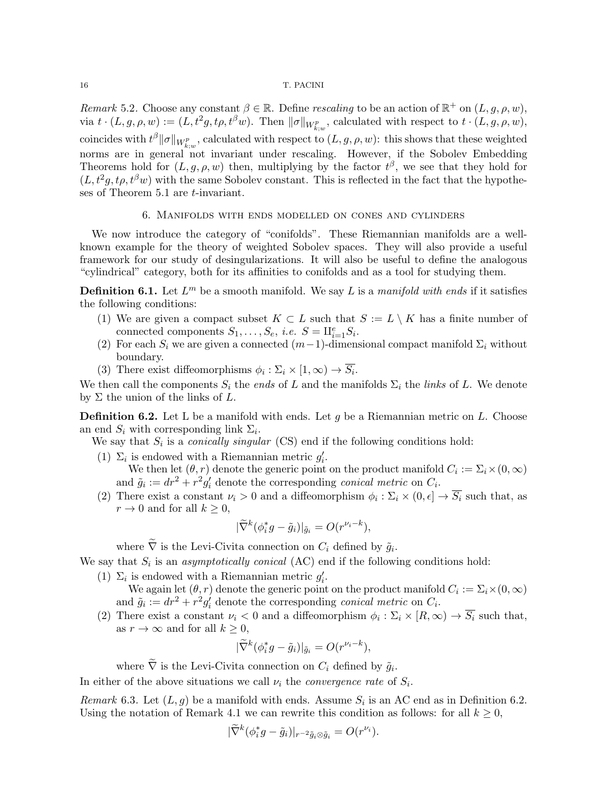Remark 5.2. Choose any constant  $\beta \in \mathbb{R}$ . Define rescaling to be an action of  $\mathbb{R}^+$  on  $(L, g, \rho, w)$ , via  $t \cdot (L, g, \rho, w) := (L, t^2g, t\rho, t^{\beta}w)$ . Then  $\|\sigma\|_{W^p_{k,w}}$ , calculated with respect to  $t \cdot (L, g, \rho, w)$ , coincides with  $t^{\beta} \|\sigma\|_{W^p_{k;w}}$ , calculated with respect to  $(L, g, \rho, w)$ : this shows that these weighted norms are in general not invariant under rescaling. However, if the Sobolev Embedding Theorems hold for  $(L, g, \rho, w)$  then, multiplying by the factor  $t^{\beta}$ , we see that they hold for  $(L, t^2g, t\rho, t^{\beta}w)$  with the same Sobolev constant. This is reflected in the fact that the hypotheses of Theorem 5.1 are t-invariant.

## 6. Manifolds with ends modelled on cones and cylinders

We now introduce the category of "conifolds". These Riemannian manifolds are a wellknown example for the theory of weighted Sobolev spaces. They will also provide a useful framework for our study of desingularizations. It will also be useful to define the analogous "cylindrical" category, both for its affinities to conifolds and as a tool for studying them.

**Definition 6.1.** Let  $L^m$  be a smooth manifold. We say L is a manifold with ends if it satisfies the following conditions:

- (1) We are given a compact subset  $K \subset L$  such that  $S := L \setminus K$  has a finite number of connected components  $S_1, \ldots, S_e$ , *i.e.*  $S = \amalg_{i=1}^e S_i$ .
- (2) For each  $S_i$  we are given a connected  $(m-1)$ -dimensional compact manifold  $\Sigma_i$  without boundary.
- (3) There exist diffeomorphisms  $\phi_i : \Sigma_i \times [1, \infty) \to \overline{S_i}$ .

We then call the components  $S_i$  the *ends* of L and the manifolds  $\Sigma_i$  the *links* of L. We denote by  $\Sigma$  the union of the links of  $L$ .

**Definition 6.2.** Let L be a manifold with ends. Let q be a Riemannian metric on L. Choose an end  $S_i$  with corresponding link  $\Sigma_i$ .

We say that  $S_i$  is a *conically singular* (CS) end if the following conditions hold:

- (1)  $\Sigma_i$  is endowed with a Riemannian metric  $g'_i$ . We then let  $(\theta, r)$  denote the generic point on the product manifold  $C_i := \sum_i \times (0, \infty)$ and  $\tilde{g}_i := dr^2 + r^2 g'_i$  denote the corresponding *conical metric* on  $C_i$ .
- (2) There exist a constant  $\nu_i > 0$  and a diffeomorphism  $\phi_i : \Sigma_i \times (0, \epsilon] \to \overline{S_i}$  such that, as  $r \to 0$  and for all  $k \geq 0$ ,

$$
|\widetilde{\nabla}^k(\phi_i^*g - \tilde{g}_i)|_{\tilde{g}_i} = O(r^{\nu_i - k}),
$$

where  $\nabla$  is the Levi-Civita connection on  $C_i$  defined by  $\tilde{g}_i$ .

We say that  $S_i$  is an *asymptotically conical* (AC) end if the following conditions hold:

(1)  $\Sigma_i$  is endowed with a Riemannian metric  $g'_i$ .

We again let  $(\theta, r)$  denote the generic point on the product manifold  $C_i := \Sigma_i \times (0, \infty)$ and  $\tilde{g}_i := dr^2 + r^2 g'_i$  denote the corresponding *conical metric* on  $C_i$ .

(2) There exist a constant  $\nu_i < 0$  and a diffeomorphism  $\phi_i : \Sigma_i \times [R, \infty) \to S_i$  such that, as  $r \to \infty$  and for all  $k \geq 0$ ,

$$
|\widetilde{\nabla}^k(\phi_i^*g - \tilde{g}_i)|_{\tilde{g}_i} = O(r^{\nu_i - k}),
$$

where  $\nabla$  is the Levi-Civita connection on  $C_i$  defined by  $\tilde{g}_i$ .

In either of the above situations we call  $\nu_i$  the *convergence rate* of  $S_i$ .

Remark 6.3. Let  $(L, g)$  be a manifold with ends. Assume  $S_i$  is an AC end as in Definition 6.2. Using the notation of Remark 4.1 we can rewrite this condition as follows: for all  $k \geq 0$ ,

$$
|\widetilde{\nabla}^k(\phi_i^*g - \tilde{g}_i)|_{r^{-2}\tilde{g}_i \otimes \tilde{g}_i} = O(r^{\nu_i}).
$$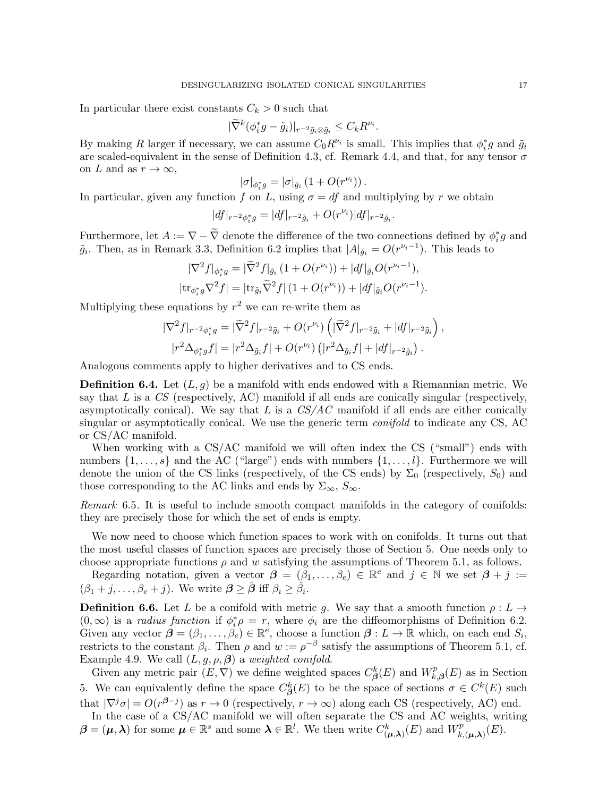In particular there exist constants  $C_k > 0$  such that

$$
|\widetilde{\nabla}^k(\phi_i^*g - \tilde{g}_i)|_{r^{-2}\tilde{g}_i \otimes \tilde{g}_i} \leq C_k R^{\nu_i}.
$$

By making R larger if necessary, we can assume  $C_0 R^{\nu_i}$  is small. This implies that  $\phi_i^* g$  and  $\tilde{g}_i$ are scaled-equivalent in the sense of Definition 4.3, cf. Remark 4.4, and that, for any tensor  $\sigma$ on L and as  $r \to \infty$ ,

$$
|\sigma|_{\phi_i^*g}=|\sigma|_{\tilde{g}_i}\left(1+O(r^{\nu_i})\right).
$$

In particular, given any function f on L, using  $\sigma = df$  and multiplying by r we obtain

$$
|df|_{r^{-2}\phi_i^*g} = |df|_{r^{-2}\tilde{g}_i} + O(r^{\nu_i})|df|_{r^{-2}\tilde{g}_i}.
$$

Furthermore, let  $A := \nabla - \widetilde{\nabla}$  denote the difference of the two connections defined by  $\phi_i^* g$  and  $\tilde{g}_i$ . Then, as in Remark 3.3, Definition 6.2 implies that  $|A|_{\tilde{g}_i} = O(r^{\nu_i-1})$ . This leads to

$$
|\nabla^2 f|_{\phi_i^* g} = |\tilde{\nabla}^2 f|_{\tilde{g}_i} (1 + O(r^{\nu_i})) + |df|_{\tilde{g}_i} O(r^{\nu_i - 1}),
$$
  
\n
$$
|\text{tr}_{\phi_i^* g} \nabla^2 f| = |\text{tr}_{\tilde{g}_i} \tilde{\nabla}^2 f| (1 + O(r^{\nu_i})) + |df|_{\tilde{g}_i} O(r^{\nu_i - 1}).
$$

Multiplying these equations by  $r^2$  we can re-write them as

$$
|\nabla^2 f|_{r^{-2}\phi_i^* g} = |\widetilde{\nabla}^2 f|_{r^{-2}\tilde{g}_i} + O(r^{\nu_i}) \left( |\widetilde{\nabla}^2 f|_{r^{-2}\tilde{g}_i} + |df|_{r^{-2}\tilde{g}_i} \right),
$$
  

$$
|r^2 \Delta_{\phi_i^* g} f| = |r^2 \Delta_{\tilde{g}_i} f| + O(r^{\nu_i}) \left( |r^2 \Delta_{\tilde{g}_i} f| + |df|_{r^{-2}\tilde{g}_i} \right).
$$

Analogous comments apply to higher derivatives and to CS ends.

**Definition 6.4.** Let  $(L, g)$  be a manifold with ends endowed with a Riemannian metric. We say that  $L$  is a  $CS$  (respectively, AC) manifold if all ends are conically singular (respectively, asymptotically conical). We say that L is a  $CS/AC$  manifold if all ends are either conically singular or asymptotically conical. We use the generic term *conifold* to indicate any CS, AC or CS/AC manifold.

When working with a CS/AC manifold we will often index the CS ("small") ends with numbers  $\{1,\ldots,s\}$  and the AC ("large") ends with numbers  $\{1,\ldots,l\}$ . Furthermore we will denote the union of the CS links (respectively, of the CS ends) by  $\Sigma_0$  (respectively,  $S_0$ ) and those corresponding to the AC links and ends by  $\Sigma_{\infty}$ ,  $S_{\infty}$ .

Remark 6.5. It is useful to include smooth compact manifolds in the category of conifolds: they are precisely those for which the set of ends is empty.

We now need to choose which function spaces to work with on conifolds. It turns out that the most useful classes of function spaces are precisely those of Section 5. One needs only to choose appropriate functions  $\rho$  and w satisfying the assumptions of Theorem 5.1, as follows.

Regarding notation, given a vector  $\boldsymbol{\beta} = (\beta_1, \ldots, \beta_e) \in \mathbb{R}^e$  and  $j \in \mathbb{N}$  we set  $\boldsymbol{\beta} + j :=$  $(\beta_1 + j, \ldots, \beta_e + j)$ . We write  $\boldsymbol{\beta} \geq \hat{\boldsymbol{\beta}}$  iff  $\beta_i \geq \hat{\beta}_i$ .

**Definition 6.6.** Let L be a conifold with metric g. We say that a smooth function  $\rho: L \to$  $(0, \infty)$  is a *radius function* if  $\phi_i^* \rho = r$ , where  $\phi_i$  are the diffeomorphisms of Definition 6.2. Given any vector  $\boldsymbol{\beta} = (\beta_1, \ldots, \beta_e) \in \mathbb{R}^e$ , choose a function  $\boldsymbol{\beta}: L \to \mathbb{R}$  which, on each end  $S_i$ , restricts to the constant  $\beta_i$ . Then  $\rho$  and  $w := \rho^{-\beta}$  satisfy the assumptions of Theorem 5.1, cf. Example 4.9. We call  $(L, g, \rho, \beta)$  a weighted conifold.

Given any metric pair  $(E, \nabla)$  we define weighted spaces  $C_{\beta}^{k}(E)$  and  $W_{k}^{p}$  $\kappa_{k,\beta}^p(E)$  as in Section 5. We can equivalently define the space  $C^k_{\beta}(E)$  to be the space of sections  $\sigma \in C^k(E)$  such that  $|\nabla^j \sigma| = O(r^{\beta - j})$  as  $r \to 0$  (respectively,  $r \to \infty$ ) along each CS (respectively, AC) end.

In the case of a CS/AC manifold we will often separate the CS and AC weights, writing  $\boldsymbol{\beta} = (\boldsymbol{\mu}, \boldsymbol{\lambda})$  for some  $\boldsymbol{\mu} \in \mathbb{R}^s$  and some  $\boldsymbol{\lambda} \in \mathbb{R}^l$ . We then write  $C_{(\boldsymbol{\mu}, \boldsymbol{\lambda})}^k(E)$  and  $W_{k,j}^p$  $E^p_{k,(\boldsymbol{\mu},\boldsymbol{\lambda})}(E).$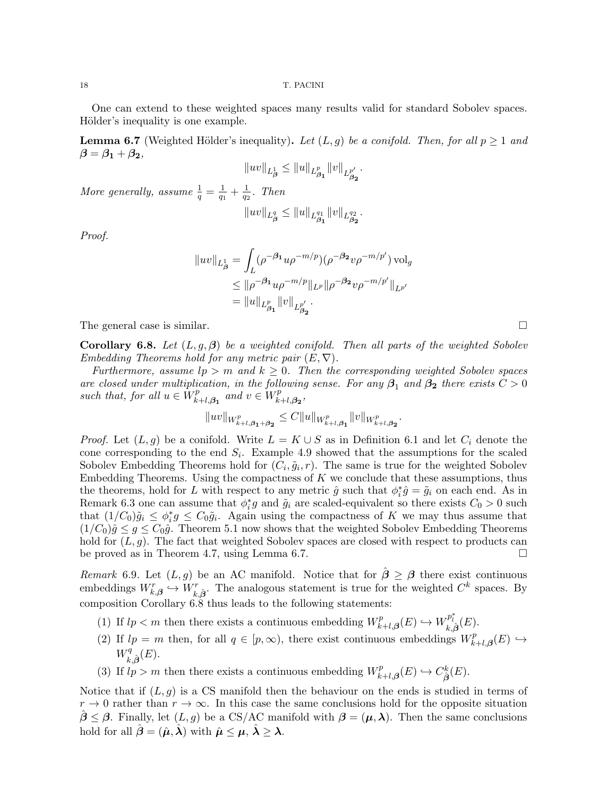One can extend to these weighted spaces many results valid for standard Sobolev spaces. Hölder's inequality is one example.

**Lemma 6.7** (Weighted Hölder's inequality). Let  $(L, g)$  be a conifold. Then, for all  $p \ge 1$  and  $\beta = \beta_1 + \beta_2,$ 

$$
||uv||_{L^1_{\beta}} \leq ||u||_{L^p_{\beta_1}} ||v||_{L^{p'}_{\beta_2}}.
$$

More generally, assume  $\frac{1}{q} = \frac{1}{q_1}$  $\frac{1}{q_1} + \frac{1}{q_2}$  $rac{1}{q_2}$ . Then

$$
||uv||_{L^q_{\beta}} \leq ||u||_{L^{q_1}_{\beta_1}} ||v||_{L^{q_2}_{\beta_2}}.
$$

Proof.

$$
||uv||_{L^1_{\beta}} = \int_L (\rho^{-\beta_1} u \rho^{-m/p}) (\rho^{-\beta_2} v \rho^{-m/p'}) vol_g
$$
  
\n
$$
\leq ||\rho^{-\beta_1} u \rho^{-m/p}||_{L^p} ||\rho^{-\beta_2} v \rho^{-m/p'}||_{L^{p'}}
$$
  
\n
$$
= ||u||_{L^p_{\beta_1}} ||v||_{L^{p'}_{\beta_2}}.
$$

The general case is similar.

**Corollary 6.8.** Let  $(L, g, \beta)$  be a weighted conifold. Then all parts of the weighted Sobolev Embedding Theorems hold for any metric pair  $(E, \nabla)$ .

Furthermore, assume  $lp > m$  and  $k \geq 0$ . Then the corresponding weighted Sobolev spaces are closed under multiplication, in the following sense. For any  $\beta_1$  and  $\beta_2$  there exists  $C > 0$ such that, for all  $u \in W_k^p$  $\sum_{k+l,\beta_1}^{p}$  and  $v \in W_k^p$  $_{k+l,\boldsymbol{\beta_{2}}}^{p},$ 

$$
||uv||_{W^p_{k+l,\beta_1+\beta_2}} \leq C||u||_{W^p_{k+l,\beta_1}}||v||_{W^p_{k+l,\beta_2}}.
$$

*Proof.* Let  $(L, g)$  be a conifold. Write  $L = K \cup S$  as in Definition 6.1 and let  $C_i$  denote the cone corresponding to the end  $S_i$ . Example 4.9 showed that the assumptions for the scaled Sobolev Embedding Theorems hold for  $(C_i, \tilde{g}_i, r)$ . The same is true for the weighted Sobolev Embedding Theorems. Using the compactness of  $K$  we conclude that these assumptions, thus the theorems, hold for L with respect to any metric  $\hat{g}$  such that  $\phi_i^* \hat{g} = \tilde{g}_i$  on each end. As in Remark 6.3 one can assume that  $\phi_i^*g$  and  $\tilde{g}_i$  are scaled-equivalent so there exists  $C_0 > 0$  such that  $(1/C_0)\tilde{g}_i \leq \phi_i^* g \leq C_0 \tilde{g}_i$ . Again using the compactness of K we may thus assume that  $(1/C_0)\hat{g} \leq g \leq C_0\hat{g}$ . Theorem 5.1 now shows that the weighted Sobolev Embedding Theorems hold for  $(L, g)$ . The fact that weighted Sobolev spaces are closed with respect to products can be proved as in Theorem 4.7, using Lemma 6.7.

Remark 6.9. Let  $(L, g)$  be an AC manifold. Notice that for  $\beta \geq \beta$  there exist continuous embeddings  $W_{k,\beta}^r \hookrightarrow W_{k,\hat{\beta}}^r$ . The analogous statement is true for the weighted  $C^k$  spaces. By composition Corollary 6.8 thus leads to the following statements:

- (1) If  $lp < m$  then there exists a continuous embedding  $W_k^p$ .  $W_{k+l,\beta}^{p}(E) \hookrightarrow W_{k,\hat{\beta}}^{p_{l}^{*}}(E).$
- (2) If  $lp = m$  then, for all  $q \in [p, \infty)$ , there exist continuous embeddings  $W_k^p$ .  $\iota_{k+l, \boldsymbol{\beta}}^{p}(E) \hookrightarrow$  $W_i^q$  $\zeta^q_{k,\hat{\boldsymbol{\beta}}}(E).$
- (3) If  $l_p > m$  then there exists a continuous embedding  $W_p^p$ .  $C_{\hat{\beta}}^p(E) \hookrightarrow C_{\hat{\beta}}^k(E).$

Notice that if  $(L, g)$  is a CS manifold then the behaviour on the ends is studied in terms of  $r \to 0$  rather than  $r \to \infty$ . In this case the same conclusions hold for the opposite situation  $\beta \leq \beta$ . Finally, let  $(L, g)$  be a CS/AC manifold with  $\beta = (\mu, \lambda)$ . Then the same conclusions hold for all  $\hat{\boldsymbol{\beta}} = (\hat{\boldsymbol{\mu}}, \hat{\boldsymbol{\lambda}})$  with  $\hat{\boldsymbol{\mu}} \leq \boldsymbol{\mu}, \hat{\boldsymbol{\lambda}} > \boldsymbol{\lambda}$ .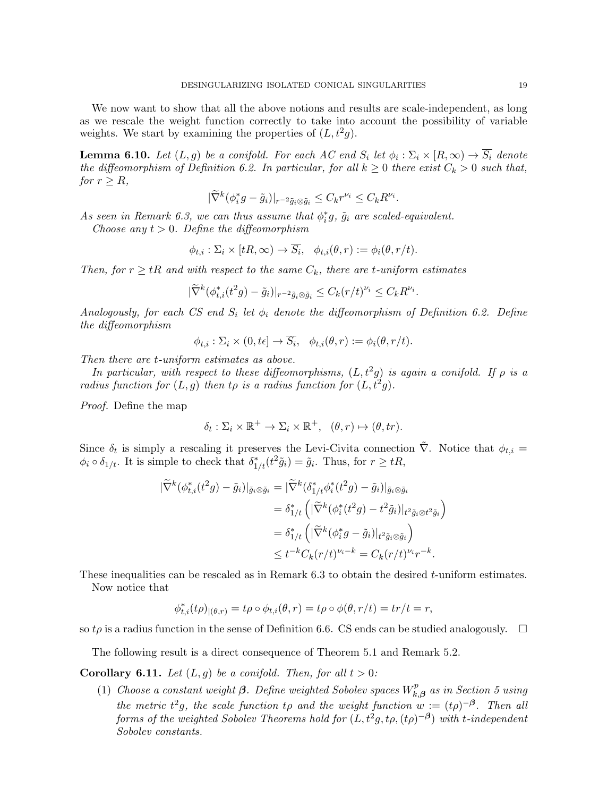We now want to show that all the above notions and results are scale-independent, as long as we rescale the weight function correctly to take into account the possibility of variable weights. We start by examining the properties of  $(L, t^2g)$ .

**Lemma 6.10.** Let  $(L, g)$  be a conifold. For each AC end  $S_i$  let  $\phi_i : \Sigma_i \times [R, \infty) \to \overline{S_i}$  denote the diffeomorphism of Definition 6.2. In particular, for all  $k \geq 0$  there exist  $C_k > 0$  such that, for  $r \geq R$ ,

$$
|\widetilde{\nabla}^k(\phi_i^*g - \tilde{g}_i)|_{r^{-2}\tilde{g}_i \otimes \tilde{g}_i} \leq C_k r^{\nu_i} \leq C_k R^{\nu_i}.
$$

As seen in Remark 6.3, we can thus assume that  $\phi_i^*g$ ,  $\tilde{g}_i$  are scaled-equivalent.

Choose any  $t > 0$ . Define the diffeomorphism

$$
\phi_{t,i} : \Sigma_i \times [tR, \infty) \to \overline{S_i}, \quad \phi_{t,i}(\theta, r) := \phi_i(\theta, r/t).
$$

Then, for  $r \geq tR$  and with respect to the same  $C_k$ , there are t-uniform estimates

$$
|\widetilde{\nabla}^k(\phi_{t,i}^*(t^2g)-\tilde{g}_i)|_{r^{-2}\tilde{g}_i\otimes\tilde{g}_i}\leq C_k(r/t)^{\nu_i}\leq C_kR^{\nu_i}.
$$

Analogously, for each CS end  $S_i$  let  $\phi_i$  denote the diffeomorphism of Definition 6.2. Define the diffeomorphism

$$
\phi_{t,i} : \Sigma_i \times (0, t\epsilon] \to \overline{S_i}, \quad \phi_{t,i}(\theta, r) := \phi_i(\theta, r/t).
$$

Then there are t-uniform estimates as above.

In particular, with respect to these diffeomorphisms,  $(L, t^2g)$  is again a conifold. If  $\rho$  is a radius function for  $(L, g)$  then to is a radius function for  $(L, t^2g)$ .

Proof. Define the map

$$
\delta_t : \Sigma_i \times \mathbb{R}^+ \to \Sigma_i \times \mathbb{R}^+, \quad (\theta, r) \mapsto (\theta, tr).
$$

Since  $\delta_t$  is simply a rescaling it preserves the Levi-Civita connection  $\tilde{\nabla}$ . Notice that  $\phi_{t,i} =$  $\phi_i \circ \delta_{1/t}$ . It is simple to check that  $\delta^*_{1/t}(t^2 \tilde{g}_i) = \tilde{g}_i$ . Thus, for  $r \ge tR$ ,

$$
\begin{split} |\widetilde{\nabla}^k(\phi_{t,i}^*(t^2g) - \tilde{g}_i)|_{\tilde{g}_i \otimes \tilde{g}_i} &= |\widetilde{\nabla}^k(\delta_{1/t}^*\phi_i^*(t^2g) - \tilde{g}_i)|_{\tilde{g}_i \otimes \tilde{g}_i} \\ &= \delta_{1/t}^* \left( |\widetilde{\nabla}^k(\phi_i^*(t^2g) - t^2 \tilde{g}_i)|_{t^2 \tilde{g}_i \otimes t^2 \tilde{g}_i} \right) \\ &= \delta_{1/t}^* \left( |\widetilde{\nabla}^k(\phi_i^*g - \tilde{g}_i)|_{t^2 \tilde{g}_i \otimes \tilde{g}_i} \right) \\ &\leq t^{-k} C_k (r/t)^{\nu_i - k} = C_k (r/t)^{\nu_i} r^{-k}. \end{split}
$$

These inequalities can be rescaled as in Remark 6.3 to obtain the desired t-uniform estimates. Now notice that

$$
\phi_{t,i}^*(t\rho)_{|(\theta,r)} = t\rho \circ \phi_{t,i}(\theta,r) = t\rho \circ \phi(\theta,r/t) = tr/t = r,
$$

so  $t\rho$  is a radius function in the sense of Definition 6.6. CS ends can be studied analogously.  $\Box$ 

The following result is a direct consequence of Theorem 5.1 and Remark 5.2.

## **Corollary 6.11.** Let  $(L, g)$  be a conifold. Then, for all  $t > 0$ :

(1) Choose a constant weight  $\beta$ . Define weighted Sobolev spaces  $W_k^p$ .  $k, \boldsymbol{\beta}$  as in Section 5 using the metric  $t^2g$ , the scale function tp and the weight function  $w := (t\rho)^{-\beta}$ . Then all forms of the weighted Sobolev Theorems hold for  $(L, t^2g, t\rho, (t\rho)^{-\beta})$  with t-independent Sobolev constants.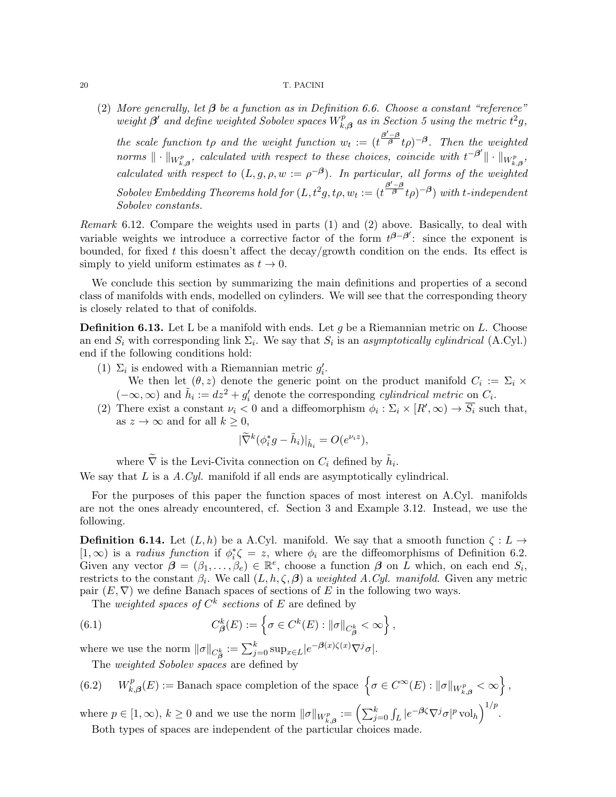(2) More generally, let  $\beta$  be a function as in Definition 6.6. Choose a constant "reference" weight  $\beta'$  and define weighted Sobolev spaces  $W_k^p$  $k_{k,\beta}^{p}$  as in Section 5 using the metric  $t^2g$ ,

the scale function to and the weight function  $w_t := (t^{\frac{\beta'-\beta}{\beta}}t\rho)^{-\beta}$ . Then the weighted norms  $\|\cdot\|_{W_{k,\boldsymbol{\beta}}^p}$ , calculated with respect to these choices, coincide with  $t^{-\boldsymbol{\beta}'}\|\cdot\|_{W_{k,\boldsymbol{\beta}}^p}$ , calculated with respect to  $(L, g, \rho, w := \rho^{-\beta})$ . In particular, all forms of the weighted  $Sobolev\ Embedding\ Theorems\ hold\ for\ (L,t^2g,t\rho,w_t:=(t^{\frac{\beta'-\beta}{\beta}}t\rho)^{-\beta})\ with\ t-independent$ Sobolev constants.

Remark 6.12. Compare the weights used in parts (1) and (2) above. Basically, to deal with variable weights we introduce a corrective factor of the form  $t^{\beta-\beta'}$ : since the exponent is bounded, for fixed t this doesn't affect the decay/growth condition on the ends. Its effect is simply to yield uniform estimates as  $t \to 0$ .

We conclude this section by summarizing the main definitions and properties of a second class of manifolds with ends, modelled on cylinders. We will see that the corresponding theory is closely related to that of conifolds.

**Definition 6.13.** Let L be a manifold with ends. Let g be a Riemannian metric on L. Choose an end  $S_i$  with corresponding link  $\Sigma_i$ . We say that  $S_i$  is an asymptotically cylindrical (A.Cyl.) end if the following conditions hold:

- (1)  $\Sigma_i$  is endowed with a Riemannian metric  $g'_i$ . We then let  $(\theta, z)$  denote the generic point on the product manifold  $C_i := \Sigma_i \times$  $(-\infty, \infty)$  and  $\tilde{h}_i := dz^2 + g'_i$  denote the corresponding *cylindrical metric* on  $C_i$ .
- (2) There exist a constant  $\nu_i < 0$  and a diffeomorphism  $\phi_i : \Sigma_i \times [R', \infty) \to \overline{S_i}$  such that, as  $z \to \infty$  and for all  $k \geq 0$ ,

$$
|\widetilde{\nabla}^k(\phi_i^*g - \widetilde{h}_i)|_{\widetilde{h}_i} = O(e^{\nu_i z}),
$$

where  $\tilde{\nabla}$  is the Levi-Civita connection on  $C_i$  defined by  $\tilde{h}_i$ .

We say that  $L$  is a  $A.Cyl$ . manifold if all ends are asymptotically cylindrical.

For the purposes of this paper the function spaces of most interest on A.Cyl. manifolds are not the ones already encountered, cf. Section 3 and Example 3.12. Instead, we use the following.

**Definition 6.14.** Let  $(L, h)$  be a A.Cyl. manifold. We say that a smooth function  $\zeta : L \to$ [1,  $\infty$ ) is a *radius function* if  $\phi_i^* \zeta = z$ , where  $\phi_i$  are the diffeomorphisms of Definition 6.2. Given any vector  $\hat{\boldsymbol{\beta}} = (\beta_1, \ldots, \beta_e) \in \mathbb{R}^e$ , choose a function  $\boldsymbol{\beta}$  on  $\hat{L}$  which, on each end  $S_i$ , restricts to the constant  $\beta_i$ . We call  $(L, h, \zeta, \beta)$  a weighted A.Cyl. manifold. Given any metric pair  $(E, \nabla)$  we define Banach spaces of sections of E in the following two ways.

The weighted spaces of  $C^k$  sections of E are defined by

(6.1) 
$$
C_{\beta}^{k}(E) := \left\{ \sigma \in C^{k}(E) : ||\sigma||_{C_{\beta}^{k}} < \infty \right\},
$$

where we use the norm  $\|\sigma\|_{C^k_{\beta}} := \sum_{j=0}^k \sup_{x \in L} |e^{-\beta(x)\zeta(x)} \nabla^j \sigma|$ .

The *weighted Sobolev spaces* are defined by

(6.2) 
$$
W_{k,\beta}^p(E) :=
$$
 Banach space completion of the space  $\left\{ \sigma \in C^{\infty}(E) : ||\sigma||_{W_{k,\beta}^p} < \infty \right\}$ ,

where  $p \in [1, \infty)$ ,  $k \ge 0$  and we use the norm  $\|\sigma\|_{W_{k, \beta}^p} := \left(\sum_{j=0}^k \int_L |e^{-\beta \zeta} \nabla^j \sigma|^p \operatorname{vol}_h \right)^{1/p}$ . Both types of spaces are independent of the particular choices made.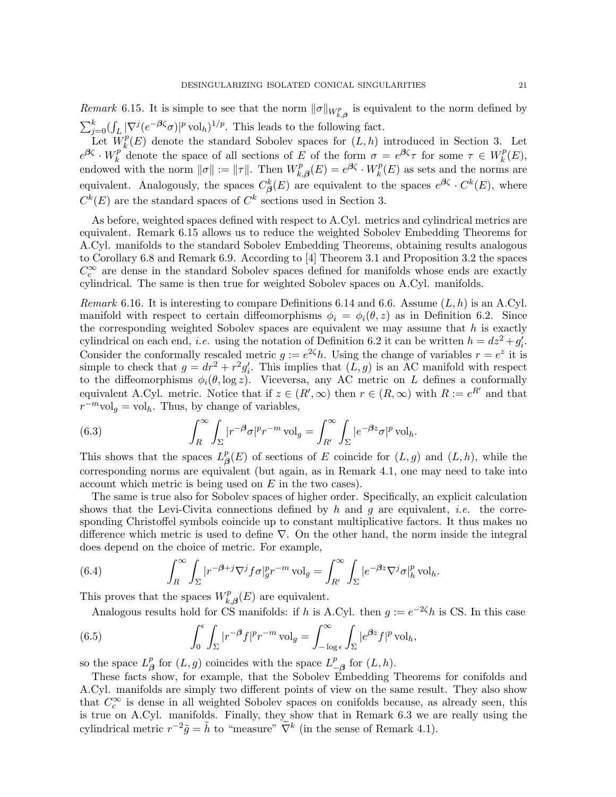*Remark* 6.15. It is simple to see that the norm  $\|\sigma\|_{W_{k,\beta}^p}$  is equivalent to the norm defined by  $\sum_{j=0}^{k} (\int_{L} |\nabla^{j} (e^{-\beta \zeta} \sigma)|^{p} \operatorname{vol}_{h})^{1/p}$ . This leads to the following fact.

Let  $W_k^p$  $_{k}^{p}(E)$  denote the standard Sobolev spaces for  $(L, h)$  introduced in Section 3. Let  $e^{\boldsymbol{\beta} \zeta} \cdot W_k^p$  $k^p$  denote the space of all sections of E of the form  $\sigma = e^{\beta \zeta} \tau$  for some  $\tau \in W_k^p$  $_k^p(E),$ endowed with the norm  $\|\sigma\| := \|\tau\|$ . Then  $W_k^p$ .  $k_{k,\beta}^{p}(E) = e^{\beta \zeta} \cdot W_{k}^{p}$  $k_R^p(E)$  as sets and the norms are equivalent. Analogously, the spaces  $C^k_{\beta}(E)$  are equivalent to the spaces  $e^{\beta \zeta} \cdot C^k(E)$ , where  $C^k(E)$  are the standard spaces of  $C^k$  sections used in Section 3.

As before, weighted spaces defined with respect to A.Cyl. metrics and cylindrical metrics are equivalent. Remark 6.15 allows us to reduce the weighted Sobolev Embedding Theorems for A.Cyl. manifolds to the standard Sobolev Embedding Theorems, obtaining results analogous to Corollary 6.8 and Remark 6.9. According to [4] Theorem 3.1 and Proposition 3.2 the spaces  $C_c^{\infty}$  are dense in the standard Sobolev spaces defined for manifolds whose ends are exactly cylindrical. The same is then true for weighted Sobolev spaces on A.Cyl. manifolds.

*Remark* 6.16. It is interesting to compare Definitions 6.14 and 6.6. Assume  $(L, h)$  is an A.Cyl. manifold with respect to certain diffeomorphisms  $\phi_i = \phi_i(\theta, z)$  as in Definition 6.2. Since the corresponding weighted Sobolev spaces are equivalent we may assume that  $h$  is exactly cylindrical on each end, *i.e.* using the notation of Definition 6.2 it can be written  $h = dz^2 + g'_i$ . i Consider the conformally rescaled metric  $g := e^{2\zeta}h$ . Using the change of variables  $r = e^z$  it is simple to check that  $g = dr^2 + r^2 g'_i$ . This implies that  $(L, g)$  is an AC manifold with respect to the diffeomorphisms  $\phi_i(\theta, \log z)$ . Viceversa, any AC metric on L defines a conformally equivalent A.Cyl. metric. Notice that if  $z \in (R', \infty)$  then  $r \in (R, \infty)$  with  $R := e^{R'}$  and that  $r^{-m}$ vol<sub>g</sub> = vol<sub>h</sub>. Thus, by change of variables,

(6.3) 
$$
\int_{R}^{\infty} \int_{\Sigma} |r^{-\beta} \sigma|^{p} r^{-m} \operatorname{vol}_{g} = \int_{R'}^{\infty} \int_{\Sigma} |e^{-\beta z} \sigma|^{p} \operatorname{vol}_{h}.
$$

This shows that the spaces  $L^p_{\beta}$  $\mathcal{L}_{\beta}(E)$  of sections of E coincide for  $(L, g)$  and  $(L, h)$ , while the corresponding norms are equivalent (but again, as in Remark 4.1, one may need to take into account which metric is being used on E in the two cases).

The same is true also for Sobolev spaces of higher order. Specifically, an explicit calculation shows that the Levi-Civita connections defined by h and q are equivalent, *i.e.* the corresponding Christoffel symbols coincide up to constant multiplicative factors. It thus makes no difference which metric is used to define ∇. On the other hand, the norm inside the integral does depend on the choice of metric. For example,

(6.4) 
$$
\int_{R}^{\infty} \int_{\Sigma} |r^{-\beta+j} \nabla^{j} f \sigma|_{g}^{p} r^{-m} \operatorname{vol}_{g} = \int_{R'}^{\infty} \int_{\Sigma} |e^{-\beta z} \nabla^{j} \sigma|_{h}^{p} \operatorname{vol}_{h}.
$$

This proves that the spaces  $W_k^p$  $k_{k,\beta}^{p}(E)$  are equivalent.

Analogous results hold for CS manifolds: if h is A.Cyl. then  $g := e^{-2\zeta}h$  is CS. In this case

(6.5) 
$$
\int_0^{\epsilon} \int_{\Sigma} |r^{-\beta} f|^p r^{-m} \operatorname{vol}_g = \int_{-\log \epsilon}^{\infty} \int_{\Sigma} |e^{\beta z} f|^p \operatorname{vol}_h,
$$

so the space  $L^p_{\beta}$  $\stackrel{p}{\beta}$  for  $(L, g)$  coincides with the space  $L_{-}^{p}$  $\frac{p}{-\beta}$  for  $(L, h)$ .

These facts show, for example, that the Sobolev Embedding Theorems for conifolds and A.Cyl. manifolds are simply two different points of view on the same result. They also show that  $C_c^{\infty}$  is dense in all weighted Sobolev spaces on conifolds because, as already seen, this is true on A.Cyl. manifolds. Finally, they show that in Remark 6.3 we are really using the cylindrical metric  $r^{-2}\tilde{g} = \tilde{h}$  to "measure"  $\tilde{\nabla}^k$  (in the sense of Remark 4.1).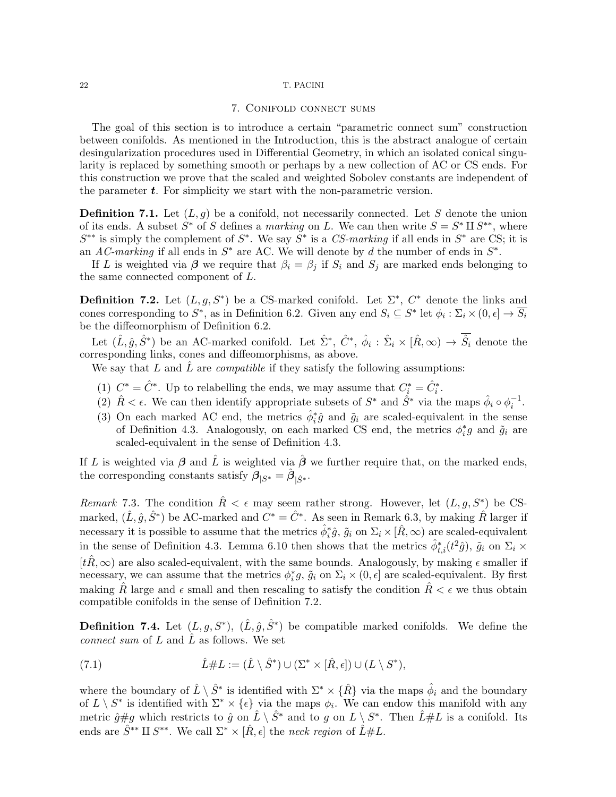## 7. Conifold connect sums

The goal of this section is to introduce a certain "parametric connect sum" construction between conifolds. As mentioned in the Introduction, this is the abstract analogue of certain desingularization procedures used in Differential Geometry, in which an isolated conical singularity is replaced by something smooth or perhaps by a new collection of AC or CS ends. For this construction we prove that the scaled and weighted Sobolev constants are independent of the parameter  $t$ . For simplicity we start with the non-parametric version.

**Definition 7.1.** Let  $(L, g)$  be a conifold, not necessarily connected. Let S denote the union of its ends. A subset  $S^*$  of S defines a marking on L. We can then write  $S = S^* \amalg S^{**}$ , where  $S^{**}$  is simply the complement of  $S^*$ . We say  $S^*$  is a CS-marking if all ends in  $S^*$  are CS; it is an AC-marking if all ends in  $S^*$  are AC. We will denote by d the number of ends in  $S^*$ .

If L is weighted via  $\beta$  we require that  $\beta_i = \beta_j$  if  $S_i$  and  $S_j$  are marked ends belonging to the same connected component of L.

**Definition 7.2.** Let  $(L, g, S^*)$  be a CS-marked conifold. Let  $\Sigma^*$ ,  $C^*$  denote the links and cones corresponding to  $S^*$ , as in Definition 6.2. Given any end  $S_i \subseteq S^*$  let  $\phi_i : \Sigma_i \times (0, \epsilon] \to \overline{S_i}$ be the diffeomorphism of Definition 6.2.

Let  $(\hat{L}, \hat{g}, \hat{S}^*)$  be an AC-marked conifold. Let  $\hat{\Sigma}^*, \hat{C}^*, \hat{\phi}_i : \hat{\Sigma}_i \times [\hat{R}, \infty) \to \hat{S}_i$  denote the corresponding links, cones and diffeomorphisms, as above.

We say that L and  $\tilde{L}$  are *compatible* if they satisfy the following assumptions:

- (1)  $C^* = \hat{C}^*$ . Up to relabelling the ends, we may assume that  $C_i^* = \hat{C}_i^*$ .
- (2)  $\hat{R} < \epsilon$ . We can then identify appropriate subsets of  $S^*$  and  $\hat{S}^*$  via the maps  $\hat{\phi}_i \circ \phi_i^{-1}$ .
- (3) On each marked AC end, the metrics  $\hat{\phi}_i^* \hat{g}$  and  $\tilde{g}_i$  are scaled-equivalent in the sense of Definition 4.3. Analogously, on each marked CS end, the metrics  $\phi_i^*g$  and  $\tilde{g}_i$  are scaled-equivalent in the sense of Definition 4.3.

If L is weighted via  $\beta$  and L is weighted via  $\beta$  we further require that, on the marked ends, the corresponding constants satisfy  $\hat{\boldsymbol{\beta}}_{|S^*} = \hat{\boldsymbol{\beta}}_{|\hat{S}^*}$ .

Remark 7.3. The condition  $\hat{R} < \epsilon$  may seem rather strong. However, let  $(L, g, S^*)$  be CSmarked,  $(\hat{L}, \hat{g}, \hat{S}^*)$  be AC-marked and  $C^* = \hat{C}^*$ . As seen in Remark 6.3, by making  $\hat{R}$  larger if necessary it is possible to assume that the metrics  $\hat{\phi}_i^* \hat{g}$ ,  $\tilde{g}_i$  on  $\Sigma_i \times [\hat{R}, \infty)$  are scaled-equivalent in the sense of Definition 4.3. Lemma 6.10 then shows that the metrics  $\hat{\phi}_{t,i}^*(t^2\hat{g})$ ,  $\tilde{g}_i$  on  $\Sigma_i$  ×  $[t\hat{R}, \infty)$  are also scaled-equivalent, with the same bounds. Analogously, by making  $\epsilon$  smaller if necessary, we can assume that the metrics  $\phi_i^*g$ ,  $\tilde{g}_i$  on  $\Sigma_i \times (0, \epsilon]$  are scaled-equivalent. By first making R large and  $\epsilon$  small and then rescaling to satisfy the condition  $R < \epsilon$  we thus obtain compatible conifolds in the sense of Definition 7.2.

**Definition 7.4.** Let  $(L, g, S^*)$ ,  $(\hat{L}, \hat{g}, \hat{S}^*)$  be compatible marked conifolds. We define the *connect sum* of L and  $\hat{L}$  as follows. We set

(7.1) 
$$
\hat{L} \# L := (\hat{L} \setminus \hat{S}^*) \cup (\Sigma^* \times [\hat{R}, \epsilon]) \cup (L \setminus S^*),
$$

where the boundary of  $\hat{L}\setminus \hat{S}^*$  is identified with  $\Sigma^*\times \{\hat{R}\}$  via the maps  $\hat{\phi}_i$  and the boundary of  $L \setminus S^*$  is identified with  $\Sigma^* \times {\{\epsilon\}}$  via the maps  $\phi_i$ . We can endow this manifold with any metric  $\hat{g} \# g$  which restricts to  $\hat{g}$  on  $\hat{L} \setminus \hat{S}^*$  and to g on  $L \setminus S^*$ . Then  $\hat{L} \# L$  is a conifold. Its ends are  $\hat{S}^{**} \amalg S^{**}$ . We call  $\Sigma^* \times [\hat{R}, \epsilon]$  the neck region of  $\hat{L} \# L$ .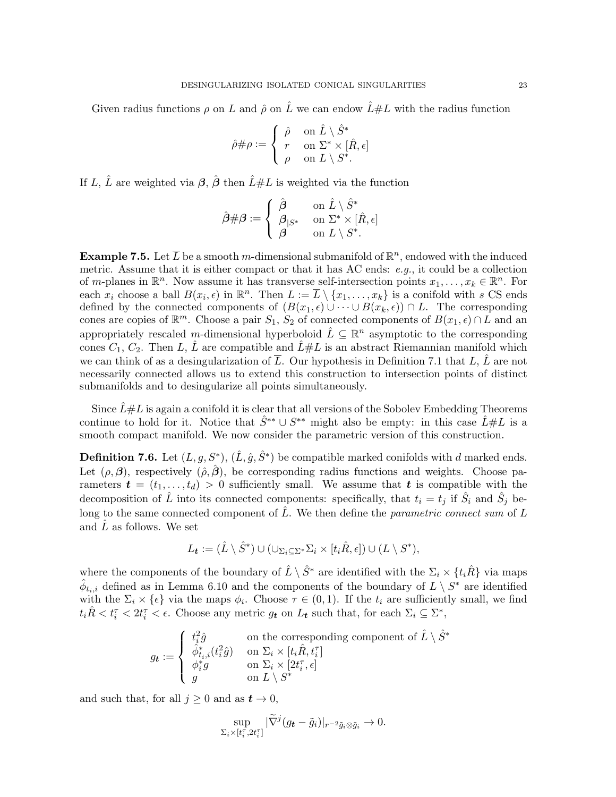Given radius functions  $\rho$  on L and  $\hat{\rho}$  on L we can endow  $\hat{L} \# L$  with the radius function

$$
\hat{\rho}\#\rho:=\left\{\begin{array}{ll} \hat{\rho} & \textrm{on}\,\,\hat{L}\setminus\hat{S}^* \\ r & \textrm{on}\,\,\Sigma^*\times[\hat{R},\epsilon] \\ \rho & \textrm{on}\,\,L\setminus S^*. \end{array}\right.
$$

If L,  $\hat{L}$  are weighted via  $\hat{\beta}$ ,  $\hat{\beta}$  then  $\hat{L} \# L$  is weighted via the function

$$
\hat{\bm{\beta}}\#\bm{\beta}:=\left\{\begin{array}{ll} \hat{\bm{\beta}} & \text{ on }\hat{L}\setminus \hat{S}^* \\ \bm{\beta}_{|S^*} & \text{ on }\Sigma^*\times [\hat{R},\epsilon] \\ \bm{\beta} & \text{ on } L\setminus S^*. \end{array}\right.
$$

**Example 7.5.** Let  $\overline{L}$  be a smooth m-dimensional submanifold of  $\mathbb{R}^n$ , endowed with the induced metric. Assume that it is either compact or that it has AC ends:  $e,q$ , it could be a collection of m-planes in  $\mathbb{R}^n$ . Now assume it has transverse self-intersection points  $x_1, \ldots, x_k \in \mathbb{R}^n$ . For each  $x_i$  choose a ball  $B(x_i, \epsilon)$  in  $\mathbb{R}^n$ . Then  $L := \overline{L} \setminus \{x_1, \ldots, x_k\}$  is a conifold with s CS ends defined by the connected components of  $(B(x_1, \epsilon) \cup \cdots \cup B(x_k, \epsilon)) \cap L$ . The corresponding cones are copies of  $\mathbb{R}^m$ . Choose a pair  $S_1$ ,  $S_2$  of connected components of  $B(x_1, \epsilon) \cap L$  and an appropriately rescaled m-dimensional hyperboloid  $\hat{L} \subseteq \mathbb{R}^n$  asymptotic to the corresponding cones  $C_1, C_2$ . Then L,  $\hat{L}$  are compatible and  $\hat{L} \# L$  is an abstract Riemannian manifold which we can think of as a desingularization of  $\overline{L}$ . Our hypothesis in Definition 7.1 that L,  $\hat{L}$  are not necessarily connected allows us to extend this construction to intersection points of distinct submanifolds and to desingularize all points simultaneously.

Since  $\hat{L} \# L$  is again a conifold it is clear that all versions of the Sobolev Embedding Theorems continue to hold for it. Notice that  $\hat{S}^{**} \cup S^{**}$  might also be empty: in this case  $\hat{L} \# L$  is a smooth compact manifold. We now consider the parametric version of this construction.

**Definition 7.6.** Let  $(L, g, S^*)$ ,  $(\hat{L}, \hat{g}, \hat{S}^*)$  be compatible marked conifolds with d marked ends. Let  $(\rho, \beta)$ , respectively  $(\hat{\rho}, \hat{\beta})$ , be corresponding radius functions and weights. Choose parameters  $\boldsymbol{t} = (t_1, \ldots, t_d) > 0$  sufficiently small. We assume that  $\boldsymbol{t}$  is compatible with the decomposition of  $\hat{L}$  into its connected components: specifically, that  $t_i = t_j$  if  $\hat{S}_i$  and  $\hat{S}_j$  belong to the same connected component of  $\hat{L}$ . We then define the parametric connect sum of L and  $\hat{L}$  as follows. We set

$$
L_{\boldsymbol{t}} := (\hat{L} \setminus \hat{S}^*) \cup (\cup_{\Sigma_i \subseteq \Sigma^*} \Sigma_i \times [t_i \hat{R}, \epsilon]) \cup (L \setminus S^*),
$$

where the components of the boundary of  $\hat{L} \setminus \hat{S}^*$  are identified with the  $\Sigma_i \times \{t_i \hat{R}\}\$ via maps  $\hat{\phi}_{t_i,i}$  defined as in Lemma 6.10 and the components of the boundary of  $L \setminus S^*$  are identified with the  $\Sigma_i \times \{\epsilon\}$  via the maps  $\phi_i$ . Choose  $\tau \in (0,1)$ . If the  $t_i$  are sufficiently small, we find  $t_i\hat{R} < t_i^{\tau} < 2t_i^{\tau} < \epsilon$ . Choose any metric  $g_t$  on  $L_t$  such that, for each  $\Sigma_i \subseteq \Sigma^*$ ,

$$
g_{\boldsymbol{t}} := \left\{ \begin{array}{ll} t_i^2 \hat{g} & \text{on the corresponding component of } \hat{L} \setminus \hat{S}^* \\ \hat{\phi}^*_{t_i,i}(t_i^2 \hat{g}) & \text{on } \Sigma_i \times [t_i \hat{R}, t_i^{\tau}] \\ \phi_i^* g & \text{on } \Sigma_i \times [2 t_i^{\tau}, \epsilon] \\ g & \text{on } L \setminus S^* \end{array} \right.
$$

and such that, for all  $j \geq 0$  and as  $t \to 0$ ,

$$
\sup_{\Sigma_i \times [t_i^\tau, 2t_i^\tau]} |\widetilde{\nabla}^j (g_{\boldsymbol{t}} - \tilde{g}_i)|_{r^{-2} \tilde{g}_i \otimes \tilde{g}_i} \to 0.
$$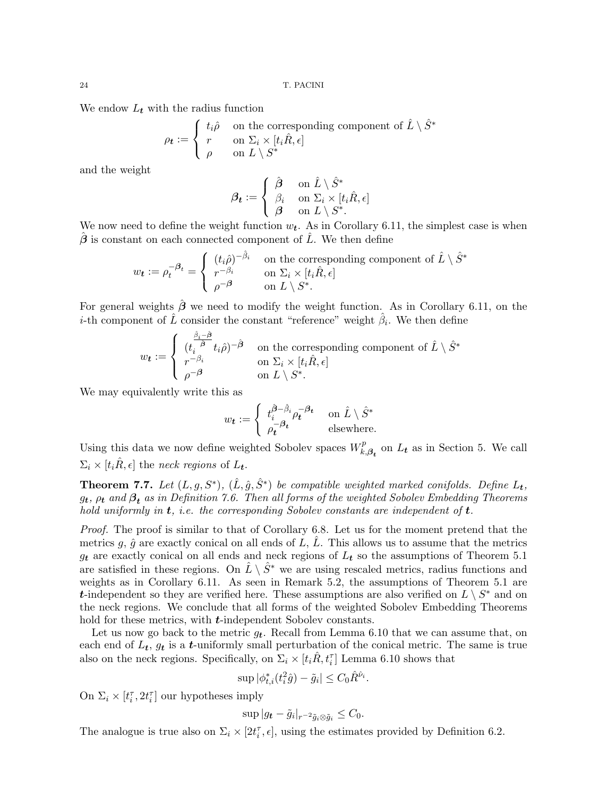We endow  $L_t$  with the radius function

$$
\rho_{\boldsymbol{t}} := \begin{cases} t_i \hat{\rho} & \text{on the corresponding component of } \hat{L} \setminus \hat{S}^* \\ r & \text{on } \Sigma_i \times [t_i \hat{R}, \epsilon] \\ \rho & \text{on } L \setminus S^* \end{cases}
$$

and the weight

$$
\boldsymbol{\beta_t} := \left\{ \begin{array}{ll} \hat{\boldsymbol{\beta}} & \text{on } \hat{L} \setminus \hat{S}^* \\ \beta_i & \text{on } \Sigma_i \times [t_i \hat{R}, \epsilon] \\ \boldsymbol{\beta} & \text{on } L \setminus S^*. \end{array} \right.
$$

We now need to define the weight function  $w_t$ . As in Corollary 6.11, the simplest case is when  $\hat{\boldsymbol{\beta}}$  is constant on each connected component of  $\hat{L}$ . We then define

$$
w_{\boldsymbol{t}} := \rho_t^{-\beta_t} = \begin{cases} (t_i \hat{\rho})^{-\hat{\beta}_i} & \text{on the corresponding component of } \hat{L} \setminus \hat{S}^* \\ r^{-\beta_i} & \text{on } \Sigma_i \times [t_i \hat{R}, \epsilon] \\ \rho^{-\beta} & \text{on } L \setminus S^*. \end{cases}
$$

For general weights  $\hat{\boldsymbol{\beta}}$  we need to modify the weight function. As in Corollary 6.11, on the *i*-th component of  $\hat{L}$  consider the constant "reference" weight  $\hat{\beta}_i$ . We then define

$$
w_{\boldsymbol{t}} := \begin{cases} \frac{\hat{\beta}_i - \hat{\beta}}{t_i \hat{\beta}} t_i \hat{\rho})^{-\hat{\beta}} & \text{on the corresponding component of } \hat{L} \setminus \hat{S}^* \\ r^{-\beta_i} & \text{on } \Sigma_i \times [t_i \hat{R}, \epsilon] \\ \rho^{-\beta} & \text{on } L \setminus S^*. \end{cases}
$$

We may equivalently write this as

$$
w_t := \begin{cases} t_i^{\hat{\beta} - \hat{\beta}_i} \rho_t^{-\beta_t} & \text{ on } \hat{L} \setminus \hat{S}^* \\ \rho_t^{-\beta_t} & \text{elsewhere.} \end{cases}
$$

Using this data we now define weighted Sobolev spaces  $W_k^p$ .  $k_{k},\beta_{t}$  on  $L_{t}$  as in Section 5. We call  $\Sigma_i \times [t_i \hat{R}, \epsilon]$  the neck regions of  $L_t$ .

**Theorem 7.7.** Let  $(L, g, S^*)$ ,  $(\hat{L}, \hat{g}, \hat{S}^*)$  be compatible weighted marked conifolds. Define  $L_t$ ,  $g_{\boldsymbol{t}},\,\rho_{\boldsymbol{t}}$  and  $\boldsymbol{\beta}_{\boldsymbol{t}}$  as in Definition 7.6. Then all forms of the weighted Sobolev Embedding Theorems hold uniformly in  $t$ , i.e. the corresponding Sobolev constants are independent of  $t$ .

Proof. The proof is similar to that of Corollary 6.8. Let us for the moment pretend that the metrics g,  $\hat{q}$  are exactly conical on all ends of L,  $\hat{L}$ . This allows us to assume that the metrics  $g_t$  are exactly conical on all ends and neck regions of  $L_t$  so the assumptions of Theorem 5.1 are satisfied in these regions. On  $\hat{L} \setminus \hat{S}^*$  we are using rescaled metrics, radius functions and weights as in Corollary 6.11. As seen in Remark 5.2, the assumptions of Theorem 5.1 are t-independent so they are verified here. These assumptions are also verified on  $L \setminus S^*$  and on the neck regions. We conclude that all forms of the weighted Sobolev Embedding Theorems hold for these metrics, with **t**-independent Sobolev constants.

Let us now go back to the metric  $g_t$ . Recall from Lemma 6.10 that we can assume that, on each end of  $L_t$ ,  $g_t$  is a *t*-uniformly small perturbation of the conical metric. The same is true also on the neck regions. Specifically, on  $\Sigma_i \times [t_i \hat{R}, t_i^{\tau}]$  Lemma 6.10 shows that

$$
\sup |\phi_{t,i}^*(t_i^2\hat{g}) - \tilde{g}_i| \le C_0 \hat{R}^{\hat{\nu}_i}.
$$

On  $\Sigma_i \times [t_i^{\tau}, 2t_i^{\tau}]$  our hypotheses imply

$$
\sup |g_{\boldsymbol{t}} - \tilde{g}_i|_{r^{-2}\tilde{g}_i \otimes \tilde{g}_i} \leq C_0.
$$

The analogue is true also on  $\Sigma_i \times [2t_i^{\tau}, \epsilon]$ , using the estimates provided by Definition 6.2.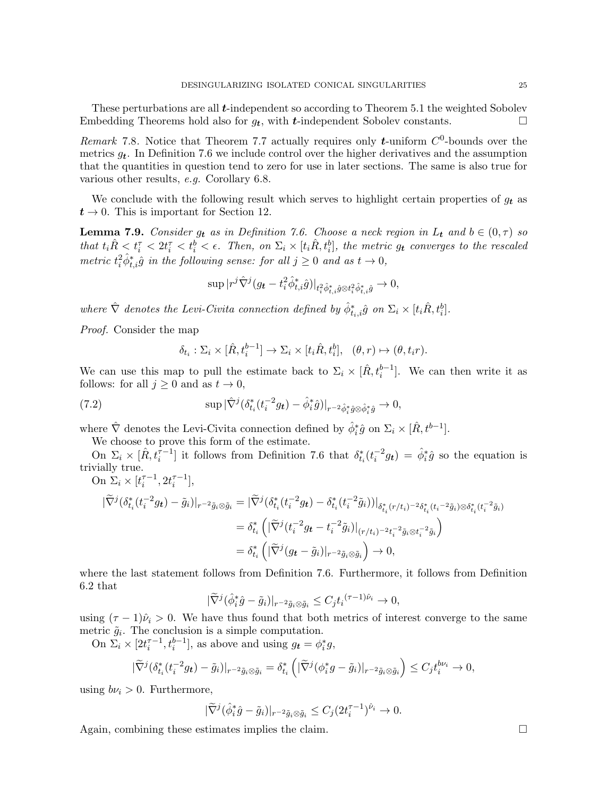These perturbations are all  $t$ -independent so according to Theorem 5.1 the weighted Sobolev Embedding Theorems hold also for  $g_t$ , with *t*-independent Sobolev constants.

Remark 7.8. Notice that Theorem 7.7 actually requires only *t*-uniform  $C^0$ -bounds over the metrics  $g_t$ . In Definition 7.6 we include control over the higher derivatives and the assumption that the quantities in question tend to zero for use in later sections. The same is also true for various other results, e.g. Corollary 6.8.

We conclude with the following result which serves to highlight certain properties of  $g_t$  as  $t \to 0$ . This is important for Section 12.

**Lemma 7.9.** Consider  $g_t$  as in Definition 7.6. Choose a neck region in  $L_t$  and  $b \in (0, \tau)$  so that  $t_i\hat{R} < t_i^{\tau} < 2t_i^{\tau} < t_i^b < \epsilon$ . Then, on  $\Sigma_i \times [t_i\hat{R}, t_i^b]$ , the metric  $g_t$  converges to the rescaled metric  $t_i^2 \hat{\phi}_{t,i}^* \hat{g}$  in the following sense: for all  $j \geq 0$  and as  $t \to 0$ ,

$$
\sup|r^j\hat{\nabla}^j(g_{\boldsymbol{t}}-t_i^2\hat{\phi}^*_{t,i}\hat{g})|_{t_i^2\hat{\phi}^*_{t,i}\hat{g}\otimes t_i^2\hat{\phi}^*_{t,i}\hat{g}}\rightarrow 0,
$$

where  $\hat{\nabla}$  denotes the Levi-Civita connection defined by  $\hat{\phi}_{t_i,i}^* \hat{g}$  on  $\Sigma_i \times [t_i \hat{R}, t_i^b]$ .

Proof. Consider the map

$$
\delta_{t_i} : \Sigma_i \times [\hat{R}, t_i^{b-1}] \to \Sigma_i \times [t_i \hat{R}, t_i^b], \quad (\theta, r) \mapsto (\theta, t_i r).
$$

We can use this map to pull the estimate back to  $\Sigma_i \times [\hat{R}, t_i^{b-1}]$ . We can then write it as follows: for all  $j \geq 0$  and as  $t \to 0$ ,

(7.2) 
$$
\sup |\hat{\nabla}^j (\delta_{t_i}^* (t_i^{-2} g_t) - \hat{\phi}_i^* \hat{g})|_{r^{-2} \hat{\phi}_i^* \hat{g} \otimes \hat{\phi}_i^* \hat{g}} \to 0,
$$

where  $\hat{\nabla}$  denotes the Levi-Civita connection defined by  $\hat{\phi}_i^* \hat{g}$  on  $\Sigma_i \times [\hat{R}, t^{b-1}]$ .

We choose to prove this form of the estimate.

On  $\Sigma_i \times [\hat{R}, t_i^{\tau-1}]$  it follows from Definition 7.6 that  $\delta_{t_i}^*(t_i^{-2}g_t) = \hat{\phi}_i^*\hat{g}$  so the equation is trivially true. On  $\Sigma_i \times [t_i^{\tau-1}, 2t_i^{\tau-1}],$ 

$$
\begin{split} |\widetilde{\nabla}^j (\delta_{t_i}^* (t_i^{-2} g_t) - \tilde{g}_i)|_{r^{-2} \tilde{g}_i \otimes \tilde{g}_i} &= |\widetilde{\nabla}^j (\delta_{t_i}^* (t_i^{-2} g_t) - \delta_{t_i}^* (t_i^{-2} \tilde{g}_i))|_{\delta_{t_i}^* (r/t_i)^{-2} \delta_{t_i}^* (t_i^{-2} \tilde{g}_i) \otimes \delta_{t_i}^* (t_i^{-2} \tilde{g}_i)} \\ &= \delta_{t_i}^* \left( |\widetilde{\nabla}^j (t_i^{-2} g_t - t_i^{-2} \tilde{g}_i)|_{(r/t_i)^{-2} t_i^{-2} \tilde{g}_i \otimes t_i^{-2} \tilde{g}_i} \right) \\ &= \delta_{t_i}^* \left( |\widetilde{\nabla}^j (g_t - \tilde{g}_i)|_{r^{-2} \tilde{g}_i \otimes \tilde{g}_i} \right) \to 0, \end{split}
$$

where the last statement follows from Definition 7.6. Furthermore, it follows from Definition 6.2 that

$$
|\widetilde{\nabla}^j(\hat{\phi}_i^*\hat{g}-\tilde{g}_i)|_{r^{-2}\tilde{g}_i\otimes\tilde{g}_i}\leq C_jt_i^{(\tau-1)\hat{\nu}_i}\to 0,
$$

using  $(\tau - 1)\hat{\nu}_i > 0$ . We have thus found that both metrics of interest converge to the same metric  $\tilde{g}_i$ . The conclusion is a simple computation.

On  $\Sigma_i \times [2t_i^{\tau-1}, t_i^{b-1}]$ , as above and using  $g_t = \phi_i^* g$ ,

$$
|\widetilde{\nabla}^j(\delta_{t_i}^*(t_i^{-2}g_t)-\tilde{g}_i)|_{r^{-2}\tilde{g}_i\otimes\tilde{g}_i}=\delta_{t_i}^*\left(|\widetilde{\nabla}^j(\phi_i^*g-\tilde{g}_i)|_{r^{-2}\tilde{g}_i\otimes\tilde{g}_i}\right)\leq C_jt_i^{b\nu_i}\to 0,
$$

using  $b\nu_i > 0$ . Furthermore,

$$
|\widetilde{\nabla}^j(\hat{\phi}_i^*\hat{g}-\tilde{g}_i)|_{r^{-2}\tilde{g}_i\otimes\tilde{g}_i}\leq C_j(2t_i^{\tau-1})^{\hat{\nu}_i}\to 0.
$$

Again, combining these estimates implies the claim.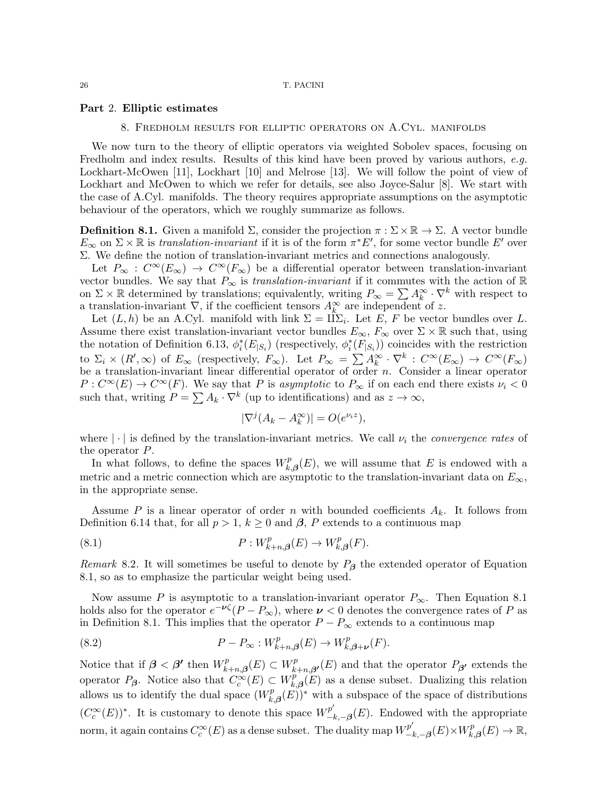### Part 2. Elliptic estimates

## 8. Fredholm results for elliptic operators on A.Cyl. manifolds

We now turn to the theory of elliptic operators via weighted Sobolev spaces, focusing on Fredholm and index results. Results of this kind have been proved by various authors, e.g. Lockhart-McOwen [11], Lockhart [10] and Melrose [13]. We will follow the point of view of Lockhart and McOwen to which we refer for details, see also Joyce-Salur [8]. We start with the case of A.Cyl. manifolds. The theory requires appropriate assumptions on the asymptotic behaviour of the operators, which we roughly summarize as follows.

**Definition 8.1.** Given a manifold  $\Sigma$ , consider the projection  $\pi : \Sigma \times \mathbb{R} \to \Sigma$ . A vector bundle  $E_{\infty}$  on  $\Sigma \times \mathbb{R}$  is translation-invariant if it is of the form  $\pi^* E'$ , for some vector bundle E' over Σ. We define the notion of translation-invariant metrics and connections analogously.

Let  $P_{\infty}: C^{\infty}(E_{\infty}) \to C^{\infty}(F_{\infty})$  be a differential operator between translation-invariant vector bundles. We say that  $P_{\infty}$  is *translation-invariant* if it commutes with the action of R on  $\Sigma \times \mathbb{R}$  determined by translations; equivalently, writing  $P_{\infty} = \sum A_k^{\infty} \cdot \nabla^k$  with respect to a translation-invariant  $\nabla$ , if the coefficient tensors  $A_k^{\infty}$  are independent of z.

Let  $(L, h)$  be an A.Cyl. manifold with link  $\Sigma = \Pi \Sigma_i$ . Let E, F be vector bundles over L. Assume there exist translation-invariant vector bundles  $E_{\infty}$ ,  $F_{\infty}$  over  $\Sigma \times \mathbb{R}$  such that, using the notation of Definition 6.13,  $\phi_i^*(E_{|S_i})$  (respectively,  $\phi_i^*(F_{|S_i})$ ) coincides with the restriction to  $\Sigma_i \times (R', \infty)$  of  $E_\infty$  (respectively,  $F_\infty$ ). Let  $P_\infty = \sum A_k^{\infty} \cdot \nabla^k : C^\infty(E_\infty) \to C^\infty(F_\infty)$ be a translation-invariant linear differential operator of order  $n$ . Consider a linear operator  $P: C^{\infty}(E) \to C^{\infty}(F)$ . We say that P is asymptotic to  $P_{\infty}$  if on each end there exists  $\nu_i < 0$ such that, writing  $P = \sum A_k \cdot \nabla^k$  (up to identifications) and as  $z \to \infty$ ,

$$
|\nabla^j (A_k - A_k^{\infty})| = O(e^{\nu_i z}),
$$

where  $|\cdot|$  is defined by the translation-invariant metrics. We call  $\nu_i$  the *convergence rates* of the operator P.

In what follows, to define the spaces  $W_k^p$  $\kappa_{k,\beta}^{p}(E)$ , we will assume that E is endowed with a metric and a metric connection which are asymptotic to the translation-invariant data on  $E_{\infty}$ , in the appropriate sense.

Assume P is a linear operator of order n with bounded coefficients  $A_k$ . It follows from Definition 6.14 that, for all  $p > 1$ ,  $k \geq 0$  and  $\beta$ , P extends to a continuous map

(8.1) 
$$
P: W^p_{k+n,\beta}(E) \to W^p_{k,\beta}(F).
$$

Remark 8.2. It will sometimes be useful to denote by  $P_{\beta}$  the extended operator of Equation 8.1, so as to emphasize the particular weight being used.

Now assume P is asymptotic to a translation-invariant operator  $P_{\infty}$ . Then Equation 8.1 holds also for the operator  $e^{-\nu \zeta}(P - P_{\infty})$ , where  $\nu < 0$  denotes the convergence rates of P as in Definition 8.1. This implies that the operator  $P - P_{\infty}$  extends to a continuous map

(8.2) 
$$
P - P_{\infty} : W_{k+n,\beta}^p(E) \to W_{k,\beta+\nu}^p(F).
$$

Notice that if  $\boldsymbol{\beta} < \boldsymbol{\beta'}$  then  $W_k^p$ .  $F_{k+n,\beta}^p(E) \subset W_k^p$  $R_{k+n,\beta'}^p(E)$  and that the operator  $P_{\beta'}$  extends the operator  $P_{\beta}$ . Notice also that  $C_c^{\infty}(E) \subset W_F^p$  $k_{k,\beta}(E)$  as a dense subset. Dualizing this relation allows us to identify the dual space  $(W_k^p)$  $\chi_{k,\beta}^p(E))^*$  with a subspace of the space of distributions  $(C_c^{\infty}(E))^*$ . It is customary to denote this space  $W_{-i}^{p'}$  $\frac{p}{-k,-\beta}(E)$ . Endowed with the appropriate norm, it again contains  $C_c^\infty(E)$  as a dense subset. The duality map  $W_{-i}^{p'}$  $\frac{\mathcal{P}^{\prime}_{-k,-\boldsymbol{\beta}}(E)\times W_{k}^{p}}{P}$  $k^p_{k,\boldsymbol{\beta}}(E) \to \mathbb{R},$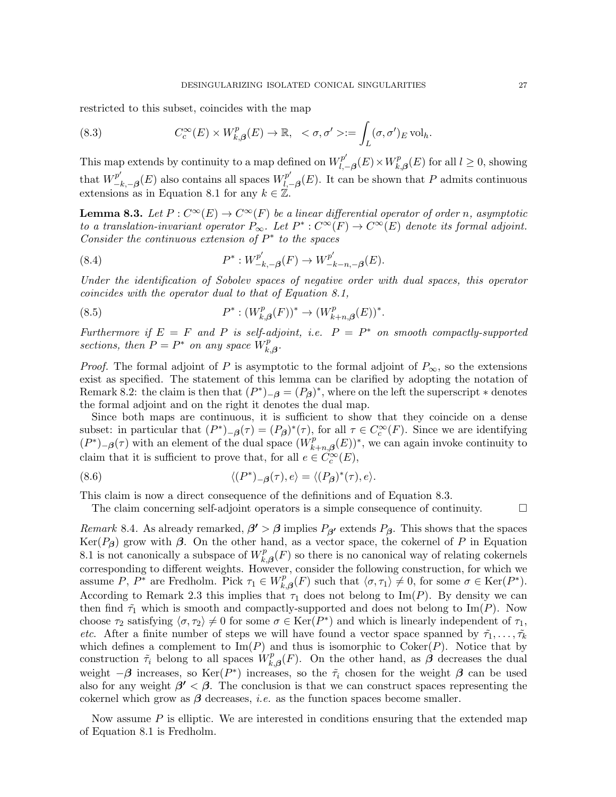restricted to this subset, coincides with the map

(8.3) 
$$
C_c^{\infty}(E) \times W_{k,\beta}^p(E) \to \mathbb{R}, \ \ <\sigma,\sigma'>:=\int_L(\sigma,\sigma')_E \operatorname{vol}_h.
$$

This map extends by continuity to a map defined on  $W_l^{p'}$ .  $\overline{l}_{l,-\boldsymbol{\beta}}^{p^{\prime}}(E)\!\times\!W_{k_{l}}^{p}$  $k_{k,\beta}^p(E)$  for all  $l \geq 0$ , showing that  $W^p_{-}$  $\binom{p'}{-k, -\beta}(E)$  also contains all spaces  $W^{p'}_{l, -\beta}$  $\ell_{l,-\beta}^p(E)$ . It can be shown that P admits continuous extensions as in Equation 8.1 for any  $k \in \mathbb{Z}$ .

**Lemma 8.3.** Let  $P: C^{\infty}(E) \to C^{\infty}(F)$  be a linear differential operator of order n, asymptotic to a translation-invariant operator  $P_{\infty}$ . Let  $P^* : C^{\infty}(F) \to C^{\infty}(E)$  denote its formal adjoint. Consider the continuous extension of  $P^*$  to the spaces

(8.4) 
$$
P^*: W_{-k,-\beta}^{p'}(F) \to W_{-k-n,-\beta}^{p'}(E).
$$

Under the identification of Sobolev spaces of negative order with dual spaces, this operator coincides with the operator dual to that of Equation 8.1,

(8.5) 
$$
P^* : (W_{k,\beta}^p(F))^* \to (W_{k+n,\beta}^p(E))^*.
$$

Furthermore if  $E = F$  and P is self-adjoint, i.e.  $P = P^*$  on smooth compactly-supported sections, then  $P = P^*$  on any space  $W_k^p$  $_{k,\boldsymbol{\beta}}^{p}.$ 

*Proof.* The formal adjoint of P is asymptotic to the formal adjoint of  $P_{\infty}$ , so the extensions exist as specified. The statement of this lemma can be clarified by adopting the notation of Remark 8.2: the claim is then that  $(P^*)_{-\beta} = (P_{\beta})^*$ , where on the left the superscript  $*$  denotes the formal adjoint and on the right it denotes the dual map.

Since both maps are continuous, it is sufficient to show that they coincide on a dense subset: in particular that  $(P^*)_{-\beta}(\tau) = (P_{\beta})^*(\tau)$ , for all  $\tau \in C_c^{\infty}(F)$ . Since we are identifying  $(P^*)_{-\beta}(\tau)$  with an element of the dual space  $(W_k^p)$  $h_{k+n,\beta}^{p}(E))^{*}$ , we can again invoke continuity to claim that it is sufficient to prove that, for all  $e \in C_c^{\infty}(E)$ ,

(8.6) 
$$
\langle (P^*)_{-\beta}(\tau), e \rangle = \langle (P_{\beta})^*(\tau), e \rangle.
$$

This claim is now a direct consequence of the definitions and of Equation 8.3.

The claim concerning self-adjoint operators is a simple consequence of continuity.  $\Box$ 

Remark 8.4. As already remarked,  $\beta' > \beta$  implies  $P_{\beta'}$  extends  $P_{\beta}$ . This shows that the spaces Ker( $P_{\beta}$ ) grow with  $\beta$ . On the other hand, as a vector space, the cokernel of P in Equation 8.1 is not canonically a subspace of  $W_k^p$  $k_{k,\beta}(F)$  so there is no canonical way of relating cokernels corresponding to different weights. However, consider the following construction, for which we assume P,  $P^*$  are Fredholm. Pick  $\tau_1 \in W_k^p$  $\chi_{k,\beta}^p(F)$  such that  $\langle \sigma, \tau_1 \rangle \neq 0$ , for some  $\sigma \in \text{Ker}(P^*).$ According to Remark 2.3 this implies that  $\tau_1$  does not belong to Im(P). By density we can then find  $\tilde{\tau}_1$  which is smooth and compactly-supported and does not belong to Im(P). Now choose  $\tau_2$  satisfying  $\langle \sigma, \tau_2 \rangle \neq 0$  for some  $\sigma \in \text{Ker}(P^*)$  and which is linearly independent of  $\tau_1$ , *etc.* After a finite number of steps we will have found a vector space spanned by  $\tilde{\tau}_1, \ldots, \tilde{\tau}_k$ which defines a complement to  $\text{Im}(P)$  and thus is isomorphic to  $\text{Coker}(P)$ . Notice that by construction  $\tilde{\tau}_i$  belong to all spaces  $W_k^p$  $\mathcal{L}_{k,\beta}(F)$ . On the other hand, as  $\beta$  decreases the dual weight  $-\beta$  increases, so Ker $(P^*)$  increases, so the  $\tilde{\tau}_i$  chosen for the weight  $\beta$  can be used also for any weight  $\beta' < \beta$ . The conclusion is that we can construct spaces representing the cokernel which grow as  $\beta$  decreases, *i.e.* as the function spaces become smaller.

Now assume  $P$  is elliptic. We are interested in conditions ensuring that the extended map of Equation 8.1 is Fredholm.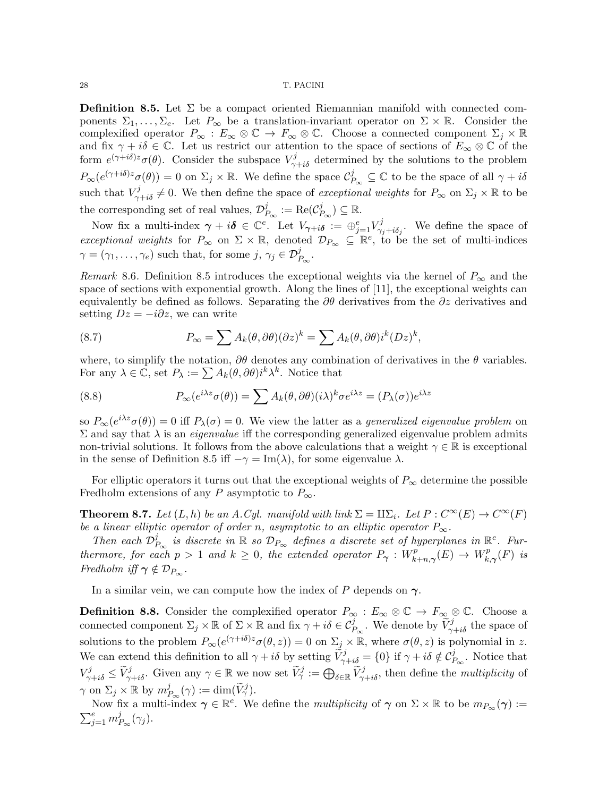**Definition 8.5.** Let  $\Sigma$  be a compact oriented Riemannian manifold with connected components  $\Sigma_1,\ldots,\Sigma_e$ . Let  $P_\infty$  be a translation-invariant operator on  $\Sigma \times \mathbb{R}$ . Consider the complexified operator  $P_{\infty}: E_{\infty}\otimes\mathbb{C} \to F_{\infty}\otimes\mathbb{C}$ . Choose a connected component  $\Sigma_j\times\mathbb{R}$ and fix  $\gamma + i\delta \in \mathbb{C}$ . Let us restrict our attention to the space of sections of  $E_{\infty} \otimes \mathbb{C}$  of the form  $e^{(\gamma + i\delta)z}\sigma(\theta)$ . Consider the subspace  $V^j_{\gamma+i\delta}$  determined by the solutions to the problem  $P_{\infty}(e^{(\gamma + i\delta)z}\sigma(\theta)) = 0$  on  $\Sigma_j \times \mathbb{R}$ . We define the space  $\mathcal{C}_P^j$  $P_{\infty} \subseteq \mathbb{C}$  to be the space of all  $\gamma + i\delta$ such that  $V_{\gamma+i\delta}^j \neq 0$ . We then define the space of *exceptional weights* for  $P_{\infty}$  on  $\Sigma_j \times \mathbb{R}$  to be the corresponding set of real values,  $\mathcal{D}_I^j$  $\frac{j}{P_\infty}:=\mathrm{Re}(\mathcal{C}^j_P)$  $\binom{j}{P_\infty}$   $\subseteq \mathbb{R}$ .

Now fix a multi-index  $\gamma + i\delta \in \mathbb{C}^e$ . Let  $V_{\gamma+i\delta} := \bigoplus_{j=1}^e V^j_{\gamma+\delta}$  $\gamma_{j+i\delta_j}$ . We define the space of exceptional weights for  $P_{\infty}$  on  $\Sigma \times \mathbb{R}$ , denoted  $\mathcal{D}_{P_{\infty}} \subseteq \mathbb{R}^e$ , to be the set of multi-indices  $\gamma = (\gamma_1, \ldots, \gamma_e)$  such that, for some  $j, \gamma_j \in \mathcal{D}_{P_{\infty}}^j$ .

Remark 8.6. Definition 8.5 introduces the exceptional weights via the kernel of  $P_{\infty}$  and the space of sections with exponential growth. Along the lines of [11], the exceptional weights can equivalently be defined as follows. Separating the  $\partial \theta$  derivatives from the  $\partial z$  derivatives and setting  $Dz = -i\partial z$ , we can write

(8.7) 
$$
P_{\infty} = \sum A_k(\theta, \partial \theta)(\partial z)^k = \sum A_k(\theta, \partial \theta)i^k(Dz)^k,
$$

where, to simplify the notation,  $\partial\theta$  denotes any combination of derivatives in the  $\theta$  variables. For any  $\lambda \in \mathbb{C}$ , set  $P_{\lambda} := \sum A_k(\theta, \partial \theta) i^k \lambda^k$ . Notice that

(8.8) 
$$
P_{\infty}(e^{i\lambda z}\sigma(\theta)) = \sum A_k(\theta, \partial\theta)(i\lambda)^k \sigma e^{i\lambda z} = (P_{\lambda}(\sigma))e^{i\lambda z}
$$

so  $P_{\infty}(e^{i\lambda z}\sigma(\theta)) = 0$  iff  $P_{\lambda}(\sigma) = 0$ . We view the latter as a *generalized eigenvalue problem* on  $\Sigma$  and say that λ is an *eigenvalue* iff the corresponding generalized eigenvalue problem admits non-trivial solutions. It follows from the above calculations that a weight  $\gamma \in \mathbb{R}$  is exceptional in the sense of Definition 8.5 iff  $-\gamma = \text{Im}(\lambda)$ , for some eigenvalue  $\lambda$ .

For elliptic operators it turns out that the exceptional weights of  $P_{\infty}$  determine the possible Fredholm extensions of any P asymptotic to  $P_{\infty}$ .

**Theorem 8.7.** Let  $(L, h)$  be an A.Cyl. manifold with link  $\Sigma = \Pi \Sigma_i$ . Let  $P : C^{\infty}(E) \to C^{\infty}(F)$ be a linear elliptic operator of order n, asymptotic to an elliptic operator  $P_{\infty}$ .

Then each  $\mathcal{D}_l^j$  $\mathcal{P}^j_{P_{\infty}}$  is discrete in  $\mathbb R$  so  $\mathcal{D}_{P_{\infty}}$  defines a discrete set of hyperplanes in  $\mathbb R^e$ . Furthermore, for each  $p > 1$  and  $k \geq 0$ , the extended operator  $P_{\gamma}: W_{k}^{p}$  $W^p_{k+n,\boldsymbol{\gamma}}(E) \to W^p_{k,n}$  $f_{k,\boldsymbol{\gamma}}^p(F)$  is Fredholm iff  $\gamma \notin \mathcal{D}_{P_{\infty}}$ .

In a similar vein, we can compute how the index of P depends on  $\gamma$ .

**Definition 8.8.** Consider the complexified operator  $P_{\infty}: E_{\infty} \otimes \mathbb{C} \to F_{\infty} \otimes \mathbb{C}$ . Choose a connected component  $\Sigma_j \times \mathbb{R}$  of  $\Sigma \times \mathbb{R}$  and fix  $\gamma + i\delta \in \mathcal{C}_{P_{\infty}}^j$ . We denote by  $\widetilde{V}_{\gamma+i\delta}^j$  the space of solutions to the problem  $P_{\infty}(e^{(\gamma+i\delta)z}\sigma(\theta, z)) = 0$  on  $\Sigma_j \times \mathbb{R}$ , where  $\sigma(\theta, z)$  is polynomial in z. We can extend this definition to all  $\gamma + i\delta$  by setting  $\tilde{V}^j_{\gamma+i\delta} = \{0\}$  if  $\gamma + i\delta \notin C^j_{P_{\infty}}$ . Notice that  $V_{\gamma+i\delta}^j \leq \widetilde{V}_{\gamma+i\delta}^j$ . Given any  $\gamma \in \mathbb{R}$  we now set  $\widetilde{V}_{\gamma}^j := \bigoplus_{\delta \in \mathbb{R}} \widetilde{V}_{\gamma+i\delta}^j$ , then define the *multiplicity* of  $\gamma$  on  $\Sigma_j \times \mathbb{R}$  by  $m_f^j$  $j_{P_{\infty}}(\gamma) := \dim(\widetilde{V}_{\gamma}^j).$ 

Now fix a multi-index  $\gamma \in \mathbb{R}^e$ . We define the *multiplicity* of  $\gamma$  on  $\Sigma \times \mathbb{R}$  to be  $m_{P_{\infty}}(\gamma) :=$  $\sum_{j=1}^e m_I^j$  $P_{\infty}(\gamma_j)$ .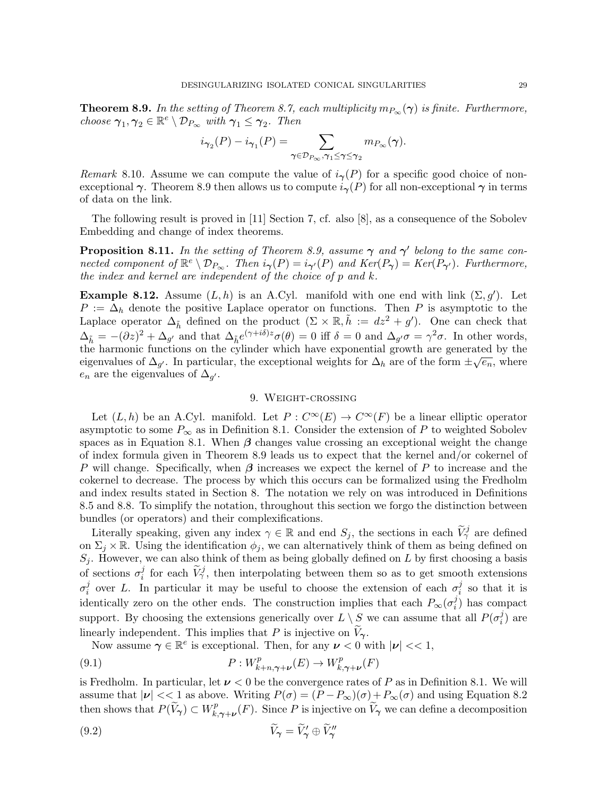**Theorem 8.9.** In the setting of Theorem 8.7, each multiplicity  $m_{P_{\infty}}(\gamma)$  is finite. Furthermore, choose  $\gamma_1, \gamma_2 \in \mathbb{R}^e \setminus \mathcal{D}_{P_{\infty}}$  with  $\gamma_1 \leq \gamma_2$ . Then

$$
i_{\gamma_2}(P) - i_{\gamma_1}(P) = \sum_{\gamma \in \mathcal{D}_{P_{\infty}}, \gamma_1 \leq \gamma \leq \gamma_2} m_{P_{\infty}}(\gamma).
$$

Remark 8.10. Assume we can compute the value of  $i_{\gamma}(P)$  for a specific good choice of nonexceptional  $\gamma$ . Theorem 8.9 then allows us to compute  $i_{\gamma}(P)$  for all non-exceptional  $\gamma$  in terms of data on the link.

The following result is proved in [11] Section 7, cf. also [8], as a consequence of the Sobolev Embedding and change of index theorems.

**Proposition 8.11.** In the setting of Theorem 8.9, assume  $\gamma$  and  $\gamma'$  belong to the same connected component of  $\mathbb{R}^e \setminus \mathcal{D}_{P_{\infty}}$ . Then  $i_{\gamma}(P) = i_{\gamma'}(P)$  and  $Ker(P_{\gamma}) = Ker(P_{\gamma'})$ . Furthermore, the index and kernel are independent of the choice of p and k.

**Example 8.12.** Assume  $(L, h)$  is an A.Cyl. manifold with one end with link  $(\Sigma, g')$ . Let  $P := \Delta_h$  denote the positive Laplace operator on functions. Then P is asymptotic to the Laplace operator  $\Delta_{\tilde{h}}$  defined on the product  $(\Sigma \times \mathbb{R}, \tilde{h} := dz^2 + g')$ . One can check that  $\Delta_{\tilde{h}} = -(\partial z)^2 + \Delta_{g'}$  and that  $\Delta_{\tilde{h}} e^{(\gamma + i\delta)z} \sigma(\theta) = 0$  iff  $\delta = 0$  and  $\Delta_{g'} \sigma = \gamma^2 \sigma$ . In other words, the harmonic functions on the cylinder which have exponential growth are generated by the  $\frac{1}{2}$ eigenvalues of  $\Delta_{g'}$ . In particular, the exceptional weights for  $\Delta_h$  are of the form  $\pm \sqrt{e_n}$ , where  $e_n$  are the eigenvalues of  $\Delta_{g'}$ .

# 9. Weight-crossing

Let  $(L, h)$  be an A.Cyl. manifold. Let  $P: C^{\infty}(E) \to C^{\infty}(F)$  be a linear elliptic operator asymptotic to some  $P_{\infty}$  as in Definition 8.1. Consider the extension of P to weighted Sobolev spaces as in Equation 8.1. When  $\beta$  changes value crossing an exceptional weight the change of index formula given in Theorem 8.9 leads us to expect that the kernel and/or cokernel of P will change. Specifically, when  $\beta$  increases we expect the kernel of P to increase and the cokernel to decrease. The process by which this occurs can be formalized using the Fredholm and index results stated in Section 8. The notation we rely on was introduced in Definitions 8.5 and 8.8. To simplify the notation, throughout this section we forgo the distinction between bundles (or operators) and their complexifications.

Literally speaking, given any index  $\gamma \in \mathbb{R}$  and end  $S_j$ , the sections in each  $\widetilde{V}^j_\gamma$  are defined on  $\Sigma_j \times \mathbb{R}$ . Using the identification  $\phi_j$ , we can alternatively think of them as being defined on  $S_j$ . However, we can also think of them as being globally defined on L by first choosing a basis of sections  $\sigma_i^j$ if the each  $\widetilde{V}_{\gamma}^{j}$ , then interpolating between them so as to get smooth extensions  $\sigma_i^j$ <sup>j</sup> over L. In particular it may be useful to choose the extension of each  $\sigma_i^j$  $\frac{j}{i}$  so that it is identically zero on the other ends. The construction implies that each  $P_{\infty}(\sigma_i^j)$  $i$ ) has compact support. By choosing the extensions generically over  $L \setminus S$  we can assume that all  $P(\sigma_i^j)$  $i^j$ ) are linearly independent. This implies that P is injective on  $V_{\gamma}$ .

Now assume  $\gamma \in \mathbb{R}^e$  is exceptional. Then, for any  $\nu < 0$  with  $|\nu| << 1$ ,

(9.1) 
$$
P: W^p_{k+n,\gamma+\nu}(E) \to W^p_{k,\gamma+\nu}(F)
$$

is Fredholm. In particular, let  $\nu < 0$  be the convergence rates of P as in Definition 8.1. We will assume that  $|\nu| \ll 1$  as above. Writing  $P(\sigma) = (P - P_{\infty})(\sigma) + P_{\infty}(\sigma)$  and using Equation 8.2 then shows that  $P(\widetilde{V}_{\gamma}) \subset W_{k}^p$  $k, \gamma, \nu$  (*F*). Since *P* is injective on  $V_{\gamma}$  we can define a decomposition

$$
\widetilde{V}_{\gamma} = \widetilde{V}_{\gamma}' \oplus \widetilde{V}_{\gamma}''
$$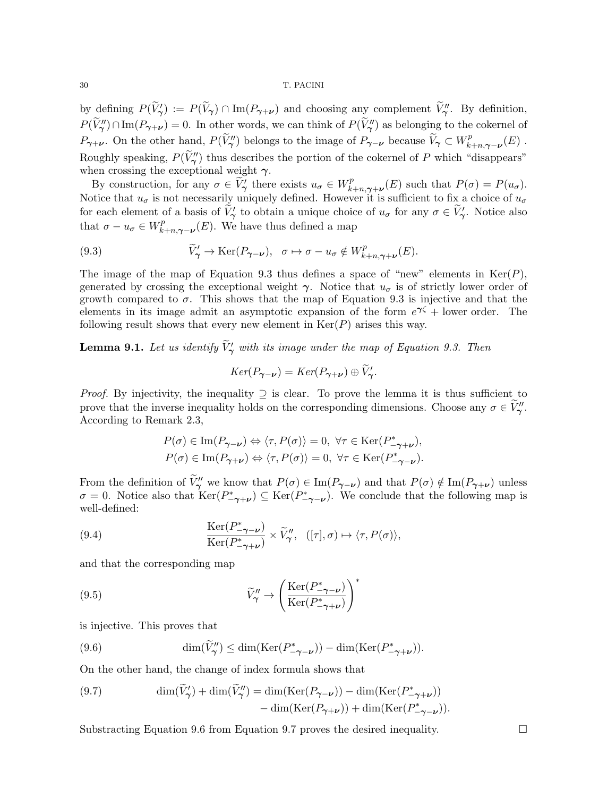by defining  $P(\widetilde{V}_{\gamma}') := P(\widetilde{V}_{\gamma}) \cap \text{Im}(P_{\gamma+\nu})$  and choosing any complement  $\widetilde{V}_{\gamma}''$ . By definition,  $P(\widetilde{V}_{\gamma}^{\prime\prime})\cap\text{Im}(P_{\gamma+\nu})=0.$  In other words, we can think of  $P(\widetilde{V}_{\gamma}^{\prime\prime})$  as belonging to the cokernel of  $P_{\gamma+\nu}$ . On the other hand,  $P(\widetilde{V}_{\gamma}''')$  belongs to the image of  $P_{\gamma-\nu}$  because  $\widetilde{V}_{\gamma} \subset W_k^p$  $h^2_{k+n,\boldsymbol{\gamma}-\boldsymbol{\nu}}(E)$  . Roughly speaking,  $P(\widetilde{V}_{\gamma}^{\prime\prime})$  thus describes the portion of the cokernel of P which "disappears" when crossing the exceptional weight  $\gamma$ .

By construction, for any  $\sigma \in \widetilde{V}'_{\gamma}$  there exists  $u_{\sigma} \in W_k^p$  $R_{k+n,\gamma+\nu}(E)$  such that  $P(\sigma)=P(u_{\sigma}).$ Notice that  $u_{\sigma}$  is not necessarily uniquely defined. However it is sufficient to fix a choice of  $u_{\sigma}$ for each element of a basis of  $\widetilde{V}'_1$  to obtain a unique choice of  $u_{\sigma}$  for any  $\sigma \in \widetilde{V}'_1$ . Notice also that  $\sigma - u_{\sigma} \in W_{k}^{p}$  $\chi_{k+n,\boldsymbol{\gamma}-\boldsymbol{\nu}}^p(E)$ . We have thus defined a map

(9.3) 
$$
\widetilde{V}'_{\gamma} \to \text{Ker}(P_{\gamma-\nu}), \quad \sigma \mapsto \sigma - u_{\sigma} \notin W_{k+n,\gamma+\nu}^p(E).
$$

The image of the map of Equation 9.3 thus defines a space of "new" elements in  $\text{Ker}(P)$ , generated by crossing the exceptional weight  $\gamma$ . Notice that  $u_{\sigma}$  is of strictly lower order of growth compared to  $\sigma$ . This shows that the map of Equation 9.3 is injective and that the elements in its image admit an asymptotic expansion of the form  $e^{\gamma \zeta}$  + lower order. The following result shows that every new element in  $\text{Ker}(P)$  arises this way.

**Lemma 9.1.** Let us identify  $\tilde{V}'_{\gamma}$  with its image under the map of Equation 9.3. Then

$$
Ker(P_{\gamma-\nu})=Ker(P_{\gamma+\nu})\oplus \widetilde{V}_{\gamma}'.
$$

*Proof.* By injectivity, the inequality  $\supseteq$  is clear. To prove the lemma it is thus sufficient to prove that the inverse inequality holds on the corresponding dimensions. Choose any  $\sigma \in \widetilde{V}''_{\gamma}$ . According to Remark 2.3,

$$
P(\sigma) \in \text{Im}(P_{\gamma-\nu}) \Leftrightarrow \langle \tau, P(\sigma) \rangle = 0, \ \forall \tau \in \text{Ker}(P_{-\gamma+\nu}^*),
$$
  

$$
P(\sigma) \in \text{Im}(P_{\gamma+\nu}) \Leftrightarrow \langle \tau, P(\sigma) \rangle = 0, \ \forall \tau \in \text{Ker}(P_{-\gamma-\nu}^*).
$$

From the definition of  $\widetilde{V}''_{\gamma}$  we know that  $P(\sigma) \in \text{Im}(P_{\gamma-\nu})$  and that  $P(\sigma) \notin \text{Im}(P_{\gamma+\nu})$  unless  $\sigma = 0$ . Notice also that  $\text{Ker}(P_{-\gamma+\nu}^*) \subseteq \text{Ker}(P_{-\gamma-\nu}^*)$ . We conclude that the following map is well-defined:

(9.4) 
$$
\frac{\text{Ker}(P_{-\gamma-\nu}^*)}{\text{Ker}(P_{-\gamma+\nu}^*)} \times \widetilde{V}_{\gamma}'' , \quad ([\tau], \sigma) \mapsto \langle \tau, P(\sigma) \rangle,
$$

and that the corresponding map

(9.5) 
$$
\widetilde{V}_{\gamma}^{"} \rightarrow \left(\frac{\operatorname{Ker}(P_{-\gamma-\nu}^{*})}{\operatorname{Ker}(P_{-\gamma+\nu}^{*})}\right)^{*}
$$

is injective. This proves that

(9.6) 
$$
\dim(\widetilde{V}_{\gamma}^{\prime\prime}) \leq \dim(\text{Ker}(P_{-\gamma-\nu}^*) - \dim(\text{Ker}(P_{-\gamma+\nu}^*)).
$$

On the other hand, the change of index formula shows that

(9.7) 
$$
\dim(\widetilde{V}_{\gamma}') + \dim(\widetilde{V}_{\gamma}'') = \dim(\text{Ker}(P_{\gamma-\nu})) - \dim(\text{Ker}(P_{-\gamma+\nu}^*)) - \dim(\text{Ker}(P_{-\gamma-\nu}^*)) - \dim(\text{Ker}(P_{-\gamma-\nu}^*)).
$$

Substracting Equation 9.6 from Equation 9.7 proves the desired inequality.  $\Box$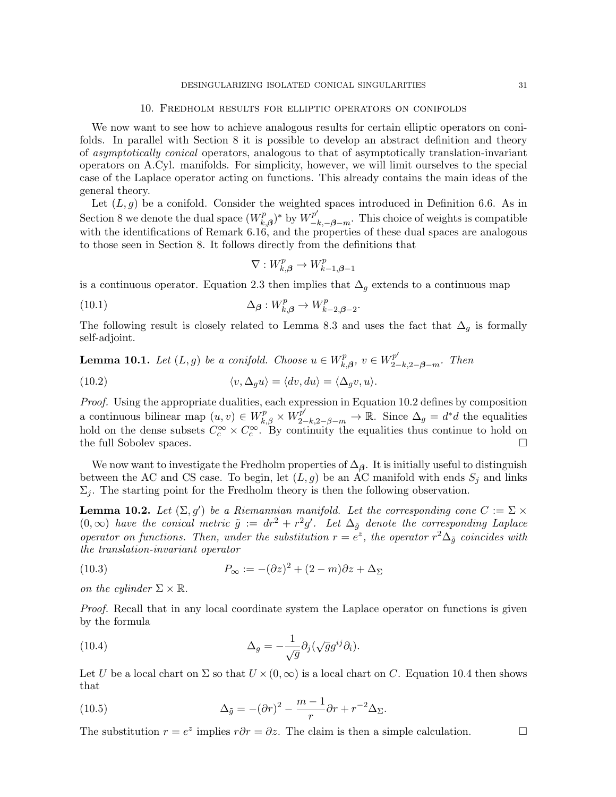#### 10. Fredholm results for elliptic operators on conifolds

We now want to see how to achieve analogous results for certain elliptic operators on conifolds. In parallel with Section 8 it is possible to develop an abstract definition and theory of asymptotically conical operators, analogous to that of asymptotically translation-invariant operators on A.Cyl. manifolds. For simplicity, however, we will limit ourselves to the special case of the Laplace operator acting on functions. This already contains the main ideas of the general theory.

Let  $(L, g)$  be a conifold. Consider the weighted spaces introduced in Definition 6.6. As in Section 8 we denote the dual space  $(W_k^p)$  $(k_{k,\beta})^*$  by  $W^{p'}_{-k,-\beta-m}$ . This choice of weights is compatible with the identifications of Remark 6.16, and the properties of these dual spaces are analogous to those seen in Section 8. It follows directly from the definitions that

$$
\nabla: W_{k,\boldsymbol{\beta}}^p \to W_{k-1,\boldsymbol{\beta}-1}^p
$$

is a continuous operator. Equation 2.3 then implies that  $\Delta_g$  extends to a continuous map

(10.1) 
$$
\Delta_{\beta}: W_{k,\beta}^p \to W_{k-2,\beta-2}^p.
$$

The following result is closely related to Lemma 8.3 and uses the fact that  $\Delta_q$  is formally self-adjoint.

**Lemma 10.1.** Let  $(L, g)$  be a conifold. Choose  $u \in W_p^p$ .  $k_{k,\beta}^{p}, v \in W_{2-k,2-\beta-m}^{p'}$ . Then

(10.2) 
$$
\langle v, \Delta_g u \rangle = \langle dv, du \rangle = \langle \Delta_g v, u \rangle.
$$

Proof. Using the appropriate dualities, each expression in Equation 10.2 defines by composition a continuous bilinear map  $(u, v) \in W_{k, \beta}^p \times W_{2-k, 2-\beta-m}^p \to \mathbb{R}$ . Since  $\Delta_g = d^*d$  the equalities hold on the dense subsets  $C_c^{\infty} \times C_c^{\infty}$ . By continuity the equalities thus continue to hold on the full Sobolev spaces.

We now want to investigate the Fredholm properties of  $\Delta_{\beta}$ . It is initially useful to distinguish between the AC and CS case. To begin, let  $(L, g)$  be an AC manifold with ends  $S_i$  and links  $\Sigma_i$ . The starting point for the Fredholm theory is then the following observation.

**Lemma 10.2.** Let  $(\Sigma, g')$  be a Riemannian manifold. Let the corresponding cone  $C := \Sigma \times$  $(0,\infty)$  have the conical metric  $\tilde{g} := dr^2 + r^2g'$ . Let  $\Delta_{\tilde{g}}$  denote the corresponding Laplace operator on functions. Then, under the substitution  $r = e^z$ , the operator  $r^2\Delta_{\tilde{g}}$  coincides with the translation-invariant operator

(10.3) 
$$
P_{\infty} := -(\partial z)^2 + (2 - m)\partial z + \Delta_{\Sigma}
$$

on the cylinder  $\Sigma \times \mathbb{R}$ .

Proof. Recall that in any local coordinate system the Laplace operator on functions is given by the formula

(10.4) 
$$
\Delta_g = -\frac{1}{\sqrt{g}} \partial_j (\sqrt{g} g^{ij} \partial_i).
$$

Let U be a local chart on  $\Sigma$  so that  $U \times (0, \infty)$  is a local chart on C. Equation 10.4 then shows that

(10.5) 
$$
\Delta_{\tilde{g}} = -(\partial r)^2 - \frac{m-1}{r} \partial r + r^{-2} \Delta_{\Sigma}.
$$

The substitution  $r = e^z$  implies  $r \partial r = \partial z$ . The claim is then a simple calculation.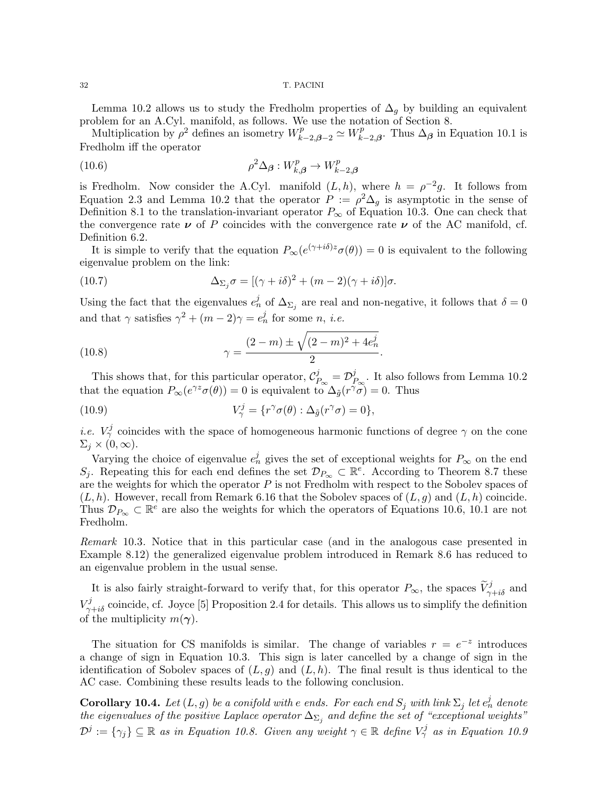Lemma 10.2 allows us to study the Fredholm properties of  $\Delta_q$  by building an equivalent problem for an A.Cyl. manifold, as follows. We use the notation of Section 8.

Multiplication by  $\rho^2$  defines an isometry  $W_{k-2,\beta-2}^p \simeq W_k^p$  $\chi_{k-2,\beta}^p$ . Thus  $\Delta_{\beta}$  in Equation 10.1 is Fredholm iff the operator

(10.6) 
$$
\rho^2 \Delta_{\beta} : W_{k,\beta}^p \to W_{k-2,\beta}^p
$$

is Fredholm. Now consider the A.Cyl. manifold  $(L, h)$ , where  $h = \rho^{-2}g$ . It follows from Equation 2.3 and Lemma 10.2 that the operator  $P := \rho^2 \Delta_g$  is asymptotic in the sense of Definition 8.1 to the translation-invariant operator  $P_{\infty}$  of Equation 10.3. One can check that the convergence rate  $\nu$  of P coincides with the convergence rate  $\nu$  of the AC manifold, cf. Definition 6.2.

It is simple to verify that the equation  $P_{\infty}(e^{(\gamma+i\delta)z}\sigma(\theta))=0$  is equivalent to the following eigenvalue problem on the link:

(10.7) 
$$
\Delta_{\Sigma_j} \sigma = [(\gamma + i\delta)^2 + (m-2)(\gamma + i\delta)]\sigma.
$$

Using the fact that the eigenvalues  $e_n^j$  of  $\Delta_{\Sigma_j}$  are real and non-negative, it follows that  $\delta = 0$ and that  $\gamma$  satisfies  $\gamma^2 + (m-2)\gamma = e_n^j$  for some *n*, *i.e.* 

(10.8) 
$$
\gamma = \frac{(2-m) \pm \sqrt{(2-m)^2 + 4e_n^j}}{2}
$$

This shows that, for this particular operator,  $\mathcal{C}_P^j$  $\frac{j}{P_\infty} = \mathcal{D}_P^j$  $P^{\jmath}_{\infty}$ . It also follows from Lemma 10.2 that the equation  $P_{\infty}(e^{\gamma z}\sigma(\theta))=0$  is equivalent to  $\Delta_{\tilde{g}}(r^{\gamma}\tilde{\sigma})=0$ . Thus

.

(10.9) 
$$
V^j_\gamma = \{r^{\gamma}\sigma(\theta) : \Delta_{\tilde{g}}(r^{\gamma}\sigma) = 0\},
$$

*i.e.*  $V^j_\gamma$  coincides with the space of homogeneous harmonic functions of degree  $\gamma$  on the cone  $\Sigma_i \times (0,\infty).$ 

Varying the choice of eigenvalue  $e_n^j$  gives the set of exceptional weights for  $P_\infty$  on the end S<sub>j</sub>. Repeating this for each end defines the set  $\mathcal{D}_{P_{\infty}} \subset \mathbb{R}^e$ . According to Theorem 8.7 these are the weights for which the operator  $P$  is not Fredholm with respect to the Sobolev spaces of  $(L, h)$ . However, recall from Remark 6.16 that the Sobolev spaces of  $(L, g)$  and  $(L, h)$  coincide. Thus  $\mathcal{D}_{P_{\infty}} \subset \mathbb{R}^e$  are also the weights for which the operators of Equations 10.6, 10.1 are not Fredholm.

Remark 10.3. Notice that in this particular case (and in the analogous case presented in Example 8.12) the generalized eigenvalue problem introduced in Remark 8.6 has reduced to an eigenvalue problem in the usual sense.

It is also fairly straight-forward to verify that, for this operator  $P_{\infty}$ , the spaces  $\widetilde{V}_{\gamma+i\delta}^{j}$  and  $V_{\gamma+i\delta}^j$  coincide, cf. Joyce [5] Proposition 2.4 for details. This allows us to simplify the definition of the multiplicity  $m(\gamma)$ .

The situation for CS manifolds is similar. The change of variables  $r = e^{-z}$  introduces a change of sign in Equation 10.3. This sign is later cancelled by a change of sign in the identification of Sobolev spaces of  $(L, g)$  and  $(L, h)$ . The final result is thus identical to the AC case. Combining these results leads to the following conclusion.

**Corollary 10.4.** Let  $(L, g)$  be a conifold with e ends. For each end  $S_j$  with link  $\Sigma_j$  let  $e_n^j$  denote the eigenvalues of the positive Laplace operator  $\Delta_{\Sigma_j}$  and define the set of "exceptional weights"  $\mathcal{D}^j := {\{\gamma_j\}} \subseteq \mathbb{R}$  as in Equation 10.8. Given any weight  $\gamma \in \mathbb{R}$  define  $V^j_\gamma$  as in Equation 10.9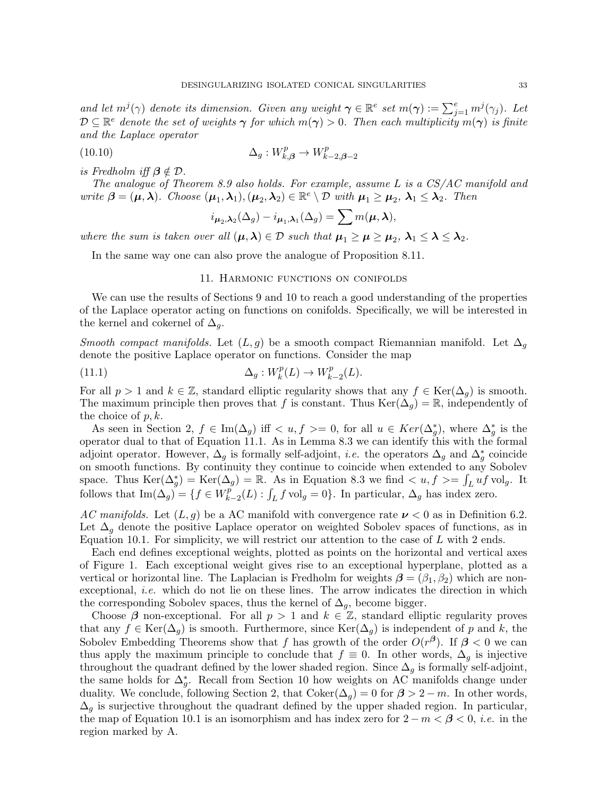and let  $m^j(\gamma)$  denote its dimension. Given any weight  $\gamma \in \mathbb{R}^e$  set  $m(\gamma) := \sum_{j=1}^e m^j(\gamma_j)$ . Let  $D \subseteq \mathbb{R}^e$  denote the set of weights  $\gamma$  for which  $m(\gamma) > 0$ . Then each multiplicity  $m(\gamma)$  is finite and the Laplace operator

(10.10) 
$$
\Delta_g: W_{k,\beta}^p \to W_{k-2,\beta-2}^p
$$

is Fredholm iff  $\beta \notin \mathcal{D}$ .

The analogue of Theorem 8.9 also holds. For example, assume L is a CS/AC manifold and write  $\boldsymbol{\beta} = (\boldsymbol{\mu}, \boldsymbol{\lambda})$ . Choose  $(\boldsymbol{\mu}_1, \boldsymbol{\lambda}_1), (\boldsymbol{\mu}_2, \boldsymbol{\lambda}_2) \in \mathbb{R}^e \setminus \mathcal{D}$  with  $\boldsymbol{\mu}_1 \geq \boldsymbol{\mu}_2$ ,  $\boldsymbol{\lambda}_1 \leq \boldsymbol{\lambda}_2$ . Then

$$
i_{\mu_2,\lambda_2}(\Delta_g) - i_{\mu_1,\lambda_1}(\Delta_g) = \sum m(\mu,\lambda),
$$

where the sum is taken over all  $(\mu, \lambda) \in \mathcal{D}$  such that  $\mu_1 \geq \mu \geq \mu_2, \lambda_1 \leq \lambda \leq \lambda_2$ .

In the same way one can also prove the analogue of Proposition 8.11.

## 11. Harmonic functions on conifolds

We can use the results of Sections 9 and 10 to reach a good understanding of the properties of the Laplace operator acting on functions on conifolds. Specifically, we will be interested in the kernel and cokernel of  $\Delta_q$ .

Smooth compact manifolds. Let  $(L, g)$  be a smooth compact Riemannian manifold. Let  $\Delta_g$ denote the positive Laplace operator on functions. Consider the map

(11.1) 
$$
\Delta_g: W_k^p(L) \to W_{k-2}^p(L).
$$

For all  $p > 1$  and  $k \in \mathbb{Z}$ , standard elliptic regularity shows that any  $f \in \text{Ker}(\Delta_q)$  is smooth. The maximum principle then proves that f is constant. Thus  $\text{Ker}(\Delta_q) = \mathbb{R}$ , independently of the choice of  $p, k$ .

As seen in Section 2,  $f \in \text{Im}(\Delta_g)$  iff  $\langle u, f \rangle = 0$ , for all  $u \in \text{Ker}(\Delta_g^*)$ , where  $\Delta_g^*$  is the operator dual to that of Equation 11.1. As in Lemma 8.3 we can identify this with the formal adjoint operator. However,  $\Delta_g$  is formally self-adjoint, *i.e.* the operators  $\Delta_g$  and  $\Delta_g^*$  coincide on smooth functions. By continuity they continue to coincide when extended to any Sobolev space. Thus  $\text{Ker}(\Delta_g^*) = \text{Ker}(\Delta_g) = \mathbb{R}$ . As in Equation 8.3 we find  $\langle u, f \rangle = \int_L uf \text{vol}_g$ . It follows that  $\text{Im}(\Delta_g) = \{f \in W_k^p\}$  $\int_{k-2}^{p}(L) : \int_{L} f \text{vol}_{g} = 0$ . In particular,  $\Delta_{g}$  has index zero.

AC manifolds. Let  $(L, g)$  be a AC manifold with convergence rate  $\nu < 0$  as in Definition 6.2. Let  $\Delta_q$  denote the positive Laplace operator on weighted Sobolev spaces of functions, as in Equation 10.1. For simplicity, we will restrict our attention to the case of  $L$  with 2 ends.

Each end defines exceptional weights, plotted as points on the horizontal and vertical axes of Figure 1. Each exceptional weight gives rise to an exceptional hyperplane, plotted as a vertical or horizontal line. The Laplacian is Fredholm for weights  $\beta = (\beta_1, \beta_2)$  which are nonexceptional, *i.e.* which do not lie on these lines. The arrow indicates the direction in which the corresponding Sobolev spaces, thus the kernel of  $\Delta_q$ , become bigger.

Choose  $\beta$  non-exceptional. For all  $p > 1$  and  $k \in \mathbb{Z}$ , standard elliptic regularity proves that any  $f \in \text{Ker}(\Delta_q)$  is smooth. Furthermore, since  $\text{Ker}(\Delta_q)$  is independent of p and k, the Sobolev Embedding Theorems show that f has growth of the order  $O(r^{\beta})$ . If  $\beta < 0$  we can thus apply the maximum principle to conclude that  $f \equiv 0$ . In other words,  $\Delta_q$  is injective throughout the quadrant defined by the lower shaded region. Since  $\Delta_q$  is formally self-adjoint, the same holds for  $\Delta_g^*$ . Recall from Section 10 how weights on AC manifolds change under duality. We conclude, following Section 2, that  $Coker(\Delta_g) = 0$  for  $\beta > 2 - m$ . In other words,  $\Delta_g$  is surjective throughout the quadrant defined by the upper shaded region. In particular, the map of Equation 10.1 is an isomorphism and has index zero for  $2 - m < \beta < 0$ , *i.e.* in the region marked by A.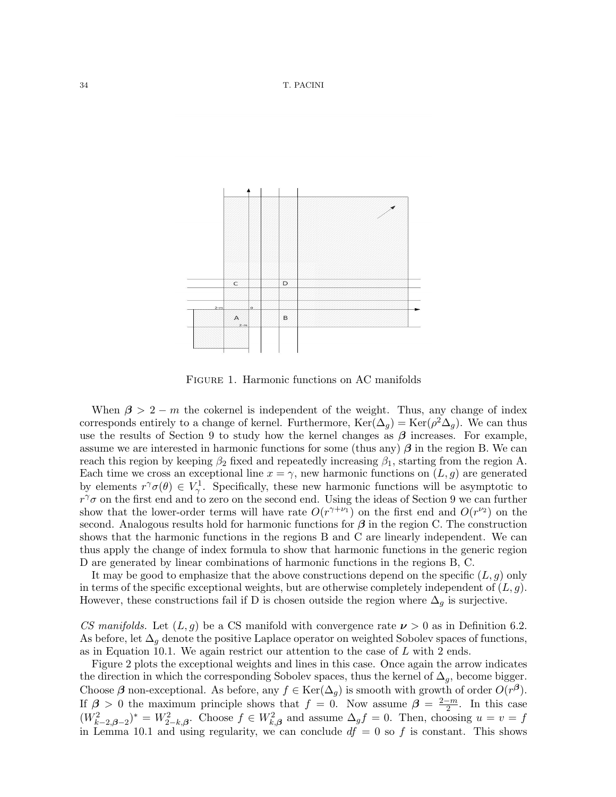

FIGURE 1. Harmonic functions on AC manifolds

When  $\beta > 2 - m$  the cokernel is independent of the weight. Thus, any change of index corresponds entirely to a change of kernel. Furthermore,  $\text{Ker}(\Delta_g) = \text{Ker}(\rho^2 \Delta_g)$ . We can thus use the results of Section 9 to study how the kernel changes as  $\beta$  increases. For example, assume we are interested in harmonic functions for some (thus any)  $\beta$  in the region B. We can reach this region by keeping  $\beta_2$  fixed and repeatedly increasing  $\beta_1$ , starting from the region A. Each time we cross an exceptional line  $x = \gamma$ , new harmonic functions on  $(L, g)$  are generated by elements  $r^{\gamma}\sigma(\theta) \in V_{\gamma}^1$ . Specifically, these new harmonic functions will be asymptotic to  $r^{\gamma}\sigma$  on the first end and to zero on the second end. Using the ideas of Section 9 we can further show that the lower-order terms will have rate  $O(r^{\gamma+\nu_1})$  on the first end and  $O(r^{\nu_2})$  on the second. Analogous results hold for harmonic functions for  $\beta$  in the region C. The construction shows that the harmonic functions in the regions B and C are linearly independent. We can thus apply the change of index formula to show that harmonic functions in the generic region D are generated by linear combinations of harmonic functions in the regions B, C.

It may be good to emphasize that the above constructions depend on the specific  $(L, g)$  only in terms of the specific exceptional weights, but are otherwise completely independent of  $(L, g)$ . However, these constructions fail if D is chosen outside the region where  $\Delta_q$  is surjective.

CS manifolds. Let  $(L, g)$  be a CS manifold with convergence rate  $\nu > 0$  as in Definition 6.2. As before, let  $\Delta_g$  denote the positive Laplace operator on weighted Sobolev spaces of functions, as in Equation 10.1. We again restrict our attention to the case of  $L$  with 2 ends.

Figure 2 plots the exceptional weights and lines in this case. Once again the arrow indicates the direction in which the corresponding Sobolev spaces, thus the kernel of  $\Delta_g$ , become bigger. Choose  $\beta$  non-exceptional. As before, any  $f \in \text{Ker}(\Delta_g)$  is smooth with growth of order  $O(r^{\beta})$ . If  $\beta > 0$  the maximum principle shows that  $f = 0$ . Now assume  $\beta = \frac{2-m}{2}$  $\frac{-m}{2}$ . In this case  $(W_{k-2,\beta-2}^2)^* = W_{2-k,\beta}^2$ . Choose  $f \in W_{k,\beta}^2$  and assume  $\Delta_g f = 0$ . Then, choosing  $u = v = f$ in Lemma 10.1 and using regularity, we can conclude  $df = 0$  so f is constant. This shows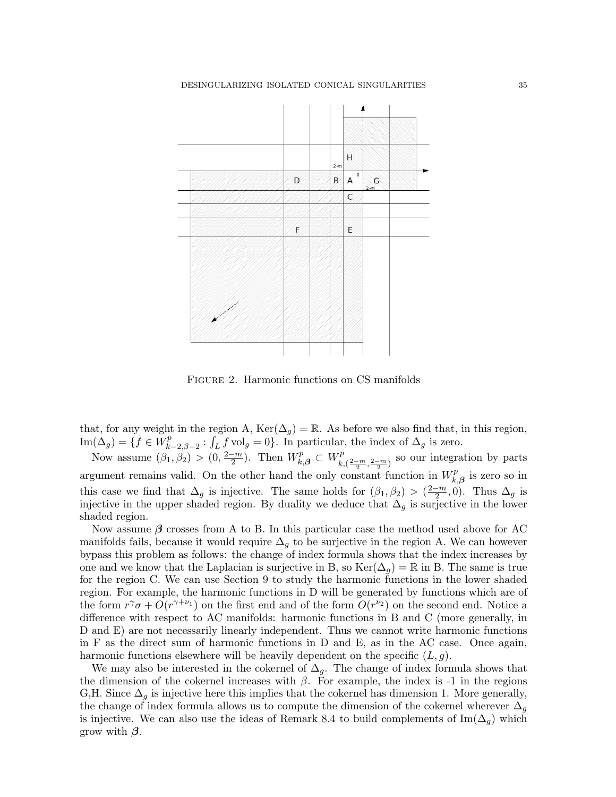

Figure 2. Harmonic functions on CS manifolds

that, for any weight in the region A,  $\text{Ker}(\Delta_q) = \mathbb{R}$ . As before we also find that, in this region,  $\mathrm{Im}(\Delta_g)=\{f\in \breve W_k^p\}$  $\int_{k-2,\beta-2}^{p} : \int_{L} f \,\text{vol}_{g} = 0$ . In particular, the index of  $\Delta_{g}$  is zero.

Now assume  $(\beta_1, \beta_2) > (0, \frac{2-m}{2})$  $\frac{(-m)}{2}$ ). Then  $W_{k,\beta}^p \subset W_{k,\beta}^p$  $\sum_{k,\left(\frac{2-m}{2},\frac{2-m}{2}\right)}^{p}$  so our integration by parts argument remains valid. On the other hand the only constant function in  $W_k^p$  $\hat{h}^p_{k,\boldsymbol{\beta}}$  is zero so in this case we find that  $\Delta_g$  is injective. The same holds for  $(\beta_1, \beta_2) > (\frac{2-m}{2})$  $\frac{-m}{2}$ , 0). Thus  $\Delta_g$  is injective in the upper shaded region. By duality we deduce that  $\Delta_g$  is surjective in the lower shaded region.

Now assume  $\beta$  crosses from A to B. In this particular case the method used above for AC manifolds fails, because it would require  $\Delta_q$  to be surjective in the region A. We can however bypass this problem as follows: the change of index formula shows that the index increases by one and we know that the Laplacian is surjective in B, so  $\text{Ker}(\Delta_q) = \mathbb{R}$  in B. The same is true for the region C. We can use Section 9 to study the harmonic functions in the lower shaded region. For example, the harmonic functions in D will be generated by functions which are of the form  $r^{\gamma}\sigma + O(r^{\gamma+\nu_1})$  on the first end and of the form  $O(r^{\nu_2})$  on the second end. Notice a difference with respect to AC manifolds: harmonic functions in B and C (more generally, in D and E) are not necessarily linearly independent. Thus we cannot write harmonic functions in F as the direct sum of harmonic functions in D and E, as in the AC case. Once again, harmonic functions elsewhere will be heavily dependent on the specific  $(L, g)$ .

We may also be interested in the cokernel of  $\Delta_q$ . The change of index formula shows that the dimension of the cokernel increases with  $\beta$ . For example, the index is -1 in the regions G,H. Since  $\Delta_q$  is injective here this implies that the cokernel has dimension 1. More generally, the change of index formula allows us to compute the dimension of the cokernel wherever  $\Delta_g$ is injective. We can also use the ideas of Remark 8.4 to build complements of  $\text{Im}(\Delta_g)$  which grow with  $\beta$ .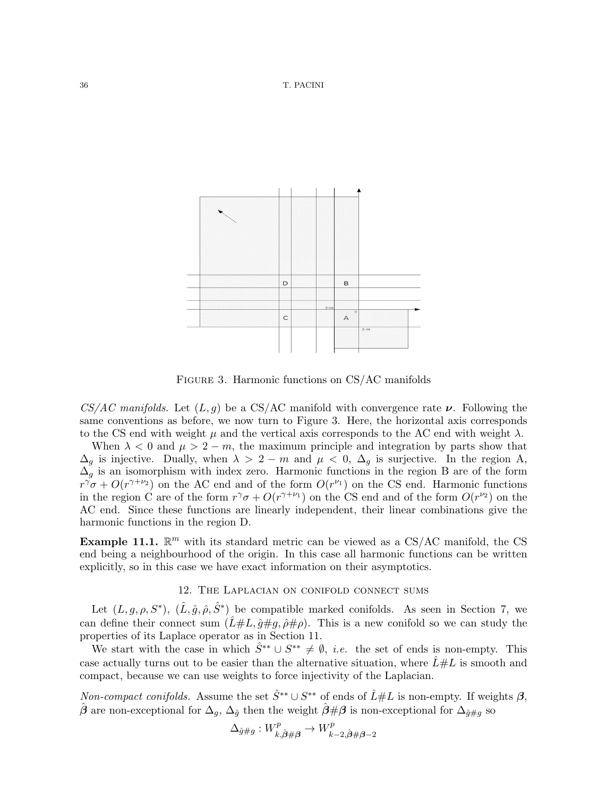

Figure 3. Harmonic functions on CS/AC manifolds

 $CS/AC$  manifolds. Let  $(L, g)$  be a CS/AC manifold with convergence rate  $\nu$ . Following the same conventions as before, we now turn to Figure 3. Here, the horizontal axis corresponds to the CS end with weight  $\mu$  and the vertical axis corresponds to the AC end with weight  $\lambda$ .

When  $\lambda < 0$  and  $\mu > 2 - m$ , the maximum principle and integration by parts show that  $\Delta_g$  is injective. Dually, when  $\lambda > 2 - m$  and  $\mu < 0$ ,  $\Delta_g$  is surjective. In the region A,  $\Delta_g$  is an isomorphism with index zero. Harmonic functions in the region B are of the form  $r^{\gamma}\sigma + O(r^{\gamma+\nu_2})$  on the AC end and of the form  $O(r^{\nu_1})$  on the CS end. Harmonic functions in the region C are of the form  $r^{\gamma}\sigma + O(r^{\gamma+\nu_1})$  on the CS end and of the form  $O(r^{\nu_2})$  on the AC end. Since these functions are linearly independent, their linear combinations give the harmonic functions in the region D.

**Example 11.1.**  $\mathbb{R}^m$  with its standard metric can be viewed as a CS/AC manifold, the CS end being a neighbourhood of the origin. In this case all harmonic functions can be written explicitly, so in this case we have exact information on their asymptotics.

# 12. The Laplacian on conifold connect sums

Let  $(L, g, \rho, S^*)$ ,  $(\hat{L}, \hat{g}, \hat{\rho}, \hat{S}^*)$  be compatible marked conifolds. As seen in Section 7, we can define their connect sum  $(\hat{L}\#L, \hat{g}\#g, \hat{\rho}\# \rho)$ . This is a new conifold so we can study the properties of its Laplace operator as in Section 11.

We start with the case in which  $\hat{S}^{**} \cup S^{**} \neq \emptyset$ , *i.e.* the set of ends is non-empty. This case actually turns out to be easier than the alternative situation, where  $L#L$  is smooth and compact, because we can use weights to force injectivity of the Laplacian.

Non-compact conifolds. Assume the set  $\hat{S}^{**} \cup S^{**}$  of ends of  $\hat{L} \# L$  is non-empty. If weights  $\beta$ ,  $\hat{\beta}$  are non-exceptional for  $\Delta_g$ ,  $\Delta_{\hat{g}}$  then the weight  $\hat{\beta} \# \beta$  is non-exceptional for  $\Delta_{\hat{g} \# g}$  so

$$
\Delta_{\hat{g}\#g} : W^p_{k,\hat{\beta}\#\beta} \to W^p_{k-2,\hat{\beta}\#\beta-2}
$$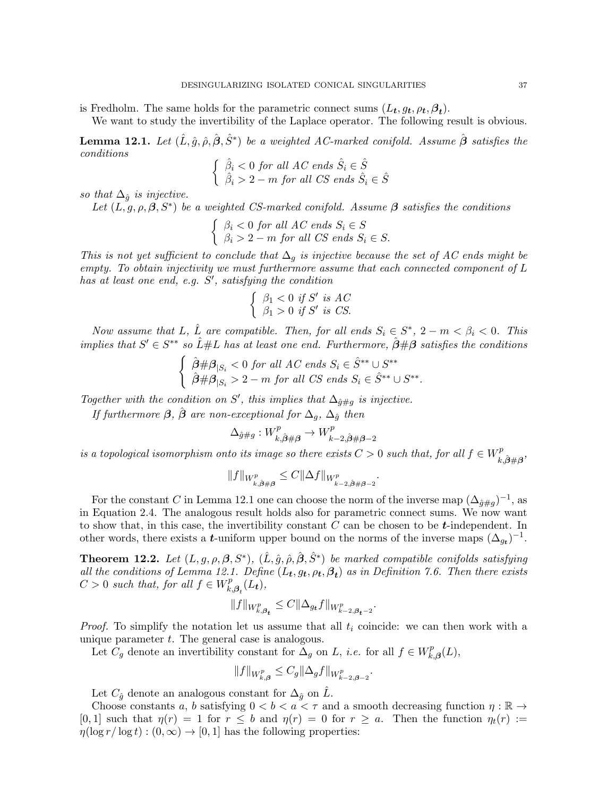is Fredholm. The same holds for the parametric connect sums  $(L_t, g_t, \rho_t, \beta_t)$ .

We want to study the invertibility of the Laplace operator. The following result is obvious.

**Lemma 12.1.** Let  $(\hat{L}, \hat{g}, \hat{\rho}, \hat{S}^*)$  be a weighted AC-marked conifold. Assume  $\hat{\boldsymbol{\beta}}$  satisfies the conditions

$$
\begin{cases} \n\hat{\beta}_i < 0 \text{ for all } AC \text{ ends } \hat{S}_i \in \hat{S} \\
\hat{\beta}_i > 2 - m \text{ for all } CS \text{ ends } \hat{S}_i \in \hat{S} \n\end{cases}
$$

so that  $\Delta_{\hat{q}}$  is injective.

Let  $(L, g, \rho, \beta, S^*)$  be a weighted CS-marked conifold. Assume  $\beta$  satisfies the conditions

$$
\begin{cases} \n\beta_i < 0 \text{ for all } AC \text{ ends } S_i \in S \\ \n\beta_i > 2 - m \text{ for all } CS \text{ ends } S_i \in S. \n\end{cases}
$$

This is not yet sufficient to conclude that  $\Delta_q$  is injective because the set of AC ends might be empty. To obtain injectivity we must furthermore assume that each connected component of L has at least one end, e.g.  $S'$ , satisfying the condition

$$
\begin{cases} \beta_1 < 0 \text{ if } S' \text{ is } AC \\ \beta_1 > 0 \text{ if } S' \text{ is } CS. \end{cases}
$$

Now assume that L,  $\hat{L}$  are compatible. Then, for all ends  $S_i \in S^*$ ,  $2 - m < \beta_i < 0$ . This implies that  $S' \in S^{**}$  so  $\hat{L} \# L$  has at least one end. Furthermore,  $\hat{\beta} \# \beta$  satisfies the conditions

$$
\begin{cases} \n\hat{\beta} \# \beta_{|S_i} < 0 \text{ for all } AC \text{ ends } S_i \in \hat{S}^{**} \cup S^{**} \\ \n\hat{\beta} \# \beta_{|S_i} > 2 - m \text{ for all } CS \text{ ends } S_i \in \hat{S}^{**} \cup S^{**}. \n\end{cases}
$$

Together with the condition on S', this implies that  $\Delta_{\hat{g}\#g}$  is injective.

If furthermore  $\beta$ ,  $\hat{\beta}$  are non-exceptional for  $\Delta_q$ ,  $\Delta_{\hat{q}}$  then

$$
\Delta_{\hat{g}\#g}: W^p_{k,\hat{\beta}\#\beta} \to W^p_{k-2,\hat{\beta}\#\beta-2}
$$

is a topological isomorphism onto its image so there exists  $C > 0$  such that, for all  $f \in W_p^p$ .  $k,\!\hat{\beta}\#\boldsymbol{\beta}^{\,\prime}$ 

$$
||f||_{W_{k,\hat{\beta}\#\beta}^p} \leq C||\Delta f||_{W_{k-2,\hat{\beta}\#\beta-2}^p}
$$

.

For the constant C in Lemma 12.1 one can choose the norm of the inverse map  $(\Delta_{\hat{g}\#g})^{-1}$ , as in Equation 2.4. The analogous result holds also for parametric connect sums. We now want to show that, in this case, the invertibility constant  $C$  can be chosen to be  $t$ -independent. In other words, there exists a *t*-uniform upper bound on the norms of the inverse maps  $(\Delta_{g_t})^{-1}$ .

**Theorem 12.2.** Let  $(L, g, \rho, \beta, S^*)$ ,  $(\hat{L}, \hat{g}, \hat{\rho}, \hat{\beta}, \hat{S}^*)$  be marked compatible conifolds satisfying all the conditions of Lemma 12.1. Define  $(L_t, g_t, \rho_t, \beta_t)$  as in Definition 7.6. Then there exists  $C > 0$  such that, for all  $f \in W_k^p$  $E_{k,\boldsymbol{\beta}_t}^{p}(L_t)$ ,

$$
||f||_{W_{k,\beta_{t}}^{p}} \leq C||\Delta_{g_{t}}f||_{W_{k-2,\beta_{t}-2}^{p}}.
$$

*Proof.* To simplify the notation let us assume that all  $t_i$  coincide: we can then work with a unique parameter  $t$ . The general case is analogous.

Let  $C_g$  denote an invertibility constant for  $\Delta_g$  on L, *i.e.* for all  $f \in W_k^p$  $f_{k,\boldsymbol{\beta}}^{p}(L),$ 

$$
||f||_{W_{k,\beta}^p} \le C_g ||\Delta_g f||_{W_{k-2,\beta-2}^p}.
$$

Let  $C_{\hat{q}}$  denote an analogous constant for  $\Delta_{\hat{q}}$  on L.

Choose constants a, b satisfying  $0 < b < a < \tau$  and a smooth decreasing function  $\eta : \mathbb{R} \to$ [0, 1] such that  $\eta(r) = 1$  for  $r \leq b$  and  $\eta(r) = 0$  for  $r \geq a$ . Then the function  $\eta_t(r) :=$  $\eta(\log r / \log t) : (0, \infty) \to [0, 1]$  has the following properties: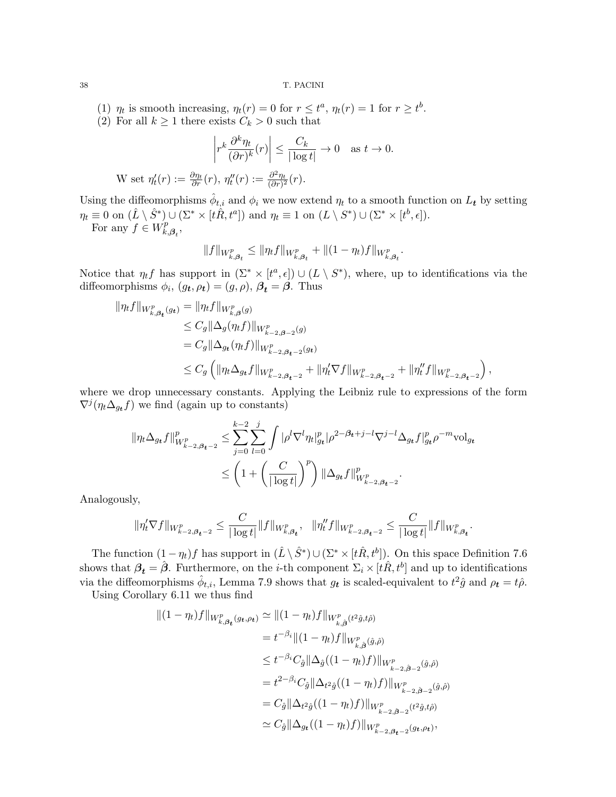(1)  $\eta_t$  is smooth increasing,  $\eta_t(r) = 0$  for  $r \leq t^a$ ,  $\eta_t(r) = 1$  for  $r \geq t^b$ .

(2) For all  $k \geq 1$  there exists  $C_k > 0$  such that

$$
\left| r^k \frac{\partial^k \eta_t}{(\partial r)^k} (r) \right| \le \frac{C_k}{|\log t|} \to 0 \quad \text{as } t \to 0.
$$
  
W set 
$$
\eta'_t(r) := \frac{\partial \eta_t}{\partial r}(r), \ \eta''_t(r) := \frac{\partial^2 \eta_t}{(\partial r)^2}(r).
$$

Using the diffeomorphisms  $\hat{\phi}_{t,i}$  and  $\phi_i$  we now extend  $\eta_t$  to a smooth function on  $L_t$  by setting  $\eta_t \equiv 0$  on  $(\hat{L} \setminus \hat{S}^*) \cup (\Sigma^* \times [t\hat{R}, t^a])$  and  $\eta_t \equiv 1$  on  $(L \setminus S^*) \cup (\Sigma^* \times [t^b, \epsilon])$ . For any  $f \in W_k^p$  $_{k,\boldsymbol{\beta}_{t}}^{p},$ 

$$
\|f\|_{W_{k,\beta_{t}}^p}\leq \|\eta_t f\|_{W_{k,\beta_{t}}^p}+\|(1-\eta_t)f\|_{W_{k,\beta_{t}}^p}.
$$

Notice that  $\eta_t f$  has support in  $(\Sigma^* \times [t^a, \epsilon]) \cup (L \setminus S^*)$ , where, up to identifications via the diffeomorphisms  $\phi_i$ ,  $(g_t, \rho_t) = (g, \rho)$ ,  $\beta_t = \beta$ . Thus

$$
\begin{split} \|\eta_t f\|_{W_{k,\beta_t}^p(g_t)} &= \|\eta_t f\|_{W_{k,\beta}^p(g)} \\ &\leq C_g \|\Delta_g(\eta_t f)\|_{W_{k-2,\beta-2}^p(g_t)} \\ &= C_g \|\Delta_{g_t}(\eta_t f)\|_{W_{k-2,\beta_{t-2}}^p(g_t)} \\ &\leq C_g \left(\|\eta_t \Delta_{g_t} f\|_{W_{k-2,\beta_{t-2}}^p} + \|\eta_t' \nabla f\|_{W_{k-2,\beta_{t-2}}^p} + \|\eta_t'' f\|_{W_{k-2,\beta_{t-2}}^p}\right), \end{split}
$$

where we drop unnecessary constants. Applying the Leibniz rule to expressions of the form  $\nabla^j(\eta_t \Delta_{g_t} f)$  we find (again up to constants)

$$
\begin{split} \|\eta_t \Delta_{g_t} f\|_{W^p_{k-2,\beta_{t}-2}}^p &\leq \sum_{j=0}^{k-2} \sum_{l=0}^j \int |\rho^l \nabla^l \eta_t|_{g_t}^p |\rho^{2-\beta_{t}+j-l} \nabla^{j-l} \Delta_{g_t} f|_{g_t}^p \rho^{-m} \mathrm{vol}_{g_t} \\ &\leq \left(1 + \left(\frac{C}{|\log t|}\right)^p\right) \|\Delta_{g_t} f\|_{W^p_{k-2,\beta_{t}-2}}^p. \end{split}
$$

Analogously,

$$
\|\eta'_t\nabla f\|_{W^p_{k-2,\beta_{t}-2}} \leq \frac{C}{|\log t|} \|f\|_{W^p_{k,\beta_{t}}}, \quad \|\eta''_t f\|_{W^p_{k-2,\beta_{t}-2}} \leq \frac{C}{|\log t|} \|f\|_{W^p_{k,\beta_{t}}}.
$$

The function  $(1 - \eta_t)f$  has support in  $(\hat{L} \setminus \hat{S}^*) \cup (\Sigma^* \times [t\hat{R}, t^b])$ . On this space Definition 7.6 shows that  $\beta_t = \hat{\beta}$ . Furthermore, on the *i*-th component  $\Sigma_i \times [t\hat{R}, t^b]$  and up to identifications via the diffeomorphisms  $\hat{\phi}_{t,i}$ , Lemma 7.9 shows that  $g_t$  is scaled-equivalent to  $t^2\hat{g}$  and  $\rho_t = t\hat{\rho}$ .

Using Corollary 6.11 we thus find

$$
\begin{split} \| (1 - \eta_t) f \|_{W_{k,\beta_t}^p(g_t, \rho_t)} &\simeq \| (1 - \eta_t) f \|_{W_{k,\hat{\beta}}^p(t^2 \hat{g}, t\hat{\rho})} \\ &= t^{-\beta_i} \| (1 - \eta_t) f \|_{W_{k,\hat{\beta}}^p(\hat{g}, \hat{\rho})} \\ &\leq t^{-\beta_i} C_{\hat{g}} \| \Delta_{\hat{g}} ((1 - \eta_t) f) \|_{W_{k-2, \hat{\beta}-2}^p(\hat{g}, \hat{\rho})} \\ &= t^{2 - \beta_i} C_{\hat{g}} \| \Delta_{t^2 \hat{g}} ((1 - \eta_t) f) \|_{W_{k-2, \hat{\beta}-2}^p(\hat{g}, \hat{\rho})} \\ &= C_{\hat{g}} \| \Delta_{t^2 \hat{g}} ((1 - \eta_t) f) \|_{W_{k-2, \beta-2}^p(t^2 \hat{g}, t\hat{\rho})} \\ &\simeq C_{\hat{g}} \| \Delta_{gt} ((1 - \eta_t) f) \|_{W_{k-2, \beta_t-2}^p(g_t, \rho_t)}, \end{split}
$$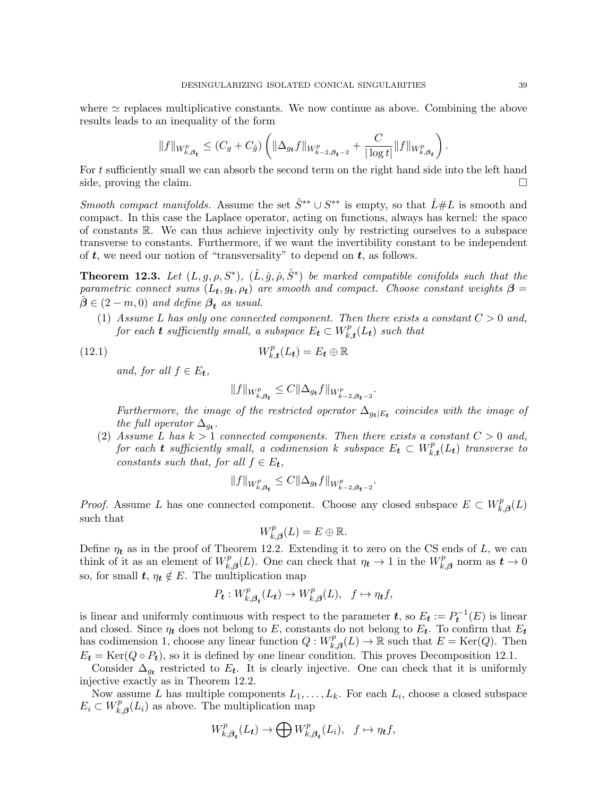where  $\simeq$  replaces multiplicative constants. We now continue as above. Combining the above results leads to an inequality of the form

$$
||f||_{W_{k,\beta_{t}}^{p}} \leq (C_{g} + C_{\hat{g}}) \left( ||\Delta_{g_{t}} f||_{W_{k-2,\beta_{t}-2}^{p}} + \frac{C}{|\log t|} ||f||_{W_{k,\beta_{t}}^{p}} \right).
$$

For t sufficiently small we can absorb the second term on the right hand side into the left hand side, proving the claim.

Smooth compact manifolds. Assume the set  $\hat{S}^{**} \cup S^{**}$  is empty, so that  $\hat{L} \# L$  is smooth and compact. In this case the Laplace operator, acting on functions, always has kernel: the space of constants R. We can thus achieve injectivity only by restricting ourselves to a subspace transverse to constants. Furthermore, if we want the invertibility constant to be independent of  $t$ , we need our notion of "transversality" to depend on  $t$ , as follows.

**Theorem 12.3.** Let  $(L, g, \rho, S^*)$ ,  $(\hat{L}, \hat{g}, \hat{\rho}, \hat{S}^*)$  be marked compatible conifolds such that the parametric connect sums  $(L_t, g_t, \rho_t)$  are smooth and compact. Choose constant weights  $\beta =$  $\hat{\boldsymbol{\beta}} \in (2-m,0)$  and define  $\beta_t$  as usual.

(1) Assume L has only one connected component. Then there exists a constant  $C > 0$  and, for each **t** sufficiently small, a subspace  $E_t \subset W_k^p$  $_{k,\boldsymbol{t}}^{p}(L_{\boldsymbol{t}})$  such that

(12.1) 
$$
W_{k,t}^p(L_t) = E_t \oplus \mathbb{R}
$$

and, for all  $f \in E_t$ ,

$$
||f||_{W_{k,\beta_{t}}^{p}} \leq C||\Delta_{g_{t}}f||_{W_{k-2,\beta_{t}-2}^{p}}.
$$

Furthermore, the image of the restricted operator  $\Delta_{g_t|E_t}$  coincides with the image of the full operator  $\Delta_{g_t}$ .

(2) Assume L has  $k > 1$  connected components. Then there exists a constant  $C > 0$  and, for each **t** sufficiently small, a codimension k subspace  $E_t \subset W_k^p$  $\mathcal{L}_{k,\boldsymbol{t}}^p(L_{\boldsymbol{t}})$  transverse to constants such that, for all  $f \in E_t$ ,

$$
||f||_{W_{k,\beta_{t}}^{p}} \leq C||\Delta_{g_{t}}f||_{W_{k-2,\beta_{t}-2}^{p}}.
$$

*Proof.* Assume L has one connected component. Choose any closed subspace  $E \subset W_k^p$ .  $\chi^p_{k,\boldsymbol{\beta}}(L)$ such that

$$
W_{k,\beta}^p(L) = E \oplus \mathbb{R}.
$$

Define  $\eta_t$  as in the proof of Theorem 12.2. Extending it to zero on the CS ends of L, we can think of it as an element of  $W_k^p$  $k_{k,\beta}(L)$ . One can check that  $\eta_t \to 1$  in the  $W_{k,\beta}^p$  $\epsilon_{k,\boldsymbol{\beta}}^{p}$  norm as  $t\to 0$ so, for small  $t, \eta_t \notin E$ . The multiplication map

$$
P_{t}: W_{k,\beta_{t}}^{p}(L_{t}) \to W_{k,\beta}^{p}(L), \quad f \mapsto \eta_{t}f,
$$

is linear and uniformly continuous with respect to the parameter  $t$ , so  $E_t := P_t^{-1}(E)$  is linear and closed. Since  $\eta_t$  does not belong to E, constants do not belong to  $E_t$ . To confirm that  $E_t$ has codimension 1, choose any linear function  $Q: W_k^p$  $k_{k,\beta}(L) \to \mathbb{R}$  such that  $E = \text{Ker}(Q)$ . Then  $E_t = \text{Ker}(Q \circ P_t)$ , so it is defined by one linear condition. This proves Decomposition 12.1.

Consider  $\Delta_{g_t}$  restricted to  $E_t$ . It is clearly injective. One can check that it is uniformly injective exactly as in Theorem 12.2.

Now assume L has multiple components  $L_1, \ldots, L_k$ . For each  $L_i$ , choose a closed subspace  $E_i \subset W_k^p$  $k_{k,\beta}(L_i)$  as above. The multiplication map

$$
W_{k,\beta_{t}}^{p}(L_{t})\rightarrow \bigoplus W_{k,\beta_{t}}^{p}(L_{i}),\ \ f\mapsto \eta_{t}f,
$$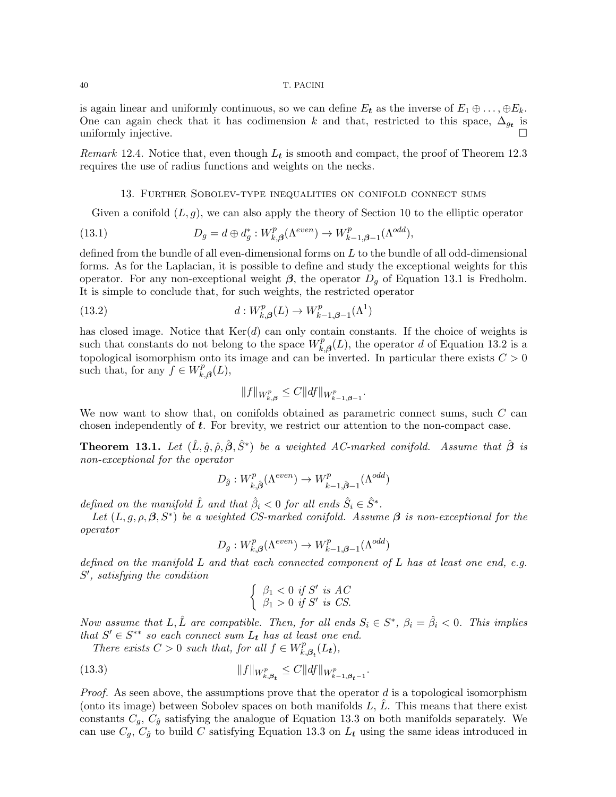is again linear and uniformly continuous, so we can define  $E_t$  as the inverse of  $E_1 \oplus \ldots \oplus E_k$ . One can again check that it has codimension k and that, restricted to this space,  $\Delta_{g_t}$  is uniformly injective.

Remark 12.4. Notice that, even though  $L_t$  is smooth and compact, the proof of Theorem 12.3 requires the use of radius functions and weights on the necks.

## 13. Further Sobolev-type inequalities on conifold connect sums

Given a conifold  $(L, g)$ , we can also apply the theory of Section 10 to the elliptic operator

(13.1) 
$$
D_g = d \oplus d_g^* : W_{k,\beta}^p(\Lambda^{even}) \to W_{k-1,\beta-1}^p(\Lambda^{odd}),
$$

defined from the bundle of all even-dimensional forms on L to the bundle of all odd-dimensional forms. As for the Laplacian, it is possible to define and study the exceptional weights for this operator. For any non-exceptional weight  $\beta$ , the operator  $D_g$  of Equation 13.1 is Fredholm. It is simple to conclude that, for such weights, the restricted operator

(13.2) 
$$
d: W_{k,\beta}^p(L) \to W_{k-1,\beta-1}^p(\Lambda^1)
$$

has closed image. Notice that  $Ker(d)$  can only contain constants. If the choice of weights is such that constants do not belong to the space  $W_k^p$ .  $k_{k,\beta}(L)$ , the operator d of Equation 13.2 is a topological isomorphism onto its image and can be inverted. In particular there exists  $C > 0$ such that, for any  $f \in W_k^p$  $f_{k,\boldsymbol{\beta}}^{p}(L),$ 

$$
||f||_{W_{k,\beta}^p} \leq C||df||_{W_{k-1,\beta-1}^p}.
$$

We now want to show that, on conifolds obtained as parametric connect sums, such  $C$  can chosen independently of  $t$ . For brevity, we restrict our attention to the non-compact case.

**Theorem 13.1.** Let  $(\hat{L}, \hat{g}, \hat{\rho}, \hat{\beta}, \hat{S}^*)$  be a weighted AC-marked conifold. Assume that  $\hat{\boldsymbol{\beta}}$  is non-exceptional for the operator

$$
D_{\hat{g}}: W^p_{k,\hat{\boldsymbol{\beta}}}(\Lambda^{even}) \to W^p_{k-1,\hat{\boldsymbol{\beta}}-1}(\Lambda^{odd})
$$

defined on the manifold  $\hat{L}$  and that  $\hat{\beta}_i < 0$  for all ends  $\hat{S}_i \in \hat{S}^*$ .

Let  $(L, g, \rho, \beta, S^*)$  be a weighted CS-marked conifold. Assume  $\beta$  is non-exceptional for the operator

$$
D_g: W^p_{k,\beta}(\Lambda^{even}) \to W^p_{k-1,\beta-1}(\Lambda^{odd})
$$

defined on the manifold  $L$  and that each connected component of  $L$  has at least one end, e.g. S 0 , satisfying the condition

$$
\begin{cases} \beta_1 < 0 \text{ if } S' \text{ is } AC \\ \beta_1 > 0 \text{ if } S' \text{ is } CS. \end{cases}
$$

Now assume that L,  $\hat{L}$  are compatible. Then, for all ends  $S_i \in S^*$ ,  $\beta_i = \hat{\beta}_i < 0$ . This implies that  $S' \in S^{**}$  so each connect sum  $L_t$  has at least one end.

There exists  $C > 0$  such that, for all  $f \in W_k^p$  $E_{k,\boldsymbol{\beta}_t}^{p}(L_t)$ ,

(13.3) 
$$
||f||_{W_{k,\beta_{t}}^{p}} \leq C||df||_{W_{k-1,\beta_{t}-1}^{p}}.
$$

*Proof.* As seen above, the assumptions prove that the operator  $d$  is a topological isomorphism (onto its image) between Sobolev spaces on both manifolds L,  $\hat{L}$ . This means that there exist constants  $C_g$ ,  $C_{\hat{g}}$  satisfying the analogue of Equation 13.3 on both manifolds separately. We can use  $C_g$ ,  $C_{\hat{g}}$  to build C satisfying Equation 13.3 on  $L_t$  using the same ideas introduced in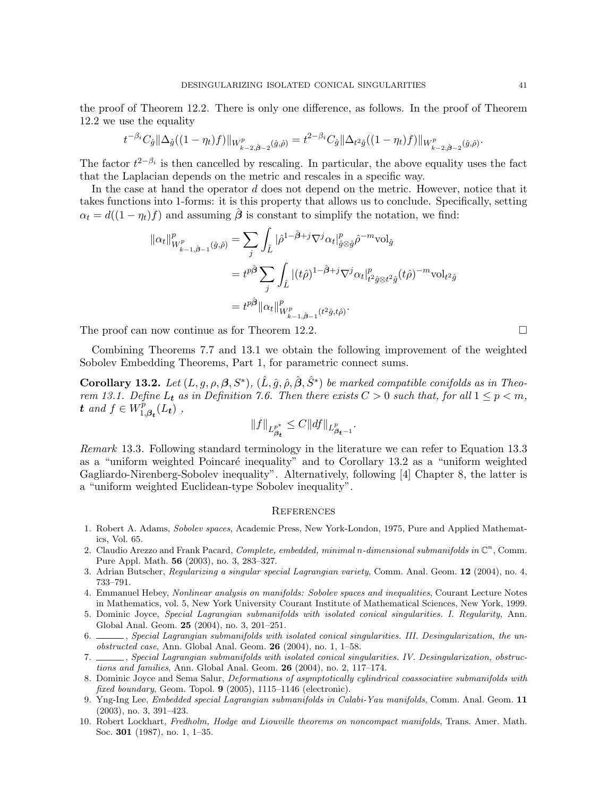the proof of Theorem 12.2. There is only one difference, as follows. In the proof of Theorem 12.2 we use the equality

$$
t^{-\beta_i}C_{\hat{g}}\|\Delta_{\hat{g}}((1-\eta_t)f)\|_{W^p_{k-2,\hat{\beta}-2}(\hat{g},\hat{\rho})}=t^{2-\beta_i}C_{\hat{g}}\|\Delta_{t^2\hat{g}}((1-\eta_t)f)\|_{W^p_{k-2,\hat{\beta}-2}(\hat{g},\hat{\rho})}.
$$

The factor  $t^{2-\beta_i}$  is then cancelled by rescaling. In particular, the above equality uses the fact that the Laplacian depends on the metric and rescales in a specific way.

In the case at hand the operator d does not depend on the metric. However, notice that it takes functions into 1-forms: it is this property that allows us to conclude. Specifically, setting  $\alpha_t = d((1 - \eta_t)f)$  and assuming  $\hat{\beta}$  is constant to simplify the notation, we find:

$$
\begin{split} \|\alpha_t\|_{W^p_{k-1,\hat{\beta}-1}(\hat{g},\hat{\rho})}^p &= \sum_j \int_{\hat{L}} |\hat{\rho}^{1-\hat{\beta}+j} \nabla^j \alpha_t|_{\hat{g}\otimes\hat{g}}^p \hat{\rho}^{-m} \mathrm{vol}_{\hat{g}} \\ &= t^{p\hat{\beta}} \sum_j \int_{\hat{L}} |(t\hat{\rho})^{1-\hat{\beta}+j} \nabla^j \alpha_t|_{t^2 \hat{g}\otimes t^2 \hat{g}}^p (t\hat{\rho})^{-m} \mathrm{vol}_{t^2 \hat{g}} \\ &= t^{p\hat{\beta}} \|\alpha_t\|_{W^p_{k-1,\hat{\beta}-1}(t^2 \hat{g}, t\hat{\rho})}^p. \end{split}
$$

The proof can now continue as for Theorem 12.2.  $\Box$ 

Combining Theorems 7.7 and 13.1 we obtain the following improvement of the weighted Sobolev Embedding Theorems, Part 1, for parametric connect sums.

**Corollary 13.2.** Let  $(L, g, \rho, \beta, S^*)$ ,  $(\hat{L}, \hat{g}, \hat{\rho}, \hat{\beta}, \hat{S}^*)$  be marked compatible conifolds as in Theorem 13.1. Define  $L_t$  as in Definition 7.6. Then there exists  $C > 0$  such that, for all  $1 \leq p < m$ , t and  $f \in W_1^p$  $T_{1,\boldsymbol{\beta_t}}^p(L_t)$ ,

$$
||f||_{L^{p^*}_{\beta_t}} \leq C||df||_{L^p_{\beta_t - 1}}.
$$

Remark 13.3. Following standard terminology in the literature we can refer to Equation 13.3 as a "uniform weighted Poincaré inequality" and to Corollary 13.2 as a "uniform weighted Gagliardo-Nirenberg-Sobolev inequality". Alternatively, following [4] Chapter 8, the latter is a "uniform weighted Euclidean-type Sobolev inequality".

#### **REFERENCES**

- 1. Robert A. Adams, Sobolev spaces, Academic Press, New York-London, 1975, Pure and Applied Mathematics, Vol. 65.
- 2. Claudio Arezzo and Frank Pacard, Complete, embedded, minimal n-dimensional submanifolds in  $\mathbb{C}^n$ , Comm. Pure Appl. Math. 56 (2003), no. 3, 283–327.
- 3. Adrian Butscher, Regularizing a singular special Lagrangian variety, Comm. Anal. Geom. 12 (2004), no. 4, 733–791.
- 4. Emmanuel Hebey, Nonlinear analysis on manifolds: Sobolev spaces and inequalities, Courant Lecture Notes in Mathematics, vol. 5, New York University Courant Institute of Mathematical Sciences, New York, 1999.
- 5. Dominic Joyce, Special Lagrangian submanifolds with isolated conical singularities. I. Regularity, Ann. Global Anal. Geom. 25 (2004), no. 3, 201–251.
- 6.  $\ldots$ , Special Lagrangian submanifolds with isolated conical singularities. III. Desingularization, the unobstructed case, Ann. Global Anal. Geom. 26 (2004), no. 1, 1–58.
- 7. , Special Lagrangian submanifolds with isolated conical singularities. IV. Desingularization, obstructions and families, Ann. Global Anal. Geom. 26 (2004), no. 2, 117–174.
- 8. Dominic Joyce and Sema Salur, Deformations of asymptotically cylindrical coassociative submanifolds with fixed boundary, Geom. Topol.  $9$  (2005), 1115–1146 (electronic).
- 9. Yng-Ing Lee, Embedded special Lagrangian submanifolds in Calabi-Yau manifolds, Comm. Anal. Geom. 11 (2003), no. 3, 391–423.
- 10. Robert Lockhart, Fredholm, Hodge and Liouville theorems on noncompact manifolds, Trans. Amer. Math. Soc. 301 (1987), no. 1, 1–35.